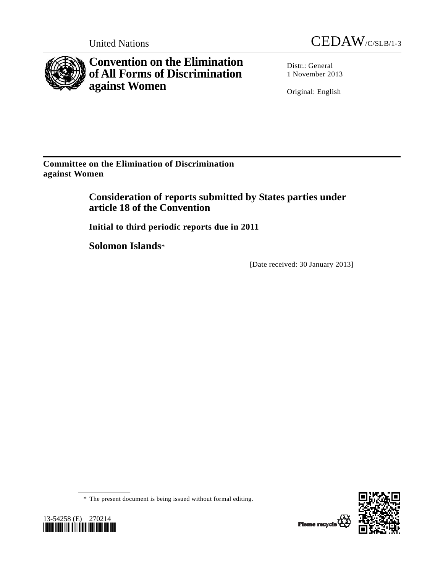

**Convention on the Elimination of All Forms of Discrimination against Women** 



Distr.: General 1 November 2013

Original: English

**Committee on the Elimination of Discrimination against Women** 

> **Consideration of reports submitted by States parties under article 18 of the Convention**

 **Initial to third periodic reports due in 2011** 

 **Solomon Islands**\*

[Date received: 30 January 2013]

\* The present document is being issued without formal editing.



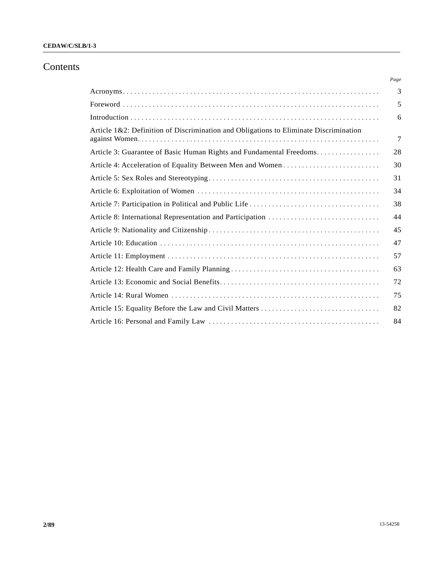# Contents

|                                                                                       | Page   |
|---------------------------------------------------------------------------------------|--------|
|                                                                                       | 3      |
|                                                                                       | 5      |
|                                                                                       | 6      |
| Article 1&2: Definition of Discrimination and Obligations to Eliminate Discrimination | $\tau$ |
| Article 3: Guarantee of Basic Human Rights and Fundamental Freedoms                   | 28     |
|                                                                                       | 30     |
|                                                                                       | 31     |
|                                                                                       | 34     |
|                                                                                       | 38     |
|                                                                                       | 44     |
|                                                                                       | 45     |
|                                                                                       | 47     |
|                                                                                       | 57     |
|                                                                                       | 63     |
|                                                                                       | 72     |
|                                                                                       | 75     |
|                                                                                       | 82     |
|                                                                                       | 84     |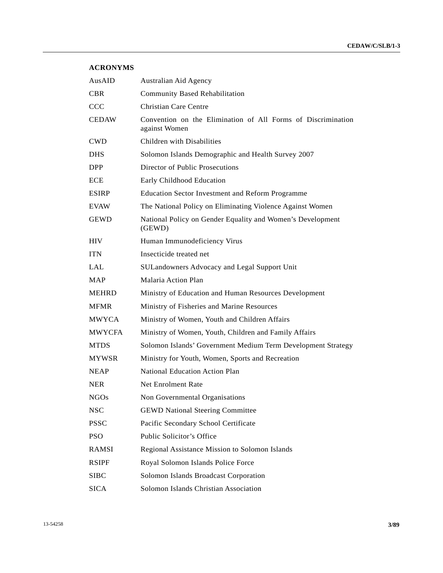# **ACRONYMS**

| AusAID        | Australian Aid Agency                                                         |  |  |  |  |  |
|---------------|-------------------------------------------------------------------------------|--|--|--|--|--|
| <b>CBR</b>    | <b>Community Based Rehabilitation</b>                                         |  |  |  |  |  |
| <b>CCC</b>    | Christian Care Centre                                                         |  |  |  |  |  |
| <b>CEDAW</b>  | Convention on the Elimination of All Forms of Discrimination<br>against Women |  |  |  |  |  |
| <b>CWD</b>    | Children with Disabilities                                                    |  |  |  |  |  |
| <b>DHS</b>    | Solomon Islands Demographic and Health Survey 2007                            |  |  |  |  |  |
| DPP           | Director of Public Prosecutions                                               |  |  |  |  |  |
| <b>ECE</b>    | Early Childhood Education                                                     |  |  |  |  |  |
| <b>ESIRP</b>  | <b>Education Sector Investment and Reform Programme</b>                       |  |  |  |  |  |
| <b>EVAW</b>   | The National Policy on Eliminating Violence Against Women                     |  |  |  |  |  |
| <b>GEWD</b>   | National Policy on Gender Equality and Women's Development<br>(GEWD)          |  |  |  |  |  |
| <b>HIV</b>    | Human Immunodeficiency Virus                                                  |  |  |  |  |  |
| <b>ITN</b>    | Insecticide treated net                                                       |  |  |  |  |  |
| <b>LAL</b>    | SULandowners Advocacy and Legal Support Unit                                  |  |  |  |  |  |
| <b>MAP</b>    | Malaria Action Plan                                                           |  |  |  |  |  |
| <b>MEHRD</b>  | Ministry of Education and Human Resources Development                         |  |  |  |  |  |
| <b>MFMR</b>   | Ministry of Fisheries and Marine Resources                                    |  |  |  |  |  |
| <b>MWYCA</b>  | Ministry of Women, Youth and Children Affairs                                 |  |  |  |  |  |
| <b>MWYCFA</b> | Ministry of Women, Youth, Children and Family Affairs                         |  |  |  |  |  |
| <b>MTDS</b>   | Solomon Islands' Government Medium Term Development Strategy                  |  |  |  |  |  |
| <b>MYWSR</b>  | Ministry for Youth, Women, Sports and Recreation                              |  |  |  |  |  |
| <b>NEAP</b>   | National Education Action Plan                                                |  |  |  |  |  |
| <b>NER</b>    | <b>Net Enrolment Rate</b>                                                     |  |  |  |  |  |
| <b>NGOs</b>   | Non Governmental Organisations                                                |  |  |  |  |  |
| <b>NSC</b>    | <b>GEWD National Steering Committee</b>                                       |  |  |  |  |  |
| <b>PSSC</b>   | Pacific Secondary School Certificate                                          |  |  |  |  |  |
| <b>PSO</b>    | Public Solicitor's Office                                                     |  |  |  |  |  |
| <b>RAMSI</b>  | Regional Assistance Mission to Solomon Islands                                |  |  |  |  |  |
| <b>RSIPF</b>  | Royal Solomon Islands Police Force                                            |  |  |  |  |  |
| <b>SIBC</b>   | Solomon Islands Broadcast Corporation                                         |  |  |  |  |  |
| <b>SICA</b>   | Solomon Islands Christian Association                                         |  |  |  |  |  |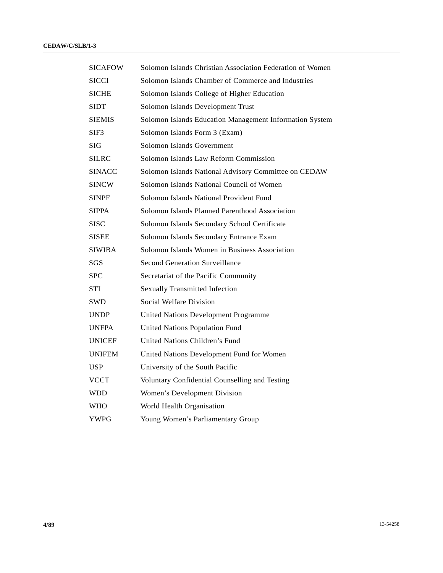| SICAFOW       | Solomon Islands Christian Association Federation of Women |
|---------------|-----------------------------------------------------------|
| <b>SICCI</b>  | Solomon Islands Chamber of Commerce and Industries        |
| <b>SICHE</b>  | Solomon Islands College of Higher Education               |
| <b>SIDT</b>   | Solomon Islands Development Trust                         |
| <b>SIEMIS</b> | Solomon Islands Education Management Information System   |
| SIF3          | Solomon Islands Form 3 (Exam)                             |
| <b>SIG</b>    | Solomon Islands Government                                |
| SILRC         | Solomon Islands Law Reform Commission                     |
| <b>SINACC</b> | Solomon Islands National Advisory Committee on CEDAW      |
| SINCW         | Solomon Islands National Council of Women                 |
| <b>SINPF</b>  | Solomon Islands National Provident Fund                   |
| <b>SIPPA</b>  | Solomon Islands Planned Parenthood Association            |
| SISC          | Solomon Islands Secondary School Certificate              |
| <b>SISEE</b>  | Solomon Islands Secondary Entrance Exam                   |
| <b>SIWIBA</b> | Solomon Islands Women in Business Association             |
| SGS           | <b>Second Generation Surveillance</b>                     |
| <b>SPC</b>    | Secretariat of the Pacific Community                      |
| STI           | <b>Sexually Transmitted Infection</b>                     |
| SWD           | Social Welfare Division                                   |
| <b>UNDP</b>   | <b>United Nations Development Programme</b>               |
| <b>UNFPA</b>  | United Nations Population Fund                            |
| <b>UNICEF</b> | United Nations Children's Fund                            |
| <b>UNIFEM</b> | United Nations Development Fund for Women                 |
| <b>USP</b>    | University of the South Pacific                           |
| <b>VCCT</b>   | Voluntary Confidential Counselling and Testing            |
| WDD           | Women's Development Division                              |
| WHO           | World Health Organisation                                 |
| YWPG          | Young Women's Parliamentary Group                         |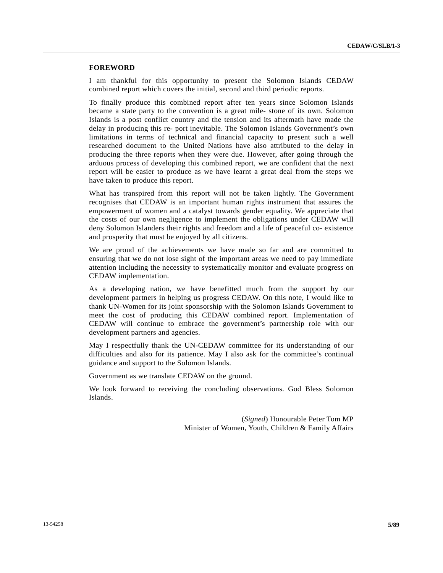# **FOREWORD**

I am thankful for this opportunity to present the Solomon Islands CEDAW combined report which covers the initial, second and third periodic reports.

To finally produce this combined report after ten years since Solomon Islands became a state party to the convention is a great mile- stone of its own. Solomon Islands is a post conflict country and the tension and its aftermath have made the delay in producing this re- port inevitable. The Solomon Islands Government's own limitations in terms of technical and financial capacity to present such a well researched document to the United Nations have also attributed to the delay in producing the three reports when they were due. However, after going through the arduous process of developing this combined report, we are confident that the next report will be easier to produce as we have learnt a great deal from the steps we have taken to produce this report.

What has transpired from this report will not be taken lightly. The Government recognises that CEDAW is an important human rights instrument that assures the empowerment of women and a catalyst towards gender equality. We appreciate that the costs of our own negligence to implement the obligations under CEDAW will deny Solomon Islanders their rights and freedom and a life of peaceful co- existence and prosperity that must be enjoyed by all citizens.

We are proud of the achievements we have made so far and are committed to ensuring that we do not lose sight of the important areas we need to pay immediate attention including the necessity to systematically monitor and evaluate progress on CEDAW implementation.

As a developing nation, we have benefitted much from the support by our development partners in helping us progress CEDAW. On this note, I would like to thank UN-Women for its joint sponsorship with the Solomon Islands Government to meet the cost of producing this CEDAW combined report. Implementation of CEDAW will continue to embrace the government's partnership role with our development partners and agencies.

May I respectfully thank the UN-CEDAW committee for its understanding of our difficulties and also for its patience. May I also ask for the committee's continual guidance and support to the Solomon Islands.

Government as we translate CEDAW on the ground.

We look forward to receiving the concluding observations. God Bless Solomon Islands.

> (*Signed*) Honourable Peter Tom MP Minister of Women, Youth, Children & Family Affairs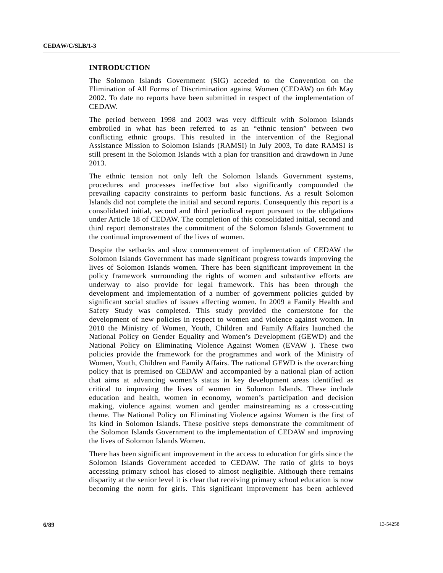# **INTRODUCTION**

The Solomon Islands Government (SIG) acceded to the Convention on the Elimination of All Forms of Discrimination against Women (CEDAW) on 6th May 2002. To date no reports have been submitted in respect of the implementation of CEDAW.

The period between 1998 and 2003 was very difficult with Solomon Islands embroiled in what has been referred to as an "ethnic tension" between two conflicting ethnic groups. This resulted in the intervention of the Regional Assistance Mission to Solomon Islands (RAMSI) in July 2003, To date RAMSI is still present in the Solomon Islands with a plan for transition and drawdown in June 2013.

The ethnic tension not only left the Solomon Islands Government systems, procedures and processes ineffective but also significantly compounded the prevailing capacity constraints to perform basic functions. As a result Solomon Islands did not complete the initial and second reports. Consequently this report is a consolidated initial, second and third periodical report pursuant to the obligations under Article 18 of CEDAW. The completion of this consolidated initial, second and third report demonstrates the commitment of the Solomon Islands Government to the continual improvement of the lives of women.

Despite the setbacks and slow commencement of implementation of CEDAW the Solomon Islands Government has made significant progress towards improving the lives of Solomon Islands women. There has been significant improvement in the policy framework surrounding the rights of women and substantive efforts are underway to also provide for legal framework. This has been through the development and implementation of a number of government policies guided by significant social studies of issues affecting women. In 2009 a Family Health and Safety Study was completed. This study provided the cornerstone for the development of new policies in respect to women and violence against women. In 2010 the Ministry of Women, Youth, Children and Family Affairs launched the National Policy on Gender Equality and Women's Development (GEWD) and the National Policy on Eliminating Violence Against Women (EVAW ). These two policies provide the framework for the programmes and work of the Ministry of Women, Youth, Children and Family Affairs. The national GEWD is the overarching policy that is premised on CEDAW and accompanied by a national plan of action that aims at advancing women's status in key development areas identified as critical to improving the lives of women in Solomon Islands. These include education and health, women in economy, women's participation and decision making, violence against women and gender mainstreaming as a cross-cutting theme. The National Policy on Eliminating Violence against Women is the first of its kind in Solomon Islands. These positive steps demonstrate the commitment of the Solomon Islands Government to the implementation of CEDAW and improving the lives of Solomon Islands Women.

There has been significant improvement in the access to education for girls since the Solomon Islands Government acceded to CEDAW. The ratio of girls to boys accessing primary school has closed to almost negligible. Although there remains disparity at the senior level it is clear that receiving primary school education is now becoming the norm for girls. This significant improvement has been achieved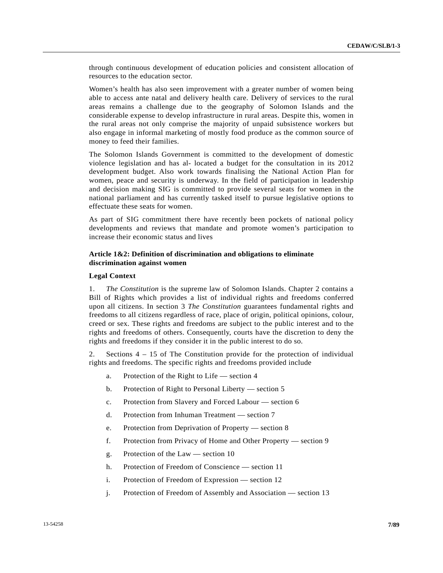through continuous development of education policies and consistent allocation of resources to the education sector.

Women's health has also seen improvement with a greater number of women being able to access ante natal and delivery health care. Delivery of services to the rural areas remains a challenge due to the geography of Solomon Islands and the considerable expense to develop infrastructure in rural areas. Despite this, women in the rural areas not only comprise the majority of unpaid subsistence workers but also engage in informal marketing of mostly food produce as the common source of money to feed their families.

The Solomon Islands Government is committed to the development of domestic violence legislation and has al- located a budget for the consultation in its 2012 development budget. Also work towards finalising the National Action Plan for women, peace and security is underway. In the field of participation in leadership and decision making SIG is committed to provide several seats for women in the national parliament and has currently tasked itself to pursue legislative options to effectuate these seats for women.

As part of SIG commitment there have recently been pockets of national policy developments and reviews that mandate and promote women's participation to increase their economic status and lives

# **Article 1&2: Definition of discrimination and obligations to eliminate discrimination against women**

#### **Legal Context**

1. *The Constitution* is the supreme law of Solomon Islands. Chapter 2 contains a Bill of Rights which provides a list of individual rights and freedoms conferred upon all citizens. In section 3 *The Constitution* guarantees fundamental rights and freedoms to all citizens regardless of race, place of origin, political opinions, colour, creed or sex. These rights and freedoms are subject to the public interest and to the rights and freedoms of others. Consequently, courts have the discretion to deny the rights and freedoms if they consider it in the public interest to do so.

2. Sections 4 – 15 of The Constitution provide for the protection of individual rights and freedoms. The specific rights and freedoms provided include

- a. Protection of the Right to Life section 4
- b. Protection of Right to Personal Liberty section 5
- c. Protection from Slavery and Forced Labour section 6
- d. Protection from Inhuman Treatment section 7
- e. Protection from Deprivation of Property section 8
- f. Protection from Privacy of Home and Other Property section 9
- g. Protection of the Law section 10
- h. Protection of Freedom of Conscience section 11
- i. Protection of Freedom of Expression section 12
- j. Protection of Freedom of Assembly and Association section 13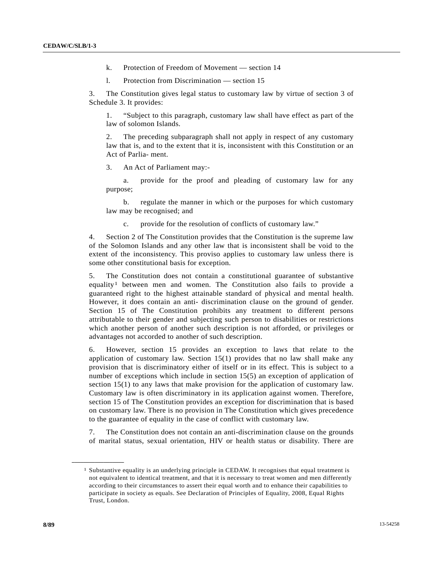- k. Protection of Freedom of Movement section 14
- l. Protection from Discrimination section 15

3. The Constitution gives legal status to customary law by virtue of section 3 of Schedule 3. It provides:

 1. "Subject to this paragraph, customary law shall have effect as part of the law of solomon Islands.

 2. The preceding subparagraph shall not apply in respect of any customary law that is, and to the extent that it is, inconsistent with this Constitution or an Act of Parlia- ment.

3. An Act of Parliament may:-

 a. provide for the proof and pleading of customary law for any purpose;

 b. regulate the manner in which or the purposes for which customary law may be recognised; and

c. provide for the resolution of conflicts of customary law."

4. Section 2 of The Constitution provides that the Constitution is the supreme law of the Solomon Islands and any other law that is inconsistent shall be void to the extent of the inconsistency. This proviso applies to customary law unless there is some other constitutional basis for exception.

5. The Constitution does not contain a constitutional guarantee of substantive equality<sup>1</sup> between men and women. The Constitution also fails to provide a guaranteed right to the highest attainable standard of physical and mental health. However, it does contain an anti- discrimination clause on the ground of gender. Section 15 of The Constitution prohibits any treatment to different persons attributable to their gender and subjecting such person to disabilities or restrictions which another person of another such description is not afforded, or privileges or advantages not accorded to another of such description.

6. However, section 15 provides an exception to laws that relate to the application of customary law. Section 15(1) provides that no law shall make any provision that is discriminatory either of itself or in its effect. This is subject to a number of exceptions which include in section 15(5) an exception of application of section 15(1) to any laws that make provision for the application of customary law. Customary law is often discriminatory in its application against women. Therefore, section 15 of The Constitution provides an exception for discrimination that is based on customary law. There is no provision in The Constitution which gives precedence to the guarantee of equality in the case of conflict with customary law.

7. The Constitution does not contain an anti-discrimination clause on the grounds of marital status, sexual orientation, HIV or health status or disability. There are

<span id="page-7-0"></span><sup>&</sup>lt;sup>1</sup> Substantive equality is an underlying principle in CEDAW. It recognises that equal treatment is not equivalent to identical treatment, and that it is necessary to treat women and men differently according to their circumstances to assert their equal worth and to enhance their capabilities to participate in society as equals. See Declaration of Principles of Equality, 2008, Equal Rights Trust, London.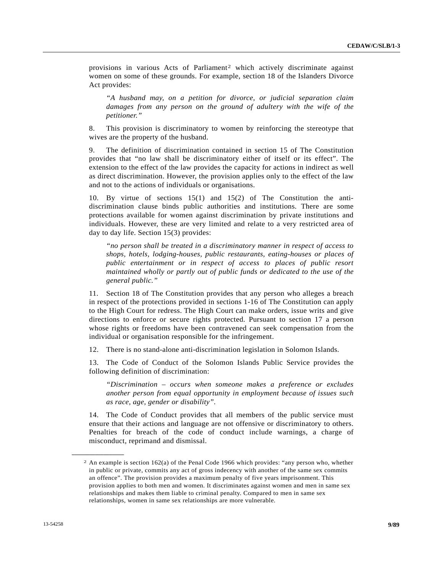provisions in various Acts of Parliament<sup>[2](#page-8-0)</sup> which actively discriminate against women on some of these grounds. For example, section 18 of the Islanders Divorce Act provides:

*"A husband may, on a petition for divorce, or judicial separation claim*  damages from any person on the ground of adultery with the wife of the *petitioner."* 

8. This provision is discriminatory to women by reinforcing the stereotype that wives are the property of the husband.

9. The definition of discrimination contained in section 15 of The Constitution provides that "no law shall be discriminatory either of itself or its effect". The extension to the effect of the law provides the capacity for actions in indirect as well as direct discrimination. However, the provision applies only to the effect of the law and not to the actions of individuals or organisations.

10. By virtue of sections 15(1) and 15(2) of The Constitution the antidiscrimination clause binds public authorities and institutions. There are some protections available for women against discrimination by private institutions and individuals. However, these are very limited and relate to a very restricted area of day to day life. Section 15(3) provides:

*"no person shall be treated in a discriminatory manner in respect of access to shops, hotels, lodging-houses, public restaurants, eating-houses or places of public entertainment or in respect of access to places of public resort maintained wholly or partly out of public funds or dedicated to the use of the general public."* 

11. Section 18 of The Constitution provides that any person who alleges a breach in respect of the protections provided in sections 1-16 of The Constitution can apply to the High Court for redress. The High Court can make orders, issue writs and give directions to enforce or secure rights protected. Pursuant to section 17 a person whose rights or freedoms have been contravened can seek compensation from the individual or organisation responsible for the infringement.

12. There is no stand-alone anti-discrimination legislation in Solomon Islands.

13. The Code of Conduct of the Solomon Islands Public Service provides the following definition of discrimination:

*"Discrimination – occurs when someone makes a preference or excludes another person from equal opportunity in employment because of issues such as race, age, gender or disability".* 

14. The Code of Conduct provides that all members of the public service must ensure that their actions and language are not offensive or discriminatory to others. Penalties for breach of the code of conduct include warnings, a charge of misconduct, reprimand and dismissal.

<span id="page-8-0"></span><sup>2</sup> An example is section 162(a) of the Penal Code 1966 which provides: "any person who, whether in public or private, commits any act of gross indecency with another of the same sex commits an offence". The provision provides a maximum penalty of five years imprisonment. This provision applies to both men and women. It discriminates against women and men in same sex relationships and makes them liable to criminal penalty. Compared to men in same sex relationships, women in same sex relationships are more vulnerable.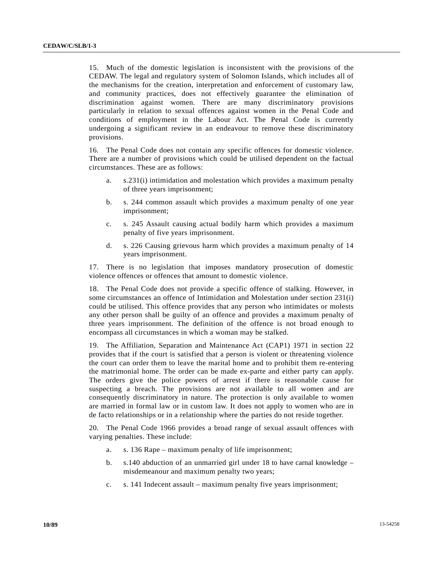15. Much of the domestic legislation is inconsistent with the provisions of the CEDAW. The legal and regulatory system of Solomon Islands, which includes all of the mechanisms for the creation, interpretation and enforcement of customary law, and community practices, does not effectively guarantee the elimination of discrimination against women. There are many discriminatory provisions particularly in relation to sexual offences against women in the Penal Code and conditions of employment in the Labour Act. The Penal Code is currently undergoing a significant review in an endeavour to remove these discriminatory provisions.

16. The Penal Code does not contain any specific offences for domestic violence. There are a number of provisions which could be utilised dependent on the factual circumstances. These are as follows:

- a. s.231(i) intimidation and molestation which provides a maximum penalty of three years imprisonment;
- b. s. 244 common assault which provides a maximum penalty of one year imprisonment;
- c. s. 245 Assault causing actual bodily harm which provides a maximum penalty of five years imprisonment.
- d. s. 226 Causing grievous harm which provides a maximum penalty of 14 years imprisonment.

17. There is no legislation that imposes mandatory prosecution of domestic violence offences or offences that amount to domestic violence.

18. The Penal Code does not provide a specific offence of stalking. However, in some circumstances an offence of Intimidation and Molestation under section 231(i) could be utilised. This offence provides that any person who intimidates or molests any other person shall be guilty of an offence and provides a maximum penalty of three years imprisonment. The definition of the offence is not broad enough to encompass all circumstances in which a woman may be stalked.

19. The Affiliation, Separation and Maintenance Act (CAP1) 1971 in section 22 provides that if the court is satisfied that a person is violent or threatening violence the court can order them to leave the marital home and to prohibit them re-entering the matrimonial home. The order can be made ex-parte and either party can apply. The orders give the police powers of arrest if there is reasonable cause for suspecting a breach. The provisions are not available to all women and are consequently discriminatory in nature. The protection is only available to women are married in formal law or in custom law. It does not apply to women who are in de facto relationships or in a relationship where the parties do not reside together.

20. The Penal Code 1966 provides a broad range of sexual assault offences with varying penalties. These include:

- a. s. 136 Rape maximum penalty of life imprisonment;
- b. s.140 abduction of an unmarried girl under 18 to have carnal knowledge misdemeanour and maximum penalty two years;
- c. s. 141 Indecent assault maximum penalty five years imprisonment;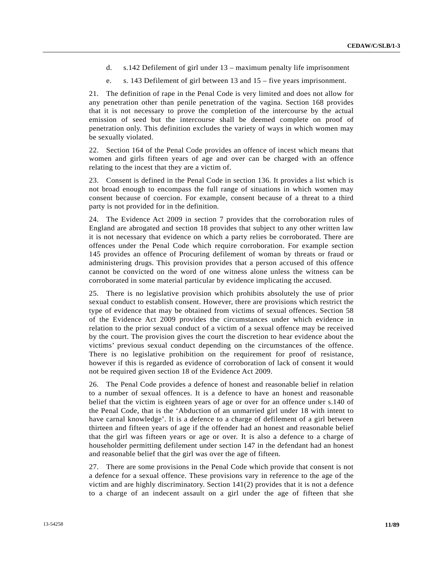- d. s.142 Defilement of girl under 13 maximum penalty life imprisonment
- e. s. 143 Defilement of girl between 13 and 15 five years imprisonment.

21. The definition of rape in the Penal Code is very limited and does not allow for any penetration other than penile penetration of the vagina. Section 168 provides that it is not necessary to prove the completion of the intercourse by the actual emission of seed but the intercourse shall be deemed complete on proof of penetration only. This definition excludes the variety of ways in which women may be sexually violated.

22. Section 164 of the Penal Code provides an offence of incest which means that women and girls fifteen years of age and over can be charged with an offence relating to the incest that they are a victim of.

23. Consent is defined in the Penal Code in section 136. It provides a list which is not broad enough to encompass the full range of situations in which women may consent because of coercion. For example, consent because of a threat to a third party is not provided for in the definition.

24. The Evidence Act 2009 in section 7 provides that the corroboration rules of England are abrogated and section 18 provides that subject to any other written law it is not necessary that evidence on which a party relies be corroborated. There are offences under the Penal Code which require corroboration. For example section 145 provides an offence of Procuring defilement of woman by threats or fraud or administering drugs. This provision provides that a person accused of this offence cannot be convicted on the word of one witness alone unless the witness can be corroborated in some material particular by evidence implicating the accused.

25. There is no legislative provision which prohibits absolutely the use of prior sexual conduct to establish consent. However, there are provisions which restrict the type of evidence that may be obtained from victims of sexual offences. Section 58 of the Evidence Act 2009 provides the circumstances under which evidence in relation to the prior sexual conduct of a victim of a sexual offence may be received by the court. The provision gives the court the discretion to hear evidence about the victims' previous sexual conduct depending on the circumstances of the offence. There is no legislative prohibition on the requirement for proof of resistance, however if this is regarded as evidence of corroboration of lack of consent it would not be required given section 18 of the Evidence Act 2009.

26. The Penal Code provides a defence of honest and reasonable belief in relation to a number of sexual offences. It is a defence to have an honest and reasonable belief that the victim is eighteen years of age or over for an offence under s.140 of the Penal Code, that is the 'Abduction of an unmarried girl under 18 with intent to have carnal knowledge'. It is a defence to a charge of defilement of a girl between thirteen and fifteen years of age if the offender had an honest and reasonable belief that the girl was fifteen years or age or over. It is also a defence to a charge of householder permitting defilement under section 147 in the defendant had an honest and reasonable belief that the girl was over the age of fifteen.

27. There are some provisions in the Penal Code which provide that consent is not a defence for a sexual offence. These provisions vary in reference to the age of the victim and are highly discriminatory. Section 141(2) provides that it is not a defence to a charge of an indecent assault on a girl under the age of fifteen that she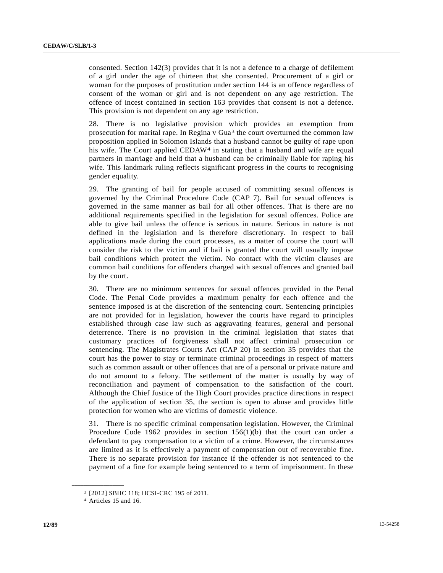consented. Section 142(3) provides that it is not a defence to a charge of defilement of a girl under the age of thirteen that she consented. Procurement of a girl or woman for the purposes of prostitution under section 144 is an offence regardless of consent of the woman or girl and is not dependent on any age restriction. The offence of incest contained in section 163 provides that consent is not a defence. This provision is not dependent on any age restriction.

28. There is no legislative provision which provides an exemption from prosecution for marital rape. In Regina v Gua[3](#page-11-0) the court overturned the common law proposition applied in Solomon Islands that a husband cannot be guilty of rape upon his wife. The Court applied CEDAW<sup>4</sup> in stating that a husband and wife are equal partners in marriage and held that a husband can be criminally liable for raping his wife. This landmark ruling reflects significant progress in the courts to recognising gender equality.

29. The granting of bail for people accused of committing sexual offences is governed by the Criminal Procedure Code (CAP 7). Bail for sexual offences is governed in the same manner as bail for all other offences. That is there are no additional requirements specified in the legislation for sexual offences. Police are able to give bail unless the offence is serious in nature. Serious in nature is not defined in the legislation and is therefore discretionary. In respect to bail applications made during the court processes, as a matter of course the court will consider the risk to the victim and if bail is granted the court will usually impose bail conditions which protect the victim. No contact with the victim clauses are common bail conditions for offenders charged with sexual offences and granted bail by the court.

30. There are no minimum sentences for sexual offences provided in the Penal Code. The Penal Code provides a maximum penalty for each offence and the sentence imposed is at the discretion of the sentencing court. Sentencing principles are not provided for in legislation, however the courts have regard to principles established through case law such as aggravating features, general and personal deterrence. There is no provision in the criminal legislation that states that customary practices of forgiveness shall not affect criminal prosecution or sentencing. The Magistrates Courts Act (CAP 20) in section 35 provides that the court has the power to stay or terminate criminal proceedings in respect of matters such as common assault or other offences that are of a personal or private nature and do not amount to a felony. The settlement of the matter is usually by way of reconciliation and payment of compensation to the satisfaction of the court. Although the Chief Justice of the High Court provides practice directions in respect of the application of section 35, the section is open to abuse and provides little protection for women who are victims of domestic violence.

31. There is no specific criminal compensation legislation. However, the Criminal Procedure Code 1962 provides in section  $156(1)(b)$  that the court can order a defendant to pay compensation to a victim of a crime. However, the circumstances are limited as it is effectively a payment of compensation out of recoverable fine. There is no separate provision for instance if the offender is not sentenced to the payment of a fine for example being sentenced to a term of imprisonment. In these

<span id="page-11-0"></span><sup>3 [2012]</sup> SBHC 118; HCSI-CRC 195 of 2011.

<span id="page-11-1"></span><sup>4</sup> Articles 15 and 16.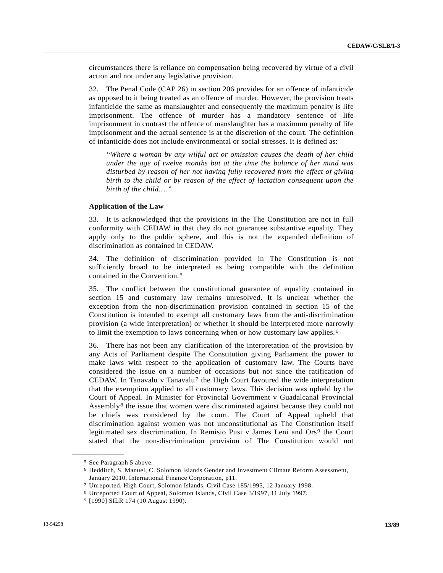circumstances there is reliance on compensation being recovered by virtue of a civil action and not under any legislative provision.

32. The Penal Code (CAP 26) in section 206 provides for an offence of infanticide as opposed to it being treated as an offence of murder. However, the provision treats infanticide the same as manslaughter and consequently the maximum penalty is life imprisonment. The offence of murder has a mandatory sentence of life imprisonment in contrast the offence of manslaughter has a maximum penalty of life imprisonment and the actual sentence is at the discretion of the court. The definition of infanticide does not include environmental or social stresses. It is defined as:

*"Where a woman by any wilful act or omission causes the death of her child under the age of twelve months but at the time the balance of her mind was disturbed by reason of her not having fully recovered from the effect of giving birth to the child or by reason of the effect of lactation consequent upon the birth of the child…."* 

# **Application of the Law**

33. It is acknowledged that the provisions in the The Constitution are not in full conformity with CEDAW in that they do not guarantee substantive equality. They apply only to the public sphere, and this is not the expanded definition of discrimination as contained in CEDAW.

34. The definition of discrimination provided in The Constitution is not sufficiently broad to be interpreted as being compatible with the definition contained in the Convention.[5](#page-12-0)

35. The conflict between the constitutional guarantee of equality contained in section 15 and customary law remains unresolved. It is unclear whether the exception from the non-discrimination provision contained in section 15 of the Constitution is intended to exempt all customary laws from the anti-discrimination provision (a wide interpretation) or whether it should be interpreted more narrowly to limit the exemption to laws concerning when or how customary law applies.[6](#page-12-1)

36. There has not been any clarification of the interpretation of the provision by any Acts of Parliament despite The Constitution giving Parliament the power to make laws with respect to the application of customary law. The Courts have considered the issue on a number of occasions but not since the ratification of CEDAW. In Tanavalu v Tanavalu<sup>[7](#page-12-2)</sup> the High Court favoured the wide interpretation that the exemption applied to all customary laws. This decision was upheld by the Court of Appeal. In Minister for Provincial Government v Guadalcanal Provincial Assembly[8](#page-12-3) the issue that women were discriminated against because they could not be chiefs was considered by the court. The Court of Appeal upheld that discrimination against women was not unconstitutional as The Constitution itself legitimated sex discrimination. In Remisio Pusi v James Leni and Ors[9](#page-12-4) the Court stated that the non-discrimination provision of The Constitution would not

<span id="page-12-1"></span><span id="page-12-0"></span><sup>5</sup> See Paragraph 5 above.

<sup>6</sup> Hedditch, S. Manuel, C. Solomon Islands Gender and Investment Climate Reform Assessment, January 2010, International Finance Corporation, p11.

<span id="page-12-2"></span><sup>7</sup> Unreported, High Court, Solomon Islands, Civil Case 185/1995, 12 January 1998. 8 Unreported Court of Appeal, Solomon Islands, Civil Case 3/1997, 11 July 1997. 9 [1990] SILR 174 (10 August 1990).

<span id="page-12-4"></span><span id="page-12-3"></span>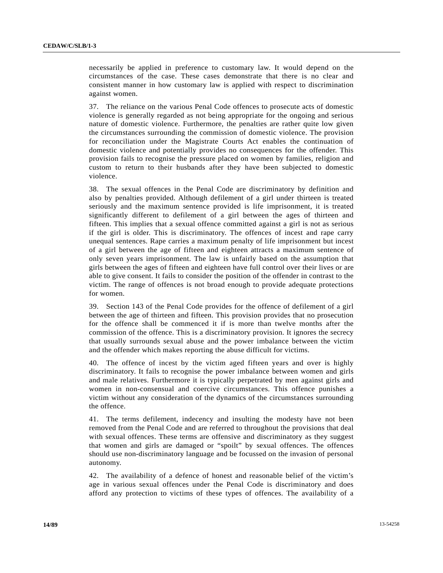necessarily be applied in preference to customary law. It would depend on the circumstances of the case. These cases demonstrate that there is no clear and consistent manner in how customary law is applied with respect to discrimination against women.

37. The reliance on the various Penal Code offences to prosecute acts of domestic violence is generally regarded as not being appropriate for the ongoing and serious nature of domestic violence. Furthermore, the penalties are rather quite low given the circumstances surrounding the commission of domestic violence. The provision for reconciliation under the Magistrate Courts Act enables the continuation of domestic violence and potentially provides no consequences for the offender. This provision fails to recognise the pressure placed on women by families, religion and custom to return to their husbands after they have been subjected to domestic violence.

38. The sexual offences in the Penal Code are discriminatory by definition and also by penalties provided. Although defilement of a girl under thirteen is treated seriously and the maximum sentence provided is life imprisonment, it is treated significantly different to defilement of a girl between the ages of thirteen and fifteen. This implies that a sexual offence committed against a girl is not as serious if the girl is older. This is discriminatory. The offences of incest and rape carry unequal sentences. Rape carries a maximum penalty of life imprisonment but incest of a girl between the age of fifteen and eighteen attracts a maximum sentence of only seven years imprisonment. The law is unfairly based on the assumption that girls between the ages of fifteen and eighteen have full control over their lives or are able to give consent. It fails to consider the position of the offender in contrast to the victim. The range of offences is not broad enough to provide adequate protections for women.

39. Section 143 of the Penal Code provides for the offence of defilement of a girl between the age of thirteen and fifteen. This provision provides that no prosecution for the offence shall be commenced it if is more than twelve months after the commission of the offence. This is a discriminatory provision. It ignores the secrecy that usually surrounds sexual abuse and the power imbalance between the victim and the offender which makes reporting the abuse difficult for victims.

40. The offence of incest by the victim aged fifteen years and over is highly discriminatory. It fails to recognise the power imbalance between women and girls and male relatives. Furthermore it is typically perpetrated by men against girls and women in non-consensual and coercive circumstances. This offence punishes a victim without any consideration of the dynamics of the circumstances surrounding the offence.

41. The terms defilement, indecency and insulting the modesty have not been removed from the Penal Code and are referred to throughout the provisions that deal with sexual offences. These terms are offensive and discriminatory as they suggest that women and girls are damaged or "spoilt" by sexual offences. The offences should use non-discriminatory language and be focussed on the invasion of personal autonomy.

42. The availability of a defence of honest and reasonable belief of the victim's age in various sexual offences under the Penal Code is discriminatory and does afford any protection to victims of these types of offences. The availability of a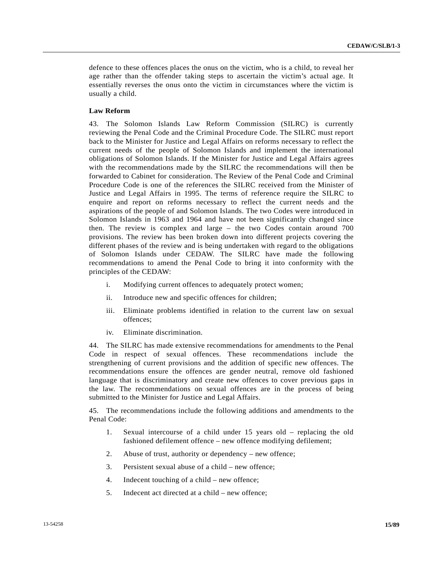defence to these offences places the onus on the victim, who is a child, to reveal her age rather than the offender taking steps to ascertain the victim's actual age. It essentially reverses the onus onto the victim in circumstances where the victim is usually a child.

# **Law Reform**

43. The Solomon Islands Law Reform Commission (SILRC) is currently reviewing the Penal Code and the Criminal Procedure Code. The SILRC must report back to the Minister for Justice and Legal Affairs on reforms necessary to reflect the current needs of the people of Solomon Islands and implement the international obligations of Solomon Islands. If the Minister for Justice and Legal Affairs agrees with the recommendations made by the SILRC the recommendations will then be forwarded to Cabinet for consideration. The Review of the Penal Code and Criminal Procedure Code is one of the references the SILRC received from the Minister of Justice and Legal Affairs in 1995. The terms of reference require the SILRC to enquire and report on reforms necessary to reflect the current needs and the aspirations of the people of and Solomon Islands. The two Codes were introduced in Solomon Islands in 1963 and 1964 and have not been significantly changed since then. The review is complex and large – the two Codes contain around 700 provisions. The review has been broken down into different projects covering the different phases of the review and is being undertaken with regard to the obligations of Solomon Islands under CEDAW. The SILRC have made the following recommendations to amend the Penal Code to bring it into conformity with the principles of the CEDAW:

- i. Modifying current offences to adequately protect women;
- ii. Introduce new and specific offences for children;
- iii. Eliminate problems identified in relation to the current law on sexual offences;
- iv. Eliminate discrimination.

44. The SILRC has made extensive recommendations for amendments to the Penal Code in respect of sexual offences. These recommendations include the strengthening of current provisions and the addition of specific new offences. The recommendations ensure the offences are gender neutral, remove old fashioned language that is discriminatory and create new offences to cover previous gaps in the law. The recommendations on sexual offences are in the process of being submitted to the Minister for Justice and Legal Affairs.

45. The recommendations include the following additions and amendments to the Penal Code:

- 1. Sexual intercourse of a child under 15 years old replacing the old fashioned defilement offence – new offence modifying defilement;
- 2. Abuse of trust, authority or dependency new offence;
- 3. Persistent sexual abuse of a child new offence;
- 4. Indecent touching of a child new offence;
- 5. Indecent act directed at a child new offence;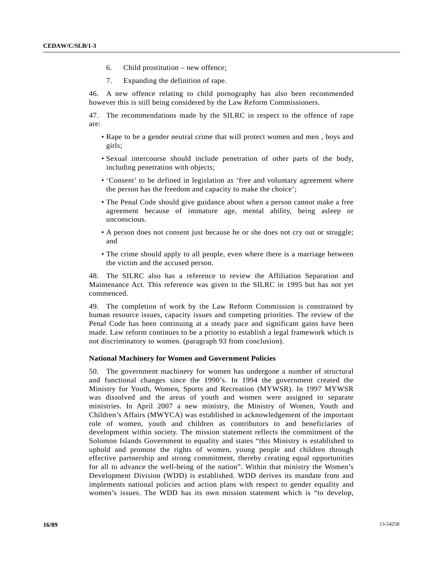- 6. Child prostitution new offence;
- 7. Expanding the definition of rape.

46. A new offence relating to child pornography has also been recommended however this is still being considered by the Law Reform Commissioners.

47. The recommendations made by the SILRC in respect to the offence of rape are:

- Rape to be a gender neutral crime that will protect women and men , boys and girls;
- Sexual intercourse should include penetration of other parts of the body, including penetration with objects;
- 'Consent' to be defined in legislation as 'free and voluntary agreement where the person has the freedom and capacity to make the choice';
- The Penal Code should give guidance about when a person cannot make a free agreement because of immature age, mental ability, being asleep or unconscious.
- A person does not consent just because he or she does not cry out or struggle; and
- The crime should apply to all people, even where there is a marriage between the victim and the accused person.

48. The SILRC also has a reference to review the Affiliation Separation and Maintenance Act. This reference was given to the SILRC in 1995 but has not yet commenced.

49. The completion of work by the Law Reform Commission is constrained by human resource issues, capacity issues and competing priorities. The review of the Penal Code has been continuing at a steady pace and significant gains have been made. Law reform continues to be a priority to establish a legal framework which is not discriminatory to women. (paragraph 93 from conclusion).

### **National Machinery for Women and Government Policies**

50. The government machinery for women has undergone a number of structural and functional changes since the 1990's. In 1994 the government created the Ministry for Youth, Women, Sports and Recreation (MYWSR). In 1997 MYWSR was dissolved and the areas of youth and women were assigned to separate ministries. In April 2007 a new ministry, the Ministry of Women, Youth and Children's Affairs (MWYCA) was established in acknowledgement of the important role of women, youth and children as contributors to and beneficiaries of development within society. The mission statement reflects the commitment of the Solomon Islands Government to equality and states "this Ministry is established to uphold and promote the rights of women, young people and children through effective partnership and strong commitment, thereby creating equal opportunities for all to advance the well-being of the nation". Within that ministry the Women's Development Division (WDD) is established. WDD derives its mandate from and implements national policies and action plans with respect to gender equality and women's issues. The WDD has its own mission statement which is "to develop,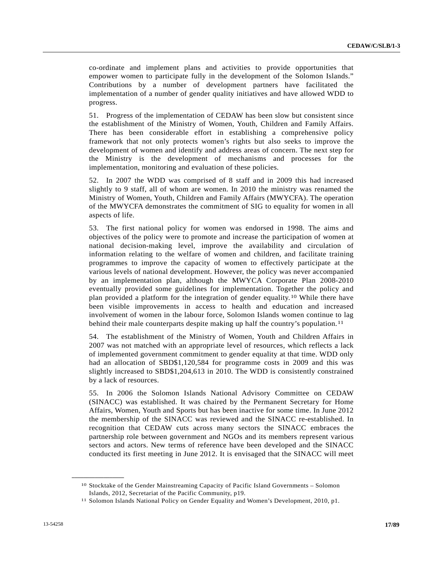co-ordinate and implement plans and activities to provide opportunities that empower women to participate fully in the development of the Solomon Islands." Contributions by a number of development partners have facilitated the implementation of a number of gender quality initiatives and have allowed WDD to progress.

51. Progress of the implementation of CEDAW has been slow but consistent since the establishment of the Ministry of Women, Youth, Children and Family Affairs. There has been considerable effort in establishing a comprehensive policy framework that not only protects women's rights but also seeks to improve the development of women and identify and address areas of concern. The next step for the Ministry is the development of mechanisms and processes for the implementation, monitoring and evaluation of these policies.

52. In 2007 the WDD was comprised of 8 staff and in 2009 this had increased slightly to 9 staff, all of whom are women. In 2010 the ministry was renamed the Ministry of Women, Youth, Children and Family Affairs (MWYCFA). The operation of the MWYCFA demonstrates the commitment of SIG to equality for women in all aspects of life.

53. The first national policy for women was endorsed in 1998. The aims and objectives of the policy were to promote and increase the participation of women at national decision-making level, improve the availability and circulation of information relating to the welfare of women and children, and facilitate training programmes to improve the capacity of women to effectively participate at the various levels of national development. However, the policy was never accompanied by an implementation plan, although the MWYCA Corporate Plan 2008-2010 eventually provided some guidelines for implementation. Together the policy and plan provided a platform for the integration of gender equality.[1](#page-16-0)0 While there have been visible improvements in access to health and education and increased involvement of women in the labour force, Solomon Islands women continue to lag behind their male counterparts despite making up half the country's population.<sup>[11](#page-16-1)</sup>

54. The establishment of the Ministry of Women, Youth and Children Affairs in 2007 was not matched with an appropriate level of resources, which reflects a lack of implemented government commitment to gender equality at that time. WDD only had an allocation of SBD\$1,120,584 for programme costs in 2009 and this was slightly increased to SBD\$1,204,613 in 2010. The WDD is consistently constrained by a lack of resources.

55. In 2006 the Solomon Islands National Advisory Committee on CEDAW (SINACC) was established. It was chaired by the Permanent Secretary for Home Affairs, Women, Youth and Sports but has been inactive for some time. In June 2012 the membership of the SINACC was reviewed and the SINACC re-established. In recognition that CEDAW cuts across many sectors the SINACC embraces the partnership role between government and NGOs and its members represent various sectors and actors. New terms of reference have been developed and the SINACC conducted its first meeting in June 2012. It is envisaged that the SINACC will meet

<span id="page-16-0"></span><sup>10</sup> Stocktake of the Gender Mainstreaming Capacity of Pacific Island Governments – Solomon Islands, 2012, Secretariat of the Pacific Community, p19.

<span id="page-16-1"></span><sup>11</sup> Solomon Islands National Policy on Gender Equality and Women's Development, 2010, p1.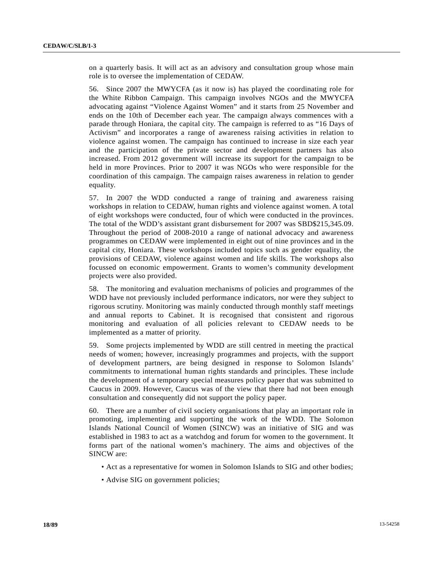on a quarterly basis. It will act as an advisory and consultation group whose main role is to oversee the implementation of CEDAW.

56. Since 2007 the MWYCFA (as it now is) has played the coordinating role for the White Ribbon Campaign. This campaign involves NGOs and the MWYCFA advocating against "Violence Against Women" and it starts from 25 November and ends on the 10th of December each year. The campaign always commences with a parade through Honiara, the capital city. The campaign is referred to as "16 Days of Activism" and incorporates a range of awareness raising activities in relation to violence against women. The campaign has continued to increase in size each year and the participation of the private sector and development partners has also increased. From 2012 government will increase its support for the campaign to be held in more Provinces. Prior to 2007 it was NGOs who were responsible for the coordination of this campaign. The campaign raises awareness in relation to gender equality.

57. In 2007 the WDD conducted a range of training and awareness raising workshops in relation to CEDAW, human rights and violence against women. A total of eight workshops were conducted, four of which were conducted in the provinces. The total of the WDD's assistant grant disbursement for 2007 was SBD\$215,345.09. Throughout the period of 2008-2010 a range of national advocacy and awareness programmes on CEDAW were implemented in eight out of nine provinces and in the capital city, Honiara. These workshops included topics such as gender equality, the provisions of CEDAW, violence against women and life skills. The workshops also focussed on economic empowerment. Grants to women's community development projects were also provided.

58. The monitoring and evaluation mechanisms of policies and programmes of the WDD have not previously included performance indicators, nor were they subject to rigorous scrutiny. Monitoring was mainly conducted through monthly staff meetings and annual reports to Cabinet. It is recognised that consistent and rigorous monitoring and evaluation of all policies relevant to CEDAW needs to be implemented as a matter of priority.

59. Some projects implemented by WDD are still centred in meeting the practical needs of women; however, increasingly programmes and projects, with the support of development partners, are being designed in response to Solomon Islands' commitments to international human rights standards and principles. These include the development of a temporary special measures policy paper that was submitted to Caucus in 2009. However, Caucus was of the view that there had not been enough consultation and consequently did not support the policy paper.

60. There are a number of civil society organisations that play an important role in promoting, implementing and supporting the work of the WDD. The Solomon Islands National Council of Women (SINCW) was an initiative of SIG and was established in 1983 to act as a watchdog and forum for women to the government. It forms part of the national women's machinery. The aims and objectives of the SINCW are:

- Act as a representative for women in Solomon Islands to SIG and other bodies;
- Advise SIG on government policies;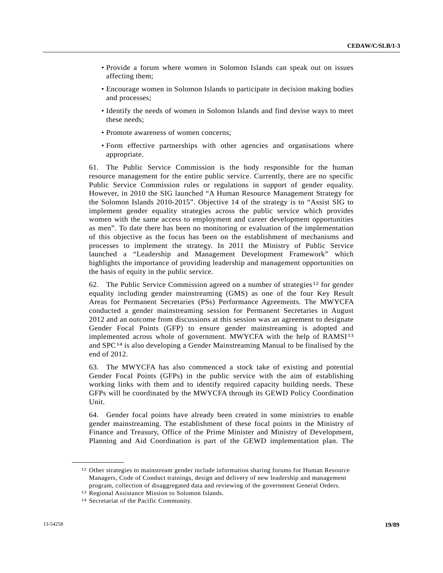- Provide a forum where women in Solomon Islands can speak out on issues affecting them;
- Encourage women in Solomon Islands to participate in decision making bodies and processes;
- Identify the needs of women in Solomon Islands and find devise ways to meet these needs;
- Promote awareness of women concerns;
- Form effective partnerships with other agencies and organisations where appropriate.

61. The Public Service Commission is the body responsible for the human resource management for the entire public service. Currently, there are no specific Public Service Commission rules or regulations in support of gender equality. However, in 2010 the SIG launched "A Human Resource Management Strategy for the Solomon Islands 2010-2015". Objective 14 of the strategy is to "Assist SIG to implement gender equality strategies across the public service which provides women with the same access to employment and career development opportunities as men". To date there has been no monitoring or evaluation of the implementation of this objective as the focus has been on the establishment of mechanisms and processes to implement the strategy. In 2011 the Ministry of Public Service launched a "Leadership and Management Development Framework" which highlights the importance of providing leadership and management opportunities on the basis of equity in the public service.

62. The Public Service Commission agreed on a number of strategies<sup>[12](#page-18-0)</sup> for gender equality including gender mainstreaming (GMS) as one of the four Key Result Areas for Permanent Secretaries (PSs) Performance Agreements. The MWYCFA conducted a gender mainstreaming session for Permanent Secretaries in August 2012 and an outcome from discussions at this session was an agreement to designate Gender Focal Points (GFP) to ensure gender mainstreaming is adopted and implemented across whole of government. MWYCFA with the help of RAMSI[13](#page-18-1) and SPC[14](#page-18-2) is also developing a Gender Mainstreaming Manual to be finalised by the end of 2012.

63. The MWYCFA has also commenced a stock take of existing and potential Gender Focal Points (GFPs) in the public service with the aim of establishing working links with them and to identify required capacity building needs. These GFPs will be coordinated by the MWYCFA through its GEWD Policy Coordination Unit.

64. Gender focal points have already been created in some ministries to enable gender mainstreaming. The establishment of these focal points in the Ministry of Finance and Treasury, Office of the Prime Minister and Ministry of Development, Planning and Aid Coordination is part of the GEWD implementation plan. The

<span id="page-18-0"></span><sup>12</sup> Other strategies to mainstream gender include information sharing forums for Human Resource Managers, Code of Conduct trainings, design and delivery of new leadership and management program, collection of disaggregated data and reviewing of the government General Orders.

<span id="page-18-2"></span><span id="page-18-1"></span><sup>13</sup> Regional Assistance Mission to Solomon Islands. 14 Secretariat of the Pacific Community.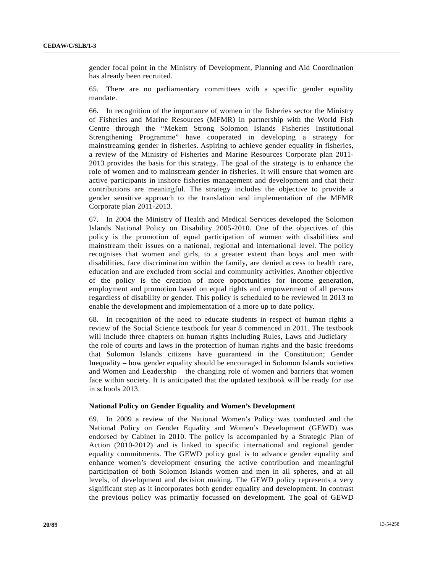gender focal point in the Ministry of Development, Planning and Aid Coordination has already been recruited.

65. There are no parliamentary committees with a specific gender equality mandate.

66. In recognition of the importance of women in the fisheries sector the Ministry of Fisheries and Marine Resources (MFMR) in partnership with the World Fish Centre through the "Mekem Strong Solomon Islands Fisheries Institutional Strengthening Programme" have cooperated in developing a strategy for mainstreaming gender in fisheries. Aspiring to achieve gender equality in fisheries, a review of the Ministry of Fisheries and Marine Resources Corporate plan 2011- 2013 provides the basis for this strategy. The goal of the strategy is to enhance the role of women and to mainstream gender in fisheries. It will ensure that women are active participants in inshore fisheries management and development and that their contributions are meaningful. The strategy includes the objective to provide a gender sensitive approach to the translation and implementation of the MFMR Corporate plan 2011-2013.

67. In 2004 the Ministry of Health and Medical Services developed the Solomon Islands National Policy on Disability 2005-2010. One of the objectives of this policy is the promotion of equal participation of women with disabilities and mainstream their issues on a national, regional and international level. The policy recognises that women and girls, to a greater extent than boys and men with disabilities, face discrimination within the family, are denied access to health care, education and are excluded from social and community activities. Another objective of the policy is the creation of more opportunities for income generation, employment and promotion based on equal rights and empowerment of all persons regardless of disability or gender. This policy is scheduled to be reviewed in 2013 to enable the development and implementation of a more up to date policy.

68. In recognition of the need to educate students in respect of human rights a review of the Social Science textbook for year 8 commenced in 2011. The textbook will include three chapters on human rights including Rules, Laws and Judiciary – the role of courts and laws in the protection of human rights and the basic freedoms that Solomon Islands citizens have guaranteed in the Constitution; Gender Inequality – how gender equality should be encouraged in Solomon Islands societies and Women and Leadership – the changing role of women and barriers that women face within society. It is anticipated that the updated textbook will be ready for use in schools 2013.

#### **National Policy on Gender Equality and Women's Development**

69. In 2009 a review of the National Women's Policy was conducted and the National Policy on Gender Equality and Women's Development (GEWD) was endorsed by Cabinet in 2010. The policy is accompanied by a Strategic Plan of Action (2010-2012) and is linked to specific international and regional gender equality commitments. The GEWD policy goal is to advance gender equality and enhance women's development ensuring the active contribution and meaningful participation of both Solomon Islands women and men in all spheres, and at all levels, of development and decision making. The GEWD policy represents a very significant step as it incorporates both gender equality and development. In contrast the previous policy was primarily focussed on development. The goal of GEWD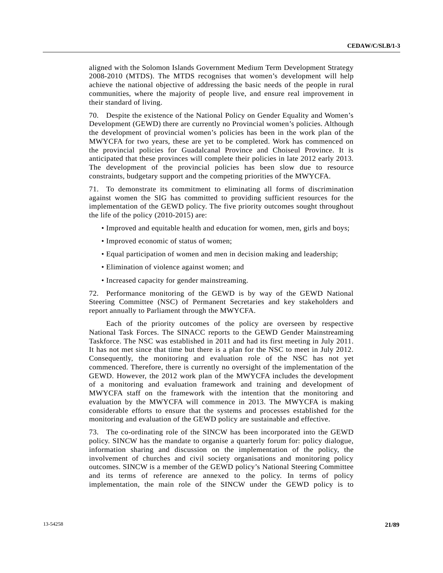aligned with the Solomon Islands Government Medium Term Development Strategy 2008-2010 (MTDS). The MTDS recognises that women's development will help achieve the national objective of addressing the basic needs of the people in rural communities, where the majority of people live, and ensure real improvement in their standard of living.

70. Despite the existence of the National Policy on Gender Equality and Women's Development (GEWD) there are currently no Provincial women's policies. Although the development of provincial women's policies has been in the work plan of the MWYCFA for two years, these are yet to be completed. Work has commenced on the provincial policies for Guadalcanal Province and Choiseul Province. It is anticipated that these provinces will complete their policies in late 2012 early 2013. The development of the provincial policies has been slow due to resource constraints, budgetary support and the competing priorities of the MWYCFA.

71. To demonstrate its commitment to eliminating all forms of discrimination against women the SIG has committed to providing sufficient resources for the implementation of the GEWD policy. The five priority outcomes sought throughout the life of the policy (2010-2015) are:

- Improved and equitable health and education for women, men, girls and boys;
- Improved economic of status of women;
- Equal participation of women and men in decision making and leadership;
- Elimination of violence against women; and
- Increased capacity for gender mainstreaming.

72. Performance monitoring of the GEWD is by way of the GEWD National Steering Committee (NSC) of Permanent Secretaries and key stakeholders and report annually to Parliament through the MWYCFA.

 Each of the priority outcomes of the policy are overseen by respective National Task Forces. The SINACC reports to the GEWD Gender Mainstreaming Taskforce. The NSC was established in 2011 and had its first meeting in July 2011. It has not met since that time but there is a plan for the NSC to meet in July 2012. Consequently, the monitoring and evaluation role of the NSC has not yet commenced. Therefore, there is currently no oversight of the implementation of the GEWD. However, the 2012 work plan of the MWYCFA includes the development of a monitoring and evaluation framework and training and development of MWYCFA staff on the framework with the intention that the monitoring and evaluation by the MWYCFA will commence in 2013. The MWYCFA is making considerable efforts to ensure that the systems and processes established for the monitoring and evaluation of the GEWD policy are sustainable and effective.

73. The co-ordinating role of the SINCW has been incorporated into the GEWD policy. SINCW has the mandate to organise a quarterly forum for: policy dialogue, information sharing and discussion on the implementation of the policy, the involvement of churches and civil society organisations and monitoring policy outcomes. SINCW is a member of the GEWD policy's National Steering Committee and its terms of reference are annexed to the policy. In terms of policy implementation, the main role of the SINCW under the GEWD policy is to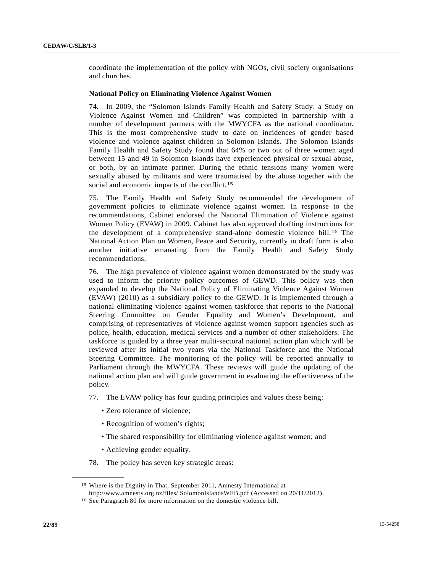coordinate the implementation of the policy with NGOs, civil society organisations and churches.

#### **National Policy on Eliminating Violence Against Women**

74. In 2009, the "Solomon Islands Family Health and Safety Study: a Study on Violence Against Women and Children" was completed in partnership with a number of development partners with the MWYCFA as the national coordinator. This is the most comprehensive study to date on incidences of gender based violence and violence against children in Solomon Islands. The Solomon Islands Family Health and Safety Study found that 64% or two out of three women aged between 15 and 49 in Solomon Islands have experienced physical or sexual abuse, or both, by an intimate partner. During the ethnic tensions many women were sexually abused by militants and were traumatised by the abuse together with the social and economic impacts of the conflict.<sup>[1](#page-21-0)5</sup>

75. The Family Health and Safety Study recommended the development of government policies to eliminate violence against women. In response to the recommendations, Cabinet endorsed the National Elimination of Violence against Women Policy (EVAW) in 2009. Cabinet has also approved drafting instructions for the development of a comprehensive stand-alone domestic violence bill.<sup>[16](#page-21-1)</sup> The National Action Plan on Women, Peace and Security, currently in draft form is also another initiative emanating from the Family Health and Safety Study recommendations.

76. The high prevalence of violence against women demonstrated by the study was used to inform the priority policy outcomes of GEWD. This policy was then expanded to develop the National Policy of Eliminating Violence Against Women (EVAW) (2010) as a subsidiary policy to the GEWD. It is implemented through a national eliminating violence against women taskforce that reports to the National Steering Committee on Gender Equality and Women's Development, and comprising of representatives of violence against women support agencies such as police, health, education, medical services and a number of other stakeholders. The taskforce is guided by a three year multi-sectoral national action plan which will be reviewed after its initial two years via the National Taskforce and the National Steering Committee. The monitoring of the policy will be reported annually to Parliament through the MWYCFA. These reviews will guide the updating of the national action plan and will guide government in evaluating the effectiveness of the policy.

- 77. The EVAW policy has four guiding principles and values these being:
	- Zero tolerance of violence;
	- Recognition of women's rights;
	- The shared responsibility for eliminating violence against women; and
	- Achieving gender equality.

<span id="page-21-1"></span><span id="page-21-0"></span>**\_\_\_\_\_\_\_\_\_\_\_\_\_\_\_\_\_\_** 

78. The policy has seven key strategic areas:

<sup>15</sup> Where is the Dignity in That, September 2011, Amnesty International at

http://www.amnesty.org.nz/files/ SolomonIslandsWEB.pdf (Accessed on 20/11/2012).

<sup>16</sup> See Paragraph 80 for more information on the domestic violence bill.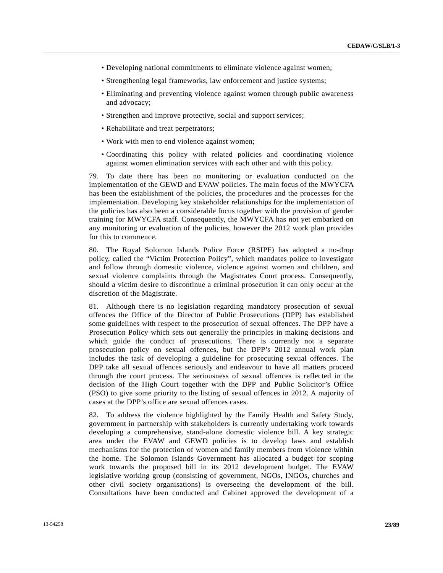- Developing national commitments to eliminate violence against women;
- Strengthening legal frameworks, law enforcement and justice systems;
- Eliminating and preventing violence against women through public awareness and advocacy;
- Strengthen and improve protective, social and support services;
- Rehabilitate and treat perpetrators;
- Work with men to end violence against women;
- Coordinating this policy with related policies and coordinating violence against women elimination services with each other and with this policy.

79. To date there has been no monitoring or evaluation conducted on the implementation of the GEWD and EVAW policies. The main focus of the MWYCFA has been the establishment of the policies, the procedures and the processes for the implementation. Developing key stakeholder relationships for the implementation of the policies has also been a considerable focus together with the provision of gender training for MWYCFA staff. Consequently, the MWYCFA has not yet embarked on any monitoring or evaluation of the policies, however the 2012 work plan provides for this to commence.

80. The Royal Solomon Islands Police Force (RSIPF) has adopted a no-drop policy, called the "Victim Protection Policy", which mandates police to investigate and follow through domestic violence, violence against women and children, and sexual violence complaints through the Magistrates Court process. Consequently, should a victim desire to discontinue a criminal prosecution it can only occur at the discretion of the Magistrate.

81. Although there is no legislation regarding mandatory prosecution of sexual offences the Office of the Director of Public Prosecutions (DPP) has established some guidelines with respect to the prosecution of sexual offences. The DPP have a Prosecution Policy which sets out generally the principles in making decisions and which guide the conduct of prosecutions. There is currently not a separate prosecution policy on sexual offences, but the DPP's 2012 annual work plan includes the task of developing a guideline for prosecuting sexual offences. The DPP take all sexual offences seriously and endeavour to have all matters proceed through the court process. The seriousness of sexual offences is reflected in the decision of the High Court together with the DPP and Public Solicitor's Office (PSO) to give some priority to the listing of sexual offences in 2012. A majority of cases at the DPP's office are sexual offences cases.

82. To address the violence highlighted by the Family Health and Safety Study, government in partnership with stakeholders is currently undertaking work towards developing a comprehensive, stand-alone domestic violence bill. A key strategic area under the EVAW and GEWD policies is to develop laws and establish mechanisms for the protection of women and family members from violence within the home. The Solomon Islands Government has allocated a budget for scoping work towards the proposed bill in its 2012 development budget. The EVAW legislative working group (consisting of government, NGOs, INGOs, churches and other civil society organisations) is overseeing the development of the bill. Consultations have been conducted and Cabinet approved the development of a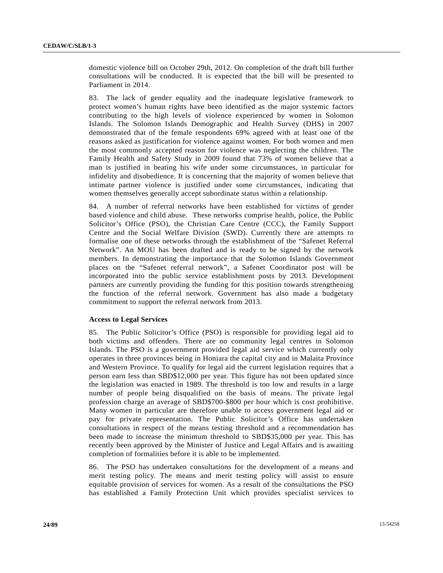domestic violence bill on October 29th, 2012. On completion of the draft bill further consultations will be conducted. It is expected that the bill will be presented to Parliament in 2014.

83. The lack of gender equality and the inadequate legislative framework to protect women's human rights have been identified as the major systemic factors contributing to the high levels of violence experienced by women in Solomon Islands. The Solomon Islands Demographic and Health Survey (DHS) in 2007 demonstrated that of the female respondents 69% agreed with at least one of the reasons asked as justification for violence against women. For both women and men the most commonly accepted reason for violence was neglecting the children. The Family Health and Safety Study in 2009 found that 73% of women believe that a man is justified in beating his wife under some circumstances, in particular for infidelity and disobedience. It is concerning that the majority of women believe that intimate partner violence is justified under some circumstances, indicating that women themselves generally accept subordinate status within a relationship.

84. A number of referral networks have been established for victims of gender based violence and child abuse. These networks comprise health, police, the Public Solicitor's Office (PSO), the Christian Care Centre (CCC), the Family Support Centre and the Social Welfare Division (SWD). Currently there are attempts to formalise one of these networks through the establishment of the "Safenet Referral Network". An MOU has been drafted and is ready to be signed by the network members. In demonstrating the importance that the Solomon Islands Government places on the "Safenet referral network", a Safenet Coordinator post will be incorporated into the public service establishment posts by 2013. Development partners are currently providing the funding for this position towards strengthening the function of the referral network. Government has also made a budgetary commitment to support the referral network from 2013.

#### **Access to Legal Services**

85. The Public Solicitor's Office (PSO) is responsible for providing legal aid to both victims and offenders. There are no community legal centres in Solomon Islands. The PSO is a government provided legal aid service which currently only operates in three provinces being in Honiara the capital city and in Malaita Province and Western Province. To qualify for legal aid the current legislation requires that a person earn less than SBD\$12,000 per year. This figure has not been updated since the legislation was enacted in 1989. The threshold is too low and results in a large number of people being disqualified on the basis of means. The private legal profession charge an average of SBD\$700-\$800 per hour which is cost prohibitive. Many women in particular are therefore unable to access government legal aid or pay for private representation. The Public Solicitor's Office has undertaken consultations in respect of the means testing threshold and a recommendation has been made to increase the minimum threshold to SBD\$35,000 per year. This has recently been approved by the Minister of Justice and Legal Affairs and is awaiting completion of formalities before it is able to be implemented.

86. The PSO has undertaken consultations for the development of a means and merit testing policy. The means and merit testing policy will assist to ensure equitable provision of services for women. As a result of the consultations the PSO has established a Family Protection Unit which provides specialist services to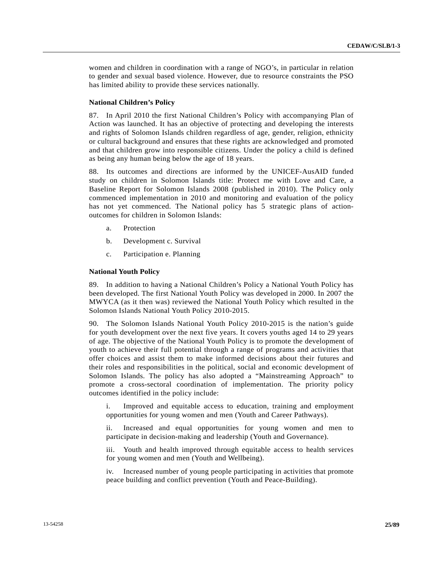women and children in coordination with a range of NGO's, in particular in relation to gender and sexual based violence. However, due to resource constraints the PSO has limited ability to provide these services nationally.

# **National Children's Policy**

87. In April 2010 the first National Children's Policy with accompanying Plan of Action was launched. It has an objective of protecting and developing the interests and rights of Solomon Islands children regardless of age, gender, religion, ethnicity or cultural background and ensures that these rights are acknowledged and promoted and that children grow into responsible citizens. Under the policy a child is defined as being any human being below the age of 18 years.

88. Its outcomes and directions are informed by the UNICEF-AusAID funded study on children in Solomon Islands title: Protect me with Love and Care, a Baseline Report for Solomon Islands 2008 (published in 2010). The Policy only commenced implementation in 2010 and monitoring and evaluation of the policy has not yet commenced. The National policy has 5 strategic plans of actionoutcomes for children in Solomon Islands:

- a. Protection
- b. Development c. Survival
- c. Participation e. Planning

#### **National Youth Policy**

89. In addition to having a National Children's Policy a National Youth Policy has been developed. The first National Youth Policy was developed in 2000. In 2007 the MWYCA (as it then was) reviewed the National Youth Policy which resulted in the Solomon Islands National Youth Policy 2010-2015.

90. The Solomon Islands National Youth Policy 2010-2015 is the nation's guide for youth development over the next five years. It covers youths aged 14 to 29 years of age. The objective of the National Youth Policy is to promote the development of youth to achieve their full potential through a range of programs and activities that offer choices and assist them to make informed decisions about their futures and their roles and responsibilities in the political, social and economic development of Solomon Islands. The policy has also adopted a "Mainstreaming Approach" to promote a cross-sectoral coordination of implementation. The priority policy outcomes identified in the policy include:

 i. Improved and equitable access to education, training and employment opportunities for young women and men (Youth and Career Pathways).

 ii. Increased and equal opportunities for young women and men to participate in decision-making and leadership (Youth and Governance).

 iii. Youth and health improved through equitable access to health services for young women and men (Youth and Wellbeing).

 iv. Increased number of young people participating in activities that promote peace building and conflict prevention (Youth and Peace-Building).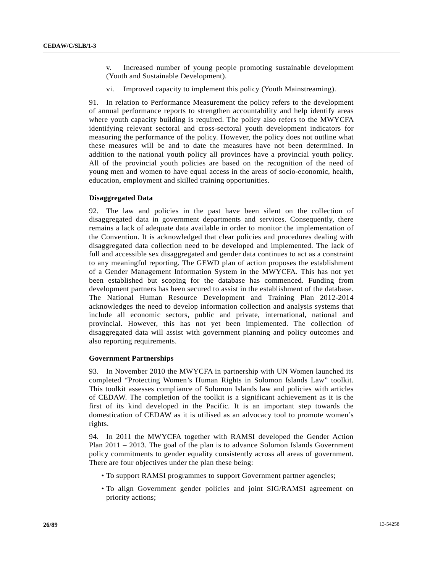- v. Increased number of young people promoting sustainable development (Youth and Sustainable Development).
- Improved capacity to implement this policy (Youth Mainstreaming).

91. In relation to Performance Measurement the policy refers to the development of annual performance reports to strengthen accountability and help identify areas where youth capacity building is required. The policy also refers to the MWYCFA identifying relevant sectoral and cross-sectoral youth development indicators for measuring the performance of the policy. However, the policy does not outline what these measures will be and to date the measures have not been determined. In addition to the national youth policy all provinces have a provincial youth policy. All of the provincial youth policies are based on the recognition of the need of young men and women to have equal access in the areas of socio-economic, health, education, employment and skilled training opportunities.

#### **Disaggregated Data**

92. The law and policies in the past have been silent on the collection of disaggregated data in government departments and services. Consequently, there remains a lack of adequate data available in order to monitor the implementation of the Convention. It is acknowledged that clear policies and procedures dealing with disaggregated data collection need to be developed and implemented. The lack of full and accessible sex disaggregated and gender data continues to act as a constraint to any meaningful reporting. The GEWD plan of action proposes the establishment of a Gender Management Information System in the MWYCFA. This has not yet been established but scoping for the database has commenced. Funding from development partners has been secured to assist in the establishment of the database. The National Human Resource Development and Training Plan 2012-2014 acknowledges the need to develop information collection and analysis systems that include all economic sectors, public and private, international, national and provincial. However, this has not yet been implemented. The collection of disaggregated data will assist with government planning and policy outcomes and also reporting requirements.

### **Government Partnerships**

93. In November 2010 the MWYCFA in partnership with UN Women launched its completed "Protecting Women's Human Rights in Solomon Islands Law" toolkit. This toolkit assesses compliance of Solomon Islands law and policies with articles of CEDAW. The completion of the toolkit is a significant achievement as it is the first of its kind developed in the Pacific. It is an important step towards the domestication of CEDAW as it is utilised as an advocacy tool to promote women's rights.

94. In 2011 the MWYCFA together with RAMSI developed the Gender Action Plan 2011 – 2013. The goal of the plan is to advance Solomon Islands Government policy commitments to gender equality consistently across all areas of government. There are four objectives under the plan these being:

- To support RAMSI programmes to support Government partner agencies;
- To align Government gender policies and joint SIG/RAMSI agreement on priority actions;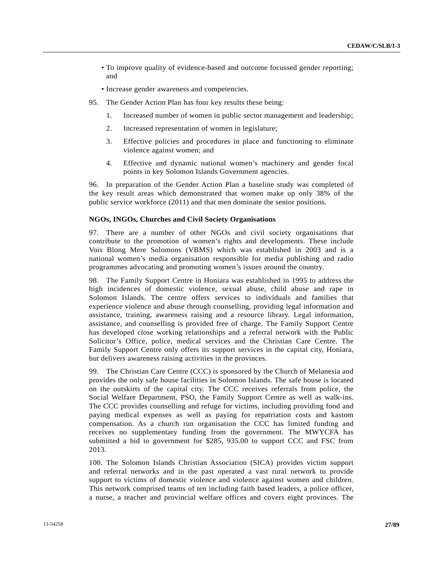- To improve quality of evidence-based and outcome focussed gender reporting; and
- Increase gender awareness and competencies.
- 95. The Gender Action Plan has four key results these being:
	- 1. Increased number of women in public sector management and leadership;
	- 2. Increased representation of women in legislature;
	- 3. Effective policies and procedures in place and functioning to eliminate violence against women; and
	- 4. Effective and dynamic national women's machinery and gender focal points in key Solomon Islands Government agencies.

96. In preparation of the Gender Action Plan a baseline study was completed of the key result areas which demonstrated that women make up only 38% of the public service workforce (2011) and that men dominate the senior positions.

### **NGOs, INGOs, Churches and Civil Society Organisations**

97. There are a number of other NGOs and civil society organisations that contribute to the promotion of women's rights and developments. These include Vois Blong Mere Solomons (VBMS) which was established in 2003 and is a national women's media organisation responsible for media publishing and radio programmes advocating and promoting women's issues around the country.

98. The Family Support Centre in Honiara was established in 1995 to address the high incidences of domestic violence, sexual abuse, child abuse and rape in Solomon Islands. The centre offers services to individuals and families that experience violence and abuse through counselling, providing legal information and assistance, training, awareness raising and a resource library. Legal information, assistance, and counselling is provided free of charge. The Family Support Centre has developed close working relationships and a referral network with the Public Solicitor's Office, police, medical services and the Christian Care Centre. The Family Support Centre only offers its support services in the capital city, Honiara, but delivers awareness raising activities in the provinces.

99. The Christian Care Centre (CCC) is sponsored by the Church of Melanesia and provides the only safe house facilities in Solomon Islands. The safe house is located on the outskirts of the capital city. The CCC receives referrals from police, the Social Welfare Department, PSO, the Family Support Centre as well as walk-ins. The CCC provides counselling and refuge for victims, including providing food and paying medical expenses as well as paying for repatriation costs and kastom compensation. As a church run organisation the CCC has limited funding and receives no supplementary funding from the government. The MWYCFA has submitted a bid to government for \$285, 935.00 to support CCC and FSC from 2013.

100. The Solomon Islands Christian Association (SICA) provides victim support and referral networks and in the past operated a vast rural network to provide support to victims of domestic violence and violence against women and children. This network comprised teams of ten including faith based leaders, a police officer, a nurse, a teacher and provincial welfare offices and covers eight provinces. The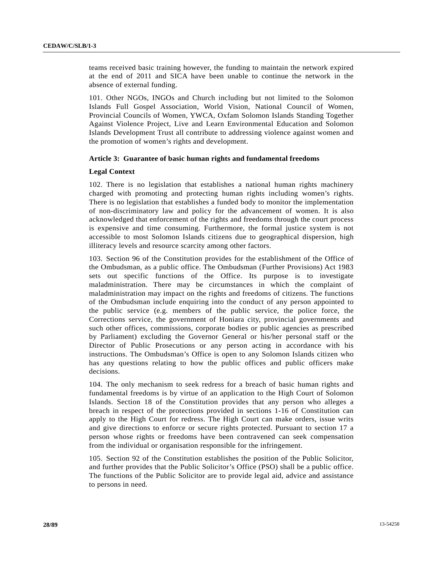teams received basic training however, the funding to maintain the network expired at the end of 2011 and SICA have been unable to continue the network in the absence of external funding.

101. Other NGOs, INGOs and Church including but not limited to the Solomon Islands Full Gospel Association, World Vision, National Council of Women, Provincial Councils of Women, YWCA, Oxfam Solomon Islands Standing Together Against Violence Project, Live and Learn Environmental Education and Solomon Islands Development Trust all contribute to addressing violence against women and the promotion of women's rights and development.

# **Article 3: Guarantee of basic human rights and fundamental freedoms**

# **Legal Context**

102. There is no legislation that establishes a national human rights machinery charged with promoting and protecting human rights including women's rights. There is no legislation that establishes a funded body to monitor the implementation of non-discriminatory law and policy for the advancement of women. It is also acknowledged that enforcement of the rights and freedoms through the court process is expensive and time consuming. Furthermore, the formal justice system is not accessible to most Solomon Islands citizens due to geographical dispersion, high illiteracy levels and resource scarcity among other factors.

103. Section 96 of the Constitution provides for the establishment of the Office of the Ombudsman, as a public office. The Ombudsman (Further Provisions) Act 1983 sets out specific functions of the Office. Its purpose is to investigate maladministration. There may be circumstances in which the complaint of maladministration may impact on the rights and freedoms of citizens. The functions of the Ombudsman include enquiring into the conduct of any person appointed to the public service (e.g. members of the public service, the police force, the Corrections service, the government of Honiara city, provincial governments and such other offices, commissions, corporate bodies or public agencies as prescribed by Parliament) excluding the Governor General or his/her personal staff or the Director of Public Prosecutions or any person acting in accordance with his instructions. The Ombudsman's Office is open to any Solomon Islands citizen who has any questions relating to how the public offices and public officers make decisions.

104. The only mechanism to seek redress for a breach of basic human rights and fundamental freedoms is by virtue of an application to the High Court of Solomon Islands. Section 18 of the Constitution provides that any person who alleges a breach in respect of the protections provided in sections 1-16 of Constitution can apply to the High Court for redress. The High Court can make orders, issue writs and give directions to enforce or secure rights protected. Pursuant to section 17 a person whose rights or freedoms have been contravened can seek compensation from the individual or organisation responsible for the infringement.

105. Section 92 of the Constitution establishes the position of the Public Solicitor, and further provides that the Public Solicitor's Office (PSO) shall be a public office. The functions of the Public Solicitor are to provide legal aid, advice and assistance to persons in need.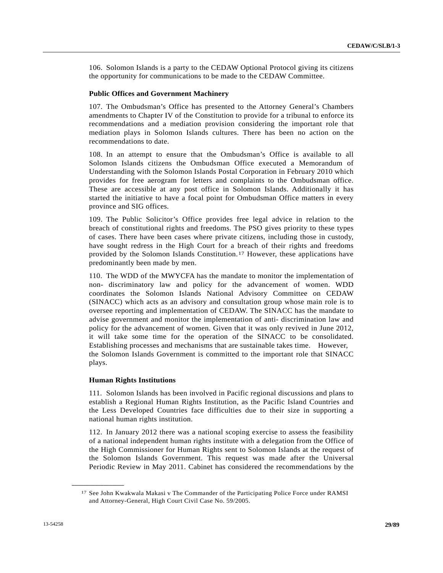106. Solomon Islands is a party to the CEDAW Optional Protocol giving its citizens the opportunity for communications to be made to the CEDAW Committee.

#### **Public Offices and Government Machinery**

107. The Ombudsman's Office has presented to the Attorney General's Chambers amendments to Chapter IV of the Constitution to provide for a tribunal to enforce its recommendations and a mediation provision considering the important role that mediation plays in Solomon Islands cultures. There has been no action on the recommendations to date.

108. In an attempt to ensure that the Ombudsman's Office is available to all Solomon Islands citizens the Ombudsman Office executed a Memorandum of Understanding with the Solomon Islands Postal Corporation in February 2010 which provides for free aerogram for letters and complaints to the Ombudsman office. These are accessible at any post office in Solomon Islands. Additionally it has started the initiative to have a focal point for Ombudsman Office matters in every province and SIG offices.

109. The Public Solicitor's Office provides free legal advice in relation to the breach of constitutional rights and freedoms. The PSO gives priority to these types of cases. There have been cases where private citizens, including those in custody, have sought redress in the High Court for a breach of their rights and freedoms provided by the Solomon Islands Constitution.[17](#page-28-0) However, these applications have predominantly been made by men.

110. The WDD of the MWYCFA has the mandate to monitor the implementation of non- discriminatory law and policy for the advancement of women. WDD coordinates the Solomon Islands National Advisory Committee on CEDAW (SINACC) which acts as an advisory and consultation group whose main role is to oversee reporting and implementation of CEDAW. The SINACC has the mandate to advise government and monitor the implementation of anti- discrimination law and policy for the advancement of women. Given that it was only revived in June 2012, it will take some time for the operation of the SINACC to be consolidated. Establishing processes and mechanisms that are sustainable takes time. However, the Solomon Islands Government is committed to the important role that SINACC plays.

#### **Human Rights Institutions**

111. Solomon Islands has been involved in Pacific regional discussions and plans to establish a Regional Human Rights Institution, as the Pacific Island Countries and the Less Developed Countries face difficulties due to their size in supporting a national human rights institution.

112. In January 2012 there was a national scoping exercise to assess the feasibility of a national independent human rights institute with a delegation from the Office of the High Commissioner for Human Rights sent to Solomon Islands at the request of the Solomon Islands Government. This request was made after the Universal Periodic Review in May 2011. Cabinet has considered the recommendations by the

<span id="page-28-0"></span><sup>17</sup> See John Kwakwala Makasi v The Commander of the Participating Police Force under RAMSI and Attorney-General, High Court Civil Case No. 59/2005.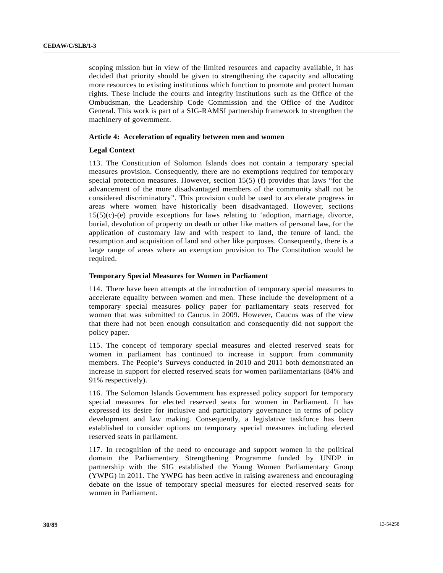scoping mission but in view of the limited resources and capacity available, it has decided that priority should be given to strengthening the capacity and allocating more resources to existing institutions which function to promote and protect human rights. These include the courts and integrity institutions such as the Office of the Ombudsman, the Leadership Code Commission and the Office of the Auditor General. This work is part of a SIG-RAMSI partnership framework to strengthen the machinery of government.

# **Article 4: Acceleration of equality between men and women**

# **Legal Context**

113. The Constitution of Solomon Islands does not contain a temporary special measures provision. Consequently, there are no exemptions required for temporary special protection measures. However, section 15(5) (f) provides that laws "for the advancement of the more disadvantaged members of the community shall not be considered discriminatory". This provision could be used to accelerate progress in areas where women have historically been disadvantaged. However, sections 15(5)(c)-(e) provide exceptions for laws relating to 'adoption, marriage, divorce, burial, devolution of property on death or other like matters of personal law, for the application of customary law and with respect to land, the tenure of land, the resumption and acquisition of land and other like purposes. Consequently, there is a large range of areas where an exemption provision to The Constitution would be required.

# **Temporary Special Measures for Women in Parliament**

114. There have been attempts at the introduction of temporary special measures to accelerate equality between women and men. These include the development of a temporary special measures policy paper for parliamentary seats reserved for women that was submitted to Caucus in 2009. However, Caucus was of the view that there had not been enough consultation and consequently did not support the policy paper.

115. The concept of temporary special measures and elected reserved seats for women in parliament has continued to increase in support from community members. The People's Surveys conducted in 2010 and 2011 both demonstrated an increase in support for elected reserved seats for women parliamentarians (84% and 91% respectively).

116. The Solomon Islands Government has expressed policy support for temporary special measures for elected reserved seats for women in Parliament. It has expressed its desire for inclusive and participatory governance in terms of policy development and law making. Consequently, a legislative taskforce has been established to consider options on temporary special measures including elected reserved seats in parliament.

117. In recognition of the need to encourage and support women in the political domain the Parliamentary Strengthening Programme funded by UNDP in partnership with the SIG established the Young Women Parliamentary Group (YWPG) in 2011. The YWPG has been active in raising awareness and encouraging debate on the issue of temporary special measures for elected reserved seats for women in Parliament.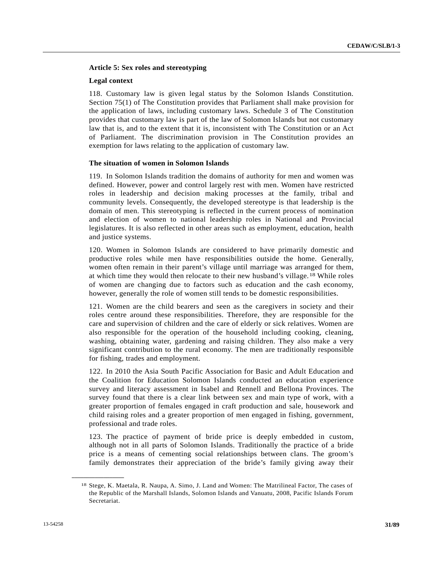# **Article 5: Sex roles and stereotyping**

#### **Legal context**

118. Customary law is given legal status by the Solomon Islands Constitution. Section 75(1) of The Constitution provides that Parliament shall make provision for the application of laws, including customary laws. Schedule 3 of The Constitution provides that customary law is part of the law of Solomon Islands but not customary law that is, and to the extent that it is, inconsistent with The Constitution or an Act of Parliament. The discrimination provision in The Constitution provides an exemption for laws relating to the application of customary law.

#### **The situation of women in Solomon Islands**

119. In Solomon Islands tradition the domains of authority for men and women was defined. However, power and control largely rest with men. Women have restricted roles in leadership and decision making processes at the family, tribal and community levels. Consequently, the developed stereotype is that leadership is the domain of men. This stereotyping is reflected in the current process of nomination and election of women to national leadership roles in National and Provincial legislatures. It is also reflected in other areas such as employment, education, health and justice systems.

120. Women in Solomon Islands are considered to have primarily domestic and productive roles while men have responsibilities outside the home. Generally, women often remain in their parent's village until marriage was arranged for them, at which time they would then relocate to their new husband's village.[18](#page-30-0) While roles of women are changing due to factors such as education and the cash economy, however, generally the role of women still tends to be domestic responsibilities.

121. Women are the child bearers and seen as the caregivers in society and their roles centre around these responsibilities. Therefore, they are responsible for the care and supervision of children and the care of elderly or sick relatives. Women are also responsible for the operation of the household including cooking, cleaning, washing, obtaining water, gardening and raising children. They also make a very significant contribution to the rural economy. The men are traditionally responsible for fishing, trades and employment.

122. In 2010 the Asia South Pacific Association for Basic and Adult Education and the Coalition for Education Solomon Islands conducted an education experience survey and literacy assessment in Isabel and Rennell and Bellona Provinces. The survey found that there is a clear link between sex and main type of work, with a greater proportion of females engaged in craft production and sale, housework and child raising roles and a greater proportion of men engaged in fishing, government, professional and trade roles.

123. The practice of payment of bride price is deeply embedded in custom, although not in all parts of Solomon Islands. Traditionally the practice of a bride price is a means of cementing social relationships between clans. The groom's family demonstrates their appreciation of the bride's family giving away their

<span id="page-30-0"></span><sup>18</sup> Stege, K. Maetala, R. Naupa, A. Simo, J. Land and Women: The Matrilineal Factor, The cases of the Republic of the Marshall Islands, Solomon Islands and Vanuatu, 2008, Pacific Islands Forum Secretariat.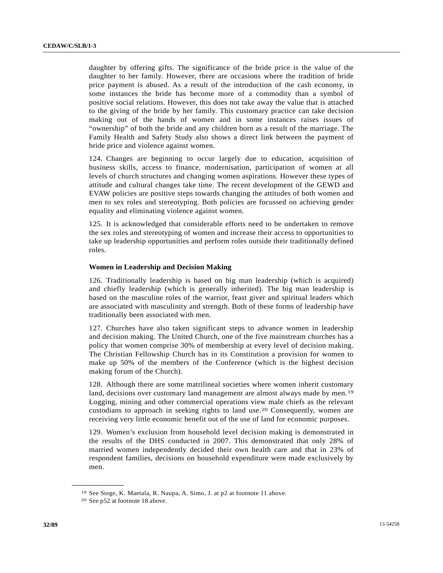daughter by offering gifts. The significance of the bride price is the value of the daughter to her family. However, there are occasions where the tradition of bride price payment is abused. As a result of the introduction of the cash economy, in some instances the bride has become more of a commodity than a symbol of positive social relations. However, this does not take away the value that is attached to the giving of the bride by her family. This customary practice can take decision making out of the hands of women and in some instances raises issues of "ownership" of both the bride and any children born as a result of the marriage. The Family Health and Safety Study also shows a direct link between the payment of bride price and violence against women.

124. Changes are beginning to occur largely due to education, acquisition of business skills, access to finance, modernisation, participation of women at all levels of church structures and changing women aspirations. However these types of attitude and cultural changes take time. The recent development of the GEWD and EVAW policies are positive steps towards changing the attitudes of both women and men to sex roles and stereotyping. Both policies are focussed on achieving gender equality and eliminating violence against women.

125. It is acknowledged that considerable efforts need to be undertaken to remove the sex roles and stereotyping of women and increase their access to opportunities to take up leadership opportunities and perform roles outside their traditionally defined roles.

# **Women in Leadership and Decision Making**

126. Traditionally leadership is based on big man leadership (which is acquired) and chiefly leadership (which is generally inherited). The big man leadership is based on the masculine roles of the warrior, feast giver and spiritual leaders which are associated with masculinity and strength. Both of these forms of leadership have traditionally been associated with men.

127. Churches have also taken significant steps to advance women in leadership and decision making. The United Church, one of the five mainstream churches has a policy that women comprise 30% of membership at every level of decision making. The Christian Fellowship Church has in its Constitution a provision for women to make up 50% of the members of the Conference (which is the highest decision making forum of the Church).

128. Although there are some matrilineal societies where women inherit customary land, decisions over customary land management are almost always made by men.<sup>[19](#page-31-0)</sup> Logging, mining and other commercial operations view male chiefs as the relevant custodians to approach in seeking rights to land use.[20](#page-31-1) Consequently, women are receiving very little economic benefit out of the use of land for economic purposes.

129. Women's exclusion from household level decision making is demonstrated in the results of the DHS conducted in 2007. This demonstrated that only 28% of married women independently decided their own health care and that in 23% of respondent families, decisions on household expenditure were made exclusively by men.

<span id="page-31-1"></span><span id="page-31-0"></span><sup>19</sup> See Stege, K. Maetala, R. Naupa, A. Simo, J. at p2 at footnote 11 above. 20 See p52 at footnote 18 above.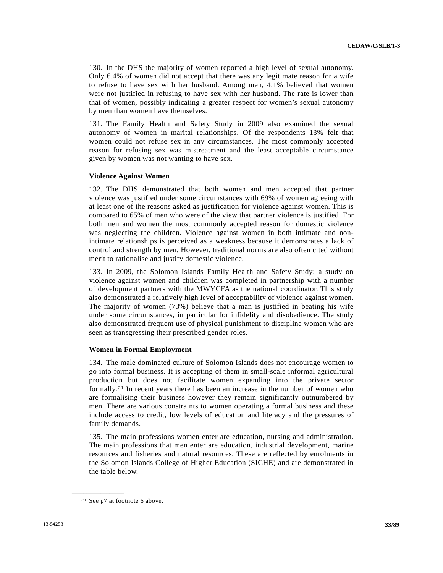130. In the DHS the majority of women reported a high level of sexual autonomy. Only 6.4% of women did not accept that there was any legitimate reason for a wife to refuse to have sex with her husband. Among men, 4.1% believed that women were not justified in refusing to have sex with her husband. The rate is lower than that of women, possibly indicating a greater respect for women's sexual autonomy by men than women have themselves.

131. The Family Health and Safety Study in 2009 also examined the sexual autonomy of women in marital relationships. Of the respondents 13% felt that women could not refuse sex in any circumstances. The most commonly accepted reason for refusing sex was mistreatment and the least acceptable circumstance given by women was not wanting to have sex.

#### **Violence Against Women**

132. The DHS demonstrated that both women and men accepted that partner violence was justified under some circumstances with 69% of women agreeing with at least one of the reasons asked as justification for violence against women. This is compared to 65% of men who were of the view that partner violence is justified. For both men and women the most commonly accepted reason for domestic violence was neglecting the children. Violence against women in both intimate and nonintimate relationships is perceived as a weakness because it demonstrates a lack of control and strength by men. However, traditional norms are also often cited without merit to rationalise and justify domestic violence.

133. In 2009, the Solomon Islands Family Health and Safety Study: a study on violence against women and children was completed in partnership with a number of development partners with the MWYCFA as the national coordinator. This study also demonstrated a relatively high level of acceptability of violence against women. The majority of women (73%) believe that a man is justified in beating his wife under some circumstances, in particular for infidelity and disobedience. The study also demonstrated frequent use of physical punishment to discipline women who are seen as transgressing their prescribed gender roles.

#### **Women in Formal Employment**

134. The male dominated culture of Solomon Islands does not encourage women to go into formal business. It is accepting of them in small-scale informal agricultural production but does not facilitate women expanding into the private sector formally.[21](#page-32-0) In recent years there has been an increase in the number of women who are formalising their business however they remain significantly outnumbered by men. There are various constraints to women operating a formal business and these include access to credit, low levels of education and literacy and the pressures of family demands.

135. The main professions women enter are education, nursing and administration. The main professions that men enter are education, industrial development, marine resources and fisheries and natural resources. These are reflected by enrolments in the Solomon Islands College of Higher Education (SICHE) and are demonstrated in the table below.

<span id="page-32-0"></span><sup>21</sup> See p7 at footnote 6 above.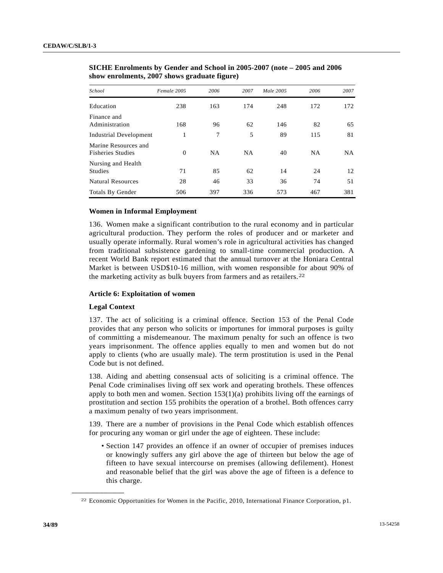| School                                           | Female 2005 | 2006      | 2007      | Male 2005 | 2006      | 2007      |
|--------------------------------------------------|-------------|-----------|-----------|-----------|-----------|-----------|
| Education                                        | 238         | 163       | 174       | 248       | 172       | 172       |
| Finance and<br>Administration                    | 168         | 96        | 62        | 146       | 82        | 65        |
| <b>Industrial Development</b>                    | 1           | 7         | 5         | 89        | 115       | 81        |
| Marine Resources and<br><b>Fisheries Studies</b> | $\Omega$    | <b>NA</b> | <b>NA</b> | 40        | <b>NA</b> | <b>NA</b> |
| Nursing and Health<br><b>Studies</b>             | 71          | 85        | 62        | 14        | 24        | 12        |
| <b>Natural Resources</b>                         | 28          | 46        | 33        | 36        | 74        | 51        |
| Totals By Gender                                 | 506         | 397       | 336       | 573       | 467       | 381       |

 **SICHE Enrolments by Gender and School in 2005-2007 (note – 2005 and 2006 show enrolments, 2007 shows graduate figure)** 

# **Women in Informal Employment**

136. Women make a significant contribution to the rural economy and in particular agricultural production. They perform the roles of producer and or marketer and usually operate informally. Rural women's role in agricultural activities has changed from traditional subsistence gardening to small-time commercial production. A recent World Bank report estimated that the annual turnover at the Honiara Central Market is between USD\$10-16 million, with women responsible for about 90% of the marketing activity as bulk buyers from farmers and as retailers.[2](#page-33-0)2

#### **Article 6: Exploitation of women**

#### **Legal Context**

<span id="page-33-0"></span>**\_\_\_\_\_\_\_\_\_\_\_\_\_\_\_\_\_\_** 

137. The act of soliciting is a criminal offence. Section 153 of the Penal Code provides that any person who solicits or importunes for immoral purposes is guilty of committing a misdemeanour. The maximum penalty for such an offence is two years imprisonment. The offence applies equally to men and women but do not apply to clients (who are usually male). The term prostitution is used in the Penal Code but is not defined.

138. Aiding and abetting consensual acts of soliciting is a criminal offence. The Penal Code criminalises living off sex work and operating brothels. These offences apply to both men and women. Section  $153(1)(a)$  prohibits living off the earnings of prostitution and section 155 prohibits the operation of a brothel. Both offences carry a maximum penalty of two years imprisonment.

139. There are a number of provisions in the Penal Code which establish offences for procuring any woman or girl under the age of eighteen. These include:

 • Section 147 provides an offence if an owner of occupier of premises induces or knowingly suffers any girl above the age of thirteen but below the age of fifteen to have sexual intercourse on premises (allowing defilement). Honest and reasonable belief that the girl was above the age of fifteen is a defence to this charge.

<sup>22</sup> Economic Opportunities for Women in the Pacific, 2010, International Finance Corporation, p1.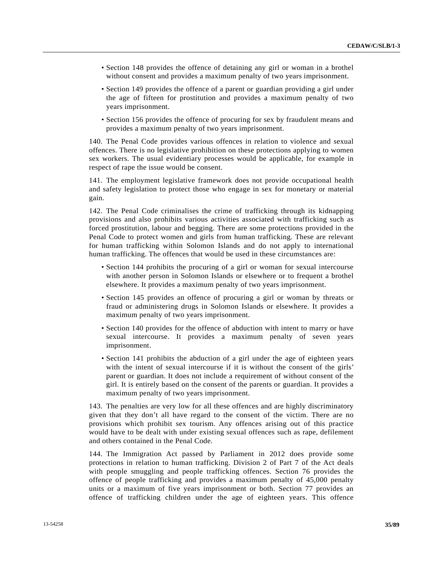- Section 148 provides the offence of detaining any girl or woman in a brothel without consent and provides a maximum penalty of two years imprisonment.
- Section 149 provides the offence of a parent or guardian providing a girl under the age of fifteen for prostitution and provides a maximum penalty of two years imprisonment.
- Section 156 provides the offence of procuring for sex by fraudulent means and provides a maximum penalty of two years imprisonment.

140. The Penal Code provides various offences in relation to violence and sexual offences. There is no legislative prohibition on these protections applying to women sex workers. The usual evidentiary processes would be applicable, for example in respect of rape the issue would be consent.

141. The employment legislative framework does not provide occupational health and safety legislation to protect those who engage in sex for monetary or material gain.

142. The Penal Code criminalises the crime of trafficking through its kidnapping provisions and also prohibits various activities associated with trafficking such as forced prostitution, labour and begging. There are some protections provided in the Penal Code to protect women and girls from human trafficking. These are relevant for human trafficking within Solomon Islands and do not apply to international human trafficking. The offences that would be used in these circumstances are:

- Section 144 prohibits the procuring of a girl or woman for sexual intercourse with another person in Solomon Islands or elsewhere or to frequent a brothel elsewhere. It provides a maximum penalty of two years imprisonment.
- Section 145 provides an offence of procuring a girl or woman by threats or fraud or administering drugs in Solomon Islands or elsewhere. It provides a maximum penalty of two years imprisonment.
- Section 140 provides for the offence of abduction with intent to marry or have sexual intercourse. It provides a maximum penalty of seven years imprisonment.
- Section 141 prohibits the abduction of a girl under the age of eighteen years with the intent of sexual intercourse if it is without the consent of the girls' parent or guardian. It does not include a requirement of without consent of the girl. It is entirely based on the consent of the parents or guardian. It provides a maximum penalty of two years imprisonment.

143. The penalties are very low for all these offences and are highly discriminatory given that they don't all have regard to the consent of the victim. There are no provisions which prohibit sex tourism. Any offences arising out of this practice would have to be dealt with under existing sexual offences such as rape, defilement and others contained in the Penal Code.

144. The Immigration Act passed by Parliament in 2012 does provide some protections in relation to human trafficking. Division 2 of Part 7 of the Act deals with people smuggling and people trafficking offences. Section 76 provides the offence of people trafficking and provides a maximum penalty of 45,000 penalty units or a maximum of five years imprisonment or both. Section 77 provides an offence of trafficking children under the age of eighteen years. This offence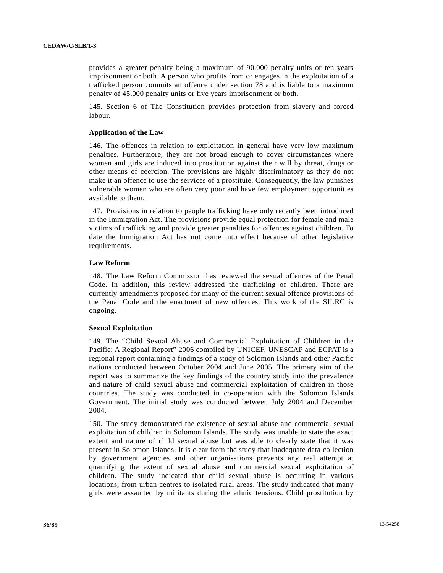provides a greater penalty being a maximum of 90,000 penalty units or ten years imprisonment or both. A person who profits from or engages in the exploitation of a trafficked person commits an offence under section 78 and is liable to a maximum penalty of 45,000 penalty units or five years imprisonment or both.

145. Section 6 of The Constitution provides protection from slavery and forced labour.

# **Application of the Law**

146. The offences in relation to exploitation in general have very low maximum penalties. Furthermore, they are not broad enough to cover circumstances where women and girls are induced into prostitution against their will by threat, drugs or other means of coercion. The provisions are highly discriminatory as they do not make it an offence to use the services of a prostitute. Consequently, the law punishes vulnerable women who are often very poor and have few employment opportunities available to them.

147. Provisions in relation to people trafficking have only recently been introduced in the Immigration Act. The provisions provide equal protection for female and male victims of trafficking and provide greater penalties for offences against children. To date the Immigration Act has not come into effect because of other legislative requirements.

#### **Law Reform**

148. The Law Reform Commission has reviewed the sexual offences of the Penal Code. In addition, this review addressed the trafficking of children. There are currently amendments proposed for many of the current sexual offence provisions of the Penal Code and the enactment of new offences. This work of the SILRC is ongoing.

# **Sexual Exploitation**

149. The "Child Sexual Abuse and Commercial Exploitation of Children in the Pacific: A Regional Report" 2006 compiled by UNICEF, UNESCAP and ECPAT is a regional report containing a findings of a study of Solomon Islands and other Pacific nations conducted between October 2004 and June 2005. The primary aim of the report was to summarize the key findings of the country study into the prevalence and nature of child sexual abuse and commercial exploitation of children in those countries. The study was conducted in co-operation with the Solomon Islands Government. The initial study was conducted between July 2004 and December 2004.

150. The study demonstrated the existence of sexual abuse and commercial sexual exploitation of children in Solomon Islands. The study was unable to state the exact extent and nature of child sexual abuse but was able to clearly state that it was present in Solomon Islands. It is clear from the study that inadequate data collection by government agencies and other organisations prevents any real attempt at quantifying the extent of sexual abuse and commercial sexual exploitation of children. The study indicated that child sexual abuse is occurring in various locations, from urban centres to isolated rural areas. The study indicated that many girls were assaulted by militants during the ethnic tensions. Child prostitution by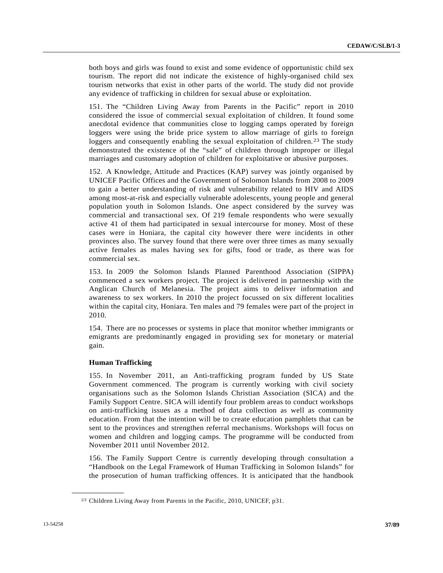both boys and girls was found to exist and some evidence of opportunistic child sex tourism. The report did not indicate the existence of highly-organised child sex tourism networks that exist in other parts of the world. The study did not provide any evidence of trafficking in children for sexual abuse or exploitation.

151. The "Children Living Away from Parents in the Pacific" report in 2010 considered the issue of commercial sexual exploitation of children. It found some anecdotal evidence that communities close to logging camps operated by foreign loggers were using the bride price system to allow marriage of girls to foreign loggers and consequently enabling the sexual exploitation of children.<sup>[2](#page-36-0)3</sup> The study demonstrated the existence of the "sale" of children through improper or illegal marriages and customary adoption of children for exploitative or abusive purposes.

152. A Knowledge, Attitude and Practices (KAP) survey was jointly organised by UNICEF Pacific Offices and the Government of Solomon Islands from 2008 to 2009 to gain a better understanding of risk and vulnerability related to HIV and AIDS among most-at-risk and especially vulnerable adolescents, young people and general population youth in Solomon Islands. One aspect considered by the survey was commercial and transactional sex. Of 219 female respondents who were sexually active 41 of them had participated in sexual intercourse for money. Most of these cases were in Honiara, the capital city however there were incidents in other provinces also. The survey found that there were over three times as many sexually active females as males having sex for gifts, food or trade, as there was for commercial sex.

153. In 2009 the Solomon Islands Planned Parenthood Association (SIPPA) commenced a sex workers project. The project is delivered in partnership with the Anglican Church of Melanesia. The project aims to deliver information and awareness to sex workers. In 2010 the project focussed on six different localities within the capital city, Honiara. Ten males and 79 females were part of the project in 2010.

154. There are no processes or systems in place that monitor whether immigrants or emigrants are predominantly engaged in providing sex for monetary or material gain.

# **Human Trafficking**

<span id="page-36-0"></span>**\_\_\_\_\_\_\_\_\_\_\_\_\_\_\_\_\_\_** 

155. In November 2011, an Anti-trafficking program funded by US State Government commenced. The program is currently working with civil society organisations such as the Solomon Islands Christian Association (SICA) and the Family Support Centre. SICA will identify four problem areas to conduct workshops on anti-trafficking issues as a method of data collection as well as community education. From that the intention will be to create education pamphlets that can be sent to the provinces and strengthen referral mechanisms. Workshops will focus on women and children and logging camps. The programme will be conducted from November 2011 until November 2012.

156. The Family Support Centre is currently developing through consultation a "Handbook on the Legal Framework of Human Trafficking in Solomon Islands" for the prosecution of human trafficking offences. It is anticipated that the handbook

<sup>23</sup> Children Living Away from Parents in the Pacific, 2010, UNICEF, p31.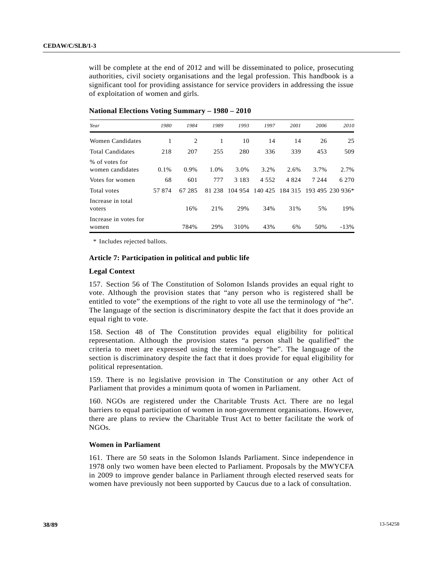will be complete at the end of 2012 and will be disseminated to police, prosecuting authorities, civil society organisations and the legal profession. This handbook is a significant tool for providing assistance for service providers in addressing the issue of exploitation of women and girls.

| Year                               | 1980  | 1984   | 1989      | 1993    | 1997    | 2001    | 2006    | 2010             |
|------------------------------------|-------|--------|-----------|---------|---------|---------|---------|------------------|
| Women Candidates                   | 1     | 2      | 1         | 10      | 14      | 14      | 26      | 25               |
| <b>Total Candidates</b>            | 218   | 207    | 255       | 280     | 336     | 339     | 453     | 509              |
| % of votes for<br>women candidates | 0.1%  | 0.9%   | 1.0%      | 3.0%    | 3.2%    | 2.6%    | 3.7%    | 2.7%             |
| Votes for women                    | 68    | 601    | 777       | 3 1 8 3 | 4 5 5 2 | 4 8 2 4 | 7 2 4 4 | 6 2 7 0          |
| Total votes                        | 57874 | 67 285 | 238<br>81 | 104 954 | 140 425 | 184 315 |         | 193 495 230 936* |
| Increase in total<br>voters        |       | 16%    | 21%       | 29%     | 34%     | 31%     | 5%      | 19%              |
| Increase in votes for<br>women     |       | 784%   | 29%       | 310%    | 43%     | 6%      | 50%     | $-13%$           |

 **National Elections Voting Summary – 1980 – 2010** 

\* Includes rejected ballots.

# **Article 7: Participation in political and public life**

## **Legal Context**

157. Section 56 of The Constitution of Solomon Islands provides an equal right to vote. Although the provision states that "any person who is registered shall be entitled to vote" the exemptions of the right to vote all use the terminology of "he". The language of the section is discriminatory despite the fact that it does provide an equal right to vote.

158. Section 48 of The Constitution provides equal eligibility for political representation. Although the provision states "a person shall be qualified" the criteria to meet are expressed using the terminology "he". The language of the section is discriminatory despite the fact that it does provide for equal eligibility for political representation.

159. There is no legislative provision in The Constitution or any other Act of Parliament that provides a minimum quota of women in Parliament.

160. NGOs are registered under the Charitable Trusts Act. There are no legal barriers to equal participation of women in non-government organisations. However, there are plans to review the Charitable Trust Act to better facilitate the work of NGOs.

## **Women in Parliament**

161. There are 50 seats in the Solomon Islands Parliament. Since independence in 1978 only two women have been elected to Parliament. Proposals by the MWYCFA in 2009 to improve gender balance in Parliament through elected reserved seats for women have previously not been supported by Caucus due to a lack of consultation.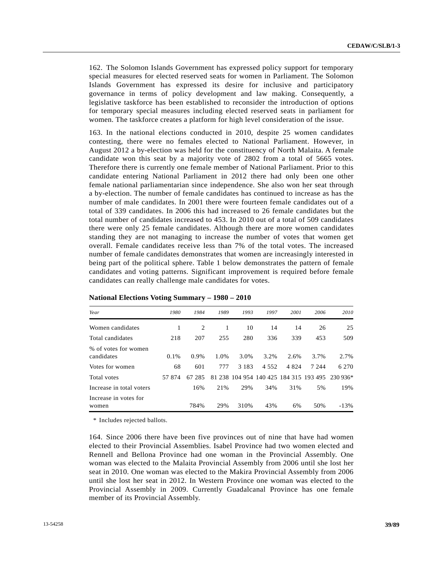162. The Solomon Islands Government has expressed policy support for temporary special measures for elected reserved seats for women in Parliament. The Solomon Islands Government has expressed its desire for inclusive and participatory governance in terms of policy development and law making. Consequently, a legislative taskforce has been established to reconsider the introduction of options for temporary special measures including elected reserved seats in parliament for women. The taskforce creates a platform for high level consideration of the issue.

163. In the national elections conducted in 2010, despite 25 women candidates contesting, there were no females elected to National Parliament. However, in August 2012 a by-election was held for the constituency of North Malaita. A female candidate won this seat by a majority vote of 2802 from a total of 5665 votes. Therefore there is currently one female member of National Parliament. Prior to this candidate entering National Parliament in 2012 there had only been one other female national parliamentarian since independence. She also won her seat through a by-election. The number of female candidates has continued to increase as has the number of male candidates. In 2001 there were fourteen female candidates out of a total of 339 candidates. In 2006 this had increased to 26 female candidates but the total number of candidates increased to 453. In 2010 out of a total of 509 candidates there were only 25 female candidates. Although there are more women candidates standing they are not managing to increase the number of votes that women get overall. Female candidates receive less than 7% of the total votes. The increased number of female candidates demonstrates that women are increasingly interested in being part of the political sphere. Table 1 below demonstrates the pattern of female candidates and voting patterns. Significant improvement is required before female candidates can really challenge male candidates for votes.

| Year                               | 1980   | 1984      | 1989 | 1993    | 1997  | 2001    | 2006                                   | 2010     |
|------------------------------------|--------|-----------|------|---------|-------|---------|----------------------------------------|----------|
| Women candidates                   | 1      | 2         | 1    | 10      | 14    | 14      | 26                                     | 25       |
| Total candidates                   | 218    | 207       | 255  | 280     | 336   | 339     | 453                                    | 509      |
| % of votes for women<br>candidates | 0.1%   | 0.9%      | 1.0% | 3.0%    | 3.2%  | 2.6%    | 3.7%                                   | 2.7%     |
| Votes for women                    | 68     | 601       | 777  | 3 1 8 3 | 4.552 | 4 8 2 4 | 7 2 4 4                                | 6 2 7 0  |
| Total votes                        | 57 874 | 285<br>67 |      |         |       |         | 81 238 104 954 140 425 184 315 193 495 | 230 936* |
| Increase in total voters           |        | 16%       | 21%  | 29%     | 34%   | 31%     | 5%                                     | 19%      |
| Increase in votes for<br>women     |        | 784%      | 29%  | 310%    | 43%   | 6%      | 50%                                    | $-13%$   |

| National Elections Voting Summary - 1980 - 2010 |  |  |  |
|-------------------------------------------------|--|--|--|
|-------------------------------------------------|--|--|--|

\* Includes rejected ballots.

164. Since 2006 there have been five provinces out of nine that have had women elected to their Provincial Assemblies. Isabel Province had two women elected and Rennell and Bellona Province had one woman in the Provincial Assembly. One woman was elected to the Malaita Provincial Assembly from 2006 until she lost her seat in 2010. One woman was elected to the Makira Provincial Assembly from 2006 until she lost her seat in 2012. In Western Province one woman was elected to the Provincial Assembly in 2009. Currently Guadalcanal Province has one female member of its Provincial Assembly.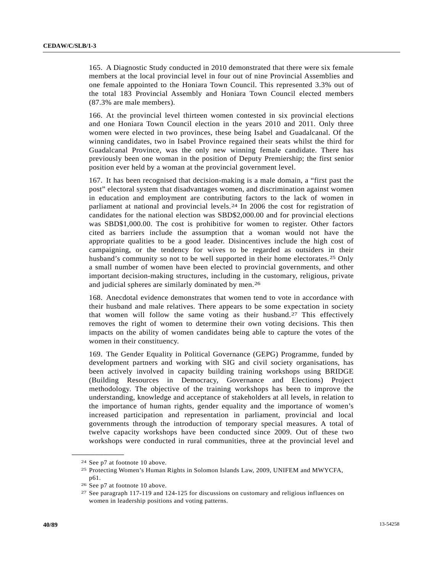165. A Diagnostic Study conducted in 2010 demonstrated that there were six female members at the local provincial level in four out of nine Provincial Assemblies and one female appointed to the Honiara Town Council. This represented 3.3% out of the total 183 Provincial Assembly and Honiara Town Council elected members (87.3% are male members).

166. At the provincial level thirteen women contested in six provincial elections and one Honiara Town Council election in the years 2010 and 2011. Only three women were elected in two provinces, these being Isabel and Guadalcanal. Of the winning candidates, two in Isabel Province regained their seats whilst the third for Guadalcanal Province, was the only new winning female candidate. There has previously been one woman in the position of Deputy Premiership; the first senior position ever held by a woman at the provincial government level.

167. It has been recognised that decision-making is a male domain, a "first past the post" electoral system that disadvantages women, and discrimination against women in education and employment are contributing factors to the lack of women in parliament at national and provincial levels.[2](#page-39-0)4 In 2006 the cost for registration of candidates for the national election was SBD\$2,000.00 and for provincial elections was SBD\$1,000.00. The cost is prohibitive for women to register. Other factors cited as barriers include the assumption that a woman would not have the appropriate qualities to be a good leader. Disincentives include the high cost of campaigning, or the tendency for wives to be regarded as outsiders in their husband's community so not to be well supported in their home electorates.<sup>[25](#page-39-1)</sup> Only a small number of women have been elected to provincial governments, and other important decision-making structures, including in the customary, religious, private and judicial spheres are similarly dominated by men.[26](#page-39-2)

168. Anecdotal evidence demonstrates that women tend to vote in accordance with their husband and male relatives. There appears to be some expectation in society that women will follow the same voting as their husband.[27](#page-39-3) This effectively removes the right of women to determine their own voting decisions. This then impacts on the ability of women candidates being able to capture the votes of the women in their constituency.

169. The Gender Equality in Political Governance (GEPG) Programme, funded by development partners and working with SIG and civil society organisations, has been actively involved in capacity building training workshops using BRIDGE (Building Resources in Democracy, Governance and Elections) Project methodology. The objective of the training workshops has been to improve the understanding, knowledge and acceptance of stakeholders at all levels, in relation to the importance of human rights, gender equality and the importance of women's increased participation and representation in parliament, provincial and local governments through the introduction of temporary special measures. A total of twelve capacity workshops have been conducted since 2009. Out of these two workshops were conducted in rural communities, three at the provincial level and

<span id="page-39-1"></span><span id="page-39-0"></span><sup>24</sup> See p7 at footnote 10 above.

<sup>25</sup> Protecting Women's Human Rights in Solomon Islands Law, 2009, UNIFEM and MWYCFA, p61.

<span id="page-39-2"></span><sup>26</sup> See p7 at footnote 10 above.

<span id="page-39-3"></span><sup>27</sup> See paragraph 117-119 and 124-125 for discussions on customary and religious influences on women in leadership positions and voting patterns.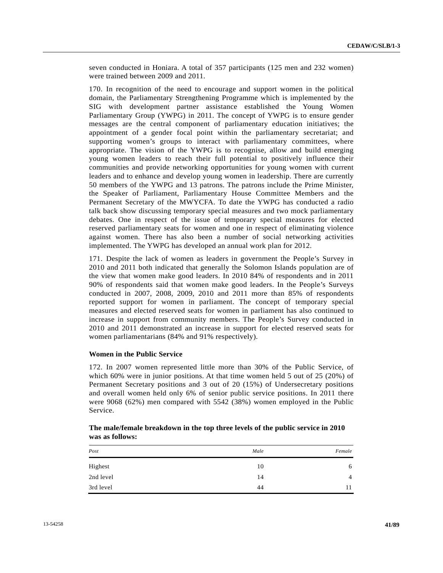seven conducted in Honiara. A total of 357 participants (125 men and 232 women) were trained between 2009 and 2011.

170. In recognition of the need to encourage and support women in the political domain, the Parliamentary Strengthening Programme which is implemented by the SIG with development partner assistance established the Young Women Parliamentary Group (YWPG) in 2011. The concept of YWPG is to ensure gender messages are the central component of parliamentary education initiatives; the appointment of a gender focal point within the parliamentary secretariat; and supporting women's groups to interact with parliamentary committees, where appropriate. The vision of the YWPG is to recognise, allow and build emerging young women leaders to reach their full potential to positively influence their communities and provide networking opportunities for young women with current leaders and to enhance and develop young women in leadership. There are currently 50 members of the YWPG and 13 patrons. The patrons include the Prime Minister, the Speaker of Parliament, Parliamentary House Committee Members and the Permanent Secretary of the MWYCFA. To date the YWPG has conducted a radio talk back show discussing temporary special measures and two mock parliamentary debates. One in respect of the issue of temporary special measures for elected reserved parliamentary seats for women and one in respect of eliminating violence against women. There has also been a number of social networking activities implemented. The YWPG has developed an annual work plan for 2012.

171. Despite the lack of women as leaders in government the People's Survey in 2010 and 2011 both indicated that generally the Solomon Islands population are of the view that women make good leaders. In 2010 84% of respondents and in 2011 90% of respondents said that women make good leaders. In the People's Surveys conducted in 2007, 2008, 2009, 2010 and 2011 more than 85% of respondents reported support for women in parliament. The concept of temporary special measures and elected reserved seats for women in parliament has also continued to increase in support from community members. The People's Survey conducted in 2010 and 2011 demonstrated an increase in support for elected reserved seats for women parliamentarians (84% and 91% respectively).

# **Women in the Public Service**

172. In 2007 women represented little more than 30% of the Public Service, of which 60% were in junior positions. At that time women held 5 out of 25 (20%) of Permanent Secretary positions and 3 out of 20 (15%) of Undersecretary positions and overall women held only 6% of senior public service positions. In 2011 there were 9068 (62%) men compared with 5542 (38%) women employed in the Public Service.

| Post      | Male | Female         |
|-----------|------|----------------|
| Highest   | 10   | 6              |
| 2nd level | 14   | $\overline{4}$ |
| 3rd level | 44   | 11             |

 **The male/female breakdown in the top three levels of the public service in 2010 was as follows:**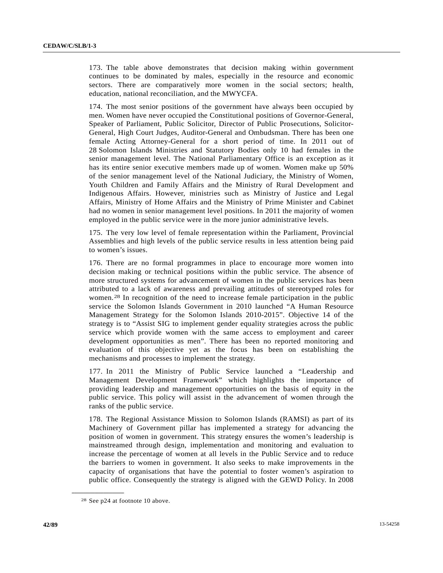173. The table above demonstrates that decision making within government continues to be dominated by males, especially in the resource and economic sectors. There are comparatively more women in the social sectors; health, education, national reconciliation, and the MWYCFA.

174. The most senior positions of the government have always been occupied by men. Women have never occupied the Constitutional positions of Governor-General, Speaker of Parliament, Public Solicitor, Director of Public Prosecutions, Solicitor-General, High Court Judges, Auditor-General and Ombudsman. There has been one female Acting Attorney-General for a short period of time. In 2011 out of 28 Solomon Islands Ministries and Statutory Bodies only 10 had females in the senior management level. The National Parliamentary Office is an exception as it has its entire senior executive members made up of women. Women make up 50% of the senior management level of the National Judiciary, the Ministry of Women, Youth Children and Family Affairs and the Ministry of Rural Development and Indigenous Affairs. However, ministries such as Ministry of Justice and Legal Affairs, Ministry of Home Affairs and the Ministry of Prime Minister and Cabinet had no women in senior management level positions. In 2011 the majority of women employed in the public service were in the more junior administrative levels.

175. The very low level of female representation within the Parliament, Provincial Assemblies and high levels of the public service results in less attention being paid to women's issues.

176. There are no formal programmes in place to encourage more women into decision making or technical positions within the public service. The absence of more structured systems for advancement of women in the public services has been attributed to a lack of awareness and prevailing attitudes of stereotyped roles for women.[28](#page-41-0) In recognition of the need to increase female participation in the public service the Solomon Islands Government in 2010 launched "A Human Resource Management Strategy for the Solomon Islands 2010-2015". Objective 14 of the strategy is to "Assist SIG to implement gender equality strategies across the public service which provide women with the same access to employment and career development opportunities as men". There has been no reported monitoring and evaluation of this objective yet as the focus has been on establishing the mechanisms and processes to implement the strategy.

177. In 2011 the Ministry of Public Service launched a "Leadership and Management Development Framework" which highlights the importance of providing leadership and management opportunities on the basis of equity in the public service. This policy will assist in the advancement of women through the ranks of the public service.

178. The Regional Assistance Mission to Solomon Islands (RAMSI) as part of its Machinery of Government pillar has implemented a strategy for advancing the position of women in government. This strategy ensures the women's leadership is mainstreamed through design, implementation and monitoring and evaluation to increase the percentage of women at all levels in the Public Service and to reduce the barriers to women in government. It also seeks to make improvements in the capacity of organisations that have the potential to foster women's aspiration to public office. Consequently the strategy is aligned with the GEWD Policy. In 2008

<span id="page-41-0"></span><sup>28</sup> See p24 at footnote 10 above.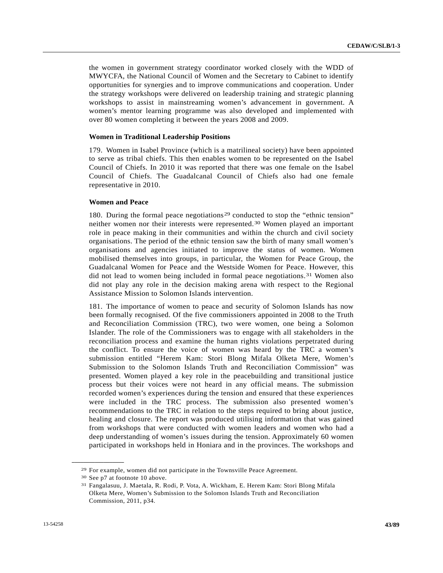the women in government strategy coordinator worked closely with the WDD of MWYCFA, the National Council of Women and the Secretary to Cabinet to identify opportunities for synergies and to improve communications and cooperation. Under the strategy workshops were delivered on leadership training and strategic planning workshops to assist in mainstreaming women's advancement in government. A women's mentor learning programme was also developed and implemented with over 80 women completing it between the years 2008 and 2009.

#### **Women in Traditional Leadership Positions**

179. Women in Isabel Province (which is a matrilineal society) have been appointed to serve as tribal chiefs. This then enables women to be represented on the Isabel Council of Chiefs. In 2010 it was reported that there was one female on the Isabel Council of Chiefs. The Guadalcanal Council of Chiefs also had one female representative in 2010.

### **Women and Peace**

180. During the formal peace negotiations<sup>[2](#page-42-0)9</sup> conducted to stop the "ethnic tension" neither women nor their interests were represented.[30](#page-42-1) Women played an important role in peace making in their communities and within the church and civil society organisations. The period of the ethnic tension saw the birth of many small women's organisations and agencies initiated to improve the status of women. Women mobilised themselves into groups, in particular, the Women for Peace Group, the Guadalcanal Women for Peace and the Westside Women for Peace. However, this did not lead to women being included in formal peace negotiations.[3](#page-42-2)1 Women also did not play any role in the decision making arena with respect to the Regional Assistance Mission to Solomon Islands intervention.

181. The importance of women to peace and security of Solomon Islands has now been formally recognised. Of the five commissioners appointed in 2008 to the Truth and Reconciliation Commission (TRC), two were women, one being a Solomon Islander. The role of the Commissioners was to engage with all stakeholders in the reconciliation process and examine the human rights violations perpetrated during the conflict. To ensure the voice of women was heard by the TRC a women's submission entitled "Herem Kam: Stori Blong Mifala Olketa Mere, Women's Submission to the Solomon Islands Truth and Reconciliation Commission" was presented. Women played a key role in the peacebuilding and transitional justice process but their voices were not heard in any official means. The submission recorded women's experiences during the tension and ensured that these experiences were included in the TRC process. The submission also presented women's recommendations to the TRC in relation to the steps required to bring about justice, healing and closure. The report was produced utilising information that was gained from workshops that were conducted with women leaders and women who had a deep understanding of women's issues during the tension. Approximately 60 women participated in workshops held in Honiara and in the provinces. The workshops and

<span id="page-42-1"></span><span id="page-42-0"></span><sup>29</sup> For example, women did not participate in the Townsville Peace Agreement. 30 See p7 at footnote 10 above.

<span id="page-42-2"></span><sup>31</sup> Fangalasuu, J. Maetala, R. Rodi, P. Vota, A. Wickham, E. Herem Kam: Stori Blong Mifala Olketa Mere, Women's Submission to the Solomon Islands Truth and Reconciliation Commission, 2011, p34.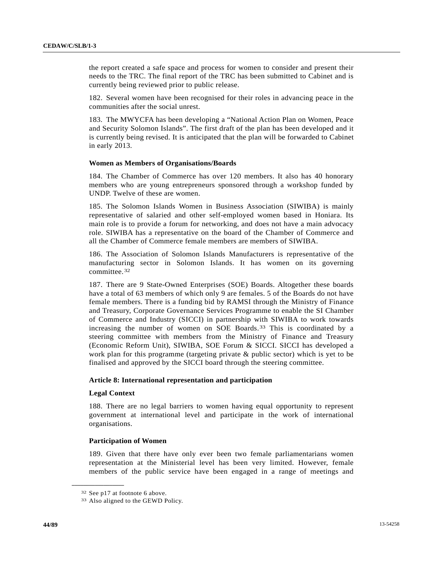the report created a safe space and process for women to consider and present their needs to the TRC. The final report of the TRC has been submitted to Cabinet and is currently being reviewed prior to public release.

182. Several women have been recognised for their roles in advancing peace in the communities after the social unrest.

183. The MWYCFA has been developing a "National Action Plan on Women, Peace and Security Solomon Islands". The first draft of the plan has been developed and it is currently being revised. It is anticipated that the plan will be forwarded to Cabinet in early 2013.

# **Women as Members of Organisations/Boards**

184. The Chamber of Commerce has over 120 members. It also has 40 honorary members who are young entrepreneurs sponsored through a workshop funded by UNDP. Twelve of these are women.

185. The Solomon Islands Women in Business Association (SIWIBA) is mainly representative of salaried and other self-employed women based in Honiara. Its main role is to provide a forum for networking, and does not have a main advocacy role. SIWIBA has a representative on the board of the Chamber of Commerce and all the Chamber of Commerce female members are members of SIWIBA.

186. The Association of Solomon Islands Manufacturers is representative of the manufacturing sector in Solomon Islands. It has women on its governing committee.[32](#page-43-0)

187. There are 9 State-Owned Enterprises (SOE) Boards. Altogether these boards have a total of 63 members of which only 9 are females. 5 of the Boards do not have female members. There is a funding bid by RAMSI through the Ministry of Finance and Treasury, Corporate Governance Services Programme to enable the SI Chamber of Commerce and Industry (SICCI) in partnership with SIWIBA to work towards increasing the number of women on SOE Boards.[33](#page-43-1) This is coordinated by a steering committee with members from the Ministry of Finance and Treasury (Economic Reform Unit), SIWIBA, SOE Forum & SICCI. SICCI has developed a work plan for this programme (targeting private & public sector) which is yet to be finalised and approved by the SICCI board through the steering committee.

## **Article 8: International representation and participation**

### **Legal Context**

188. There are no legal barriers to women having equal opportunity to represent government at international level and participate in the work of international organisations.

# **Participation of Women**

189. Given that there have only ever been two female parliamentarians women representation at the Ministerial level has been very limited. However, female members of the public service have been engaged in a range of meetings and

<span id="page-43-0"></span><sup>32</sup> See p17 at footnote 6 above.

<span id="page-43-1"></span><sup>33</sup> Also aligned to the GEWD Policy.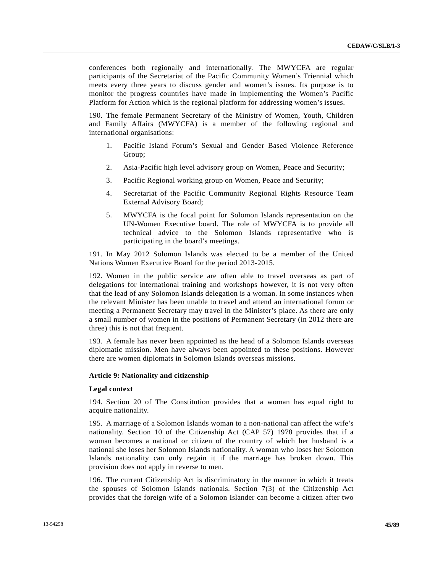conferences both regionally and internationally. The MWYCFA are regular participants of the Secretariat of the Pacific Community Women's Triennial which meets every three years to discuss gender and women's issues. Its purpose is to monitor the progress countries have made in implementing the Women's Pacific Platform for Action which is the regional platform for addressing women's issues.

190. The female Permanent Secretary of the Ministry of Women, Youth, Children and Family Affairs (MWYCFA) is a member of the following regional and international organisations:

- 1. Pacific Island Forum's Sexual and Gender Based Violence Reference Group;
- 2. Asia-Pacific high level advisory group on Women, Peace and Security;
- 3. Pacific Regional working group on Women, Peace and Security;
- 4. Secretariat of the Pacific Community Regional Rights Resource Team External Advisory Board;
- 5. MWYCFA is the focal point for Solomon Islands representation on the UN-Women Executive board. The role of MWYCFA is to provide all technical advice to the Solomon Islands representative who is participating in the board's meetings.

191. In May 2012 Solomon Islands was elected to be a member of the United Nations Women Executive Board for the period 2013-2015.

192. Women in the public service are often able to travel overseas as part of delegations for international training and workshops however, it is not very often that the lead of any Solomon Islands delegation is a woman. In some instances when the relevant Minister has been unable to travel and attend an international forum or meeting a Permanent Secretary may travel in the Minister's place. As there are only a small number of women in the positions of Permanent Secretary (in 2012 there are three) this is not that frequent.

193. A female has never been appointed as the head of a Solomon Islands overseas diplomatic mission. Men have always been appointed to these positions. However there are women diplomats in Solomon Islands overseas missions.

### **Article 9: Nationality and citizenship**

## **Legal context**

194. Section 20 of The Constitution provides that a woman has equal right to acquire nationality.

195. A marriage of a Solomon Islands woman to a non-national can affect the wife's nationality. Section 10 of the Citizenship Act (CAP 57) 1978 provides that if a woman becomes a national or citizen of the country of which her husband is a national she loses her Solomon Islands nationality. A woman who loses her Solomon Islands nationality can only regain it if the marriage has broken down. This provision does not apply in reverse to men.

196. The current Citizenship Act is discriminatory in the manner in which it treats the spouses of Solomon Islands nationals. Section 7(3) of the Citizenship Act provides that the foreign wife of a Solomon Islander can become a citizen after two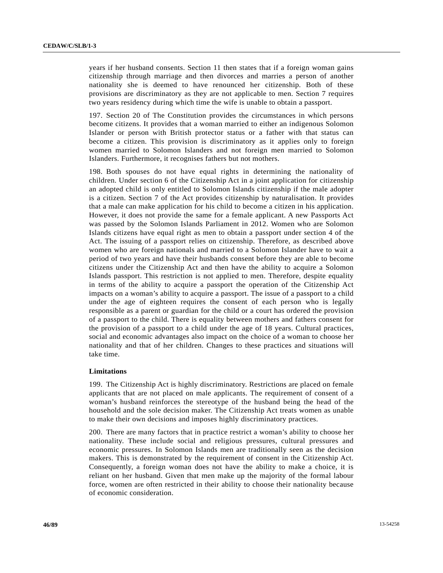years if her husband consents. Section 11 then states that if a foreign woman gains citizenship through marriage and then divorces and marries a person of another nationality she is deemed to have renounced her citizenship. Both of these provisions are discriminatory as they are not applicable to men. Section 7 requires two years residency during which time the wife is unable to obtain a passport.

197. Section 20 of The Constitution provides the circumstances in which persons become citizens. It provides that a woman married to either an indigenous Solomon Islander or person with British protector status or a father with that status can become a citizen. This provision is discriminatory as it applies only to foreign women married to Solomon Islanders and not foreign men married to Solomon Islanders. Furthermore, it recognises fathers but not mothers.

198. Both spouses do not have equal rights in determining the nationality of children. Under section 6 of the Citizenship Act in a joint application for citizenship an adopted child is only entitled to Solomon Islands citizenship if the male adopter is a citizen. Section 7 of the Act provides citizenship by naturalisation. It provides that a male can make application for his child to become a citizen in his application. However, it does not provide the same for a female applicant. A new Passports Act was passed by the Solomon Islands Parliament in 2012. Women who are Solomon Islands citizens have equal right as men to obtain a passport under section 4 of the Act. The issuing of a passport relies on citizenship. Therefore, as described above women who are foreign nationals and married to a Solomon Islander have to wait a period of two years and have their husbands consent before they are able to become citizens under the Citizenship Act and then have the ability to acquire a Solomon Islands passport. This restriction is not applied to men. Therefore, despite equality in terms of the ability to acquire a passport the operation of the Citizenship Act impacts on a woman's ability to acquire a passport. The issue of a passport to a child under the age of eighteen requires the consent of each person who is legally responsible as a parent or guardian for the child or a court has ordered the provision of a passport to the child. There is equality between mothers and fathers consent for the provision of a passport to a child under the age of 18 years. Cultural practices, social and economic advantages also impact on the choice of a woman to choose her nationality and that of her children. Changes to these practices and situations will take time.

### **Limitations**

199. The Citizenship Act is highly discriminatory. Restrictions are placed on female applicants that are not placed on male applicants. The requirement of consent of a woman's husband reinforces the stereotype of the husband being the head of the household and the sole decision maker. The Citizenship Act treats women as unable to make their own decisions and imposes highly discriminatory practices.

200. There are many factors that in practice restrict a woman's ability to choose her nationality. These include social and religious pressures, cultural pressures and economic pressures. In Solomon Islands men are traditionally seen as the decision makers. This is demonstrated by the requirement of consent in the Citizenship Act. Consequently, a foreign woman does not have the ability to make a choice, it is reliant on her husband. Given that men make up the majority of the formal labour force, women are often restricted in their ability to choose their nationality because of economic consideration.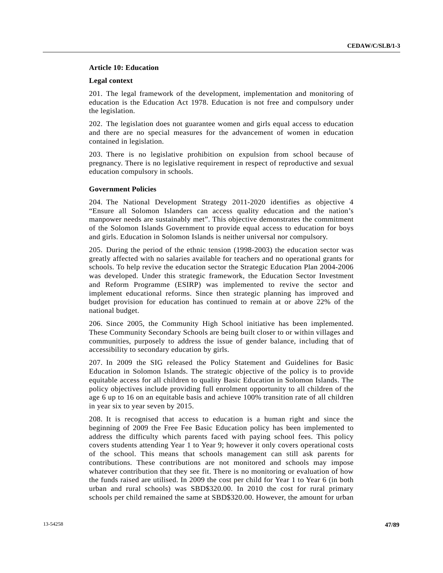# **Article 10: Education**

## **Legal context**

201. The legal framework of the development, implementation and monitoring of education is the Education Act 1978. Education is not free and compulsory under the legislation.

202. The legislation does not guarantee women and girls equal access to education and there are no special measures for the advancement of women in education contained in legislation.

203. There is no legislative prohibition on expulsion from school because of pregnancy. There is no legislative requirement in respect of reproductive and sexual education compulsory in schools.

# **Government Policies**

204. The National Development Strategy 2011-2020 identifies as objective 4 "Ensure all Solomon Islanders can access quality education and the nation's manpower needs are sustainably met". This objective demonstrates the commitment of the Solomon Islands Government to provide equal access to education for boys and girls. Education in Solomon Islands is neither universal nor compulsory.

205. During the period of the ethnic tension (1998-2003) the education sector was greatly affected with no salaries available for teachers and no operational grants for schools. To help revive the education sector the Strategic Education Plan 2004-2006 was developed. Under this strategic framework, the Education Sector Investment and Reform Programme (ESIRP) was implemented to revive the sector and implement educational reforms. Since then strategic planning has improved and budget provision for education has continued to remain at or above 22% of the national budget.

206. Since 2005, the Community High School initiative has been implemented. These Community Secondary Schools are being built closer to or within villages and communities, purposely to address the issue of gender balance, including that of accessibility to secondary education by girls.

207. In 2009 the SIG released the Policy Statement and Guidelines for Basic Education in Solomon Islands. The strategic objective of the policy is to provide equitable access for all children to quality Basic Education in Solomon Islands. The policy objectives include providing full enrolment opportunity to all children of the age 6 up to 16 on an equitable basis and achieve 100% transition rate of all children in year six to year seven by 2015.

208. It is recognised that access to education is a human right and since the beginning of 2009 the Free Fee Basic Education policy has been implemented to address the difficulty which parents faced with paying school fees. This policy covers students attending Year 1 to Year 9; however it only covers operational costs of the school. This means that schools management can still ask parents for contributions. These contributions are not monitored and schools may impose whatever contribution that they see fit. There is no monitoring or evaluation of how the funds raised are utilised. In 2009 the cost per child for Year 1 to Year 6 (in both urban and rural schools) was SBD\$320.00. In 2010 the cost for rural primary schools per child remained the same at SBD\$320.00. However, the amount for urban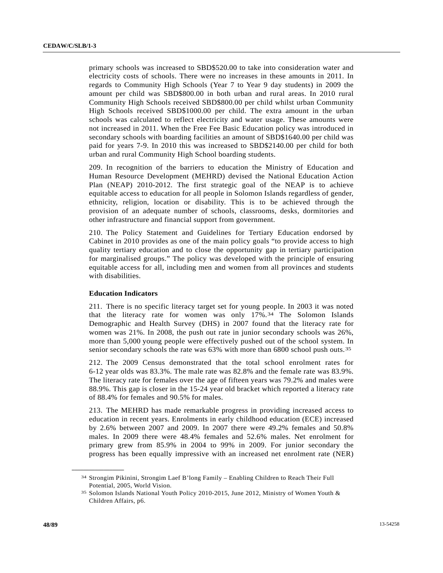primary schools was increased to SBD\$520.00 to take into consideration water and electricity costs of schools. There were no increases in these amounts in 2011. In regards to Community High Schools (Year 7 to Year 9 day students) in 2009 the amount per child was SBD\$800.00 in both urban and rural areas. In 2010 rural Community High Schools received SBD\$800.00 per child whilst urban Community High Schools received SBD\$1000.00 per child. The extra amount in the urban schools was calculated to reflect electricity and water usage. These amounts were not increased in 2011. When the Free Fee Basic Education policy was introduced in secondary schools with boarding facilities an amount of SBD\$1640.00 per child was paid for years 7-9. In 2010 this was increased to SBD\$2140.00 per child for both urban and rural Community High School boarding students.

209. In recognition of the barriers to education the Ministry of Education and Human Resource Development (MEHRD) devised the National Education Action Plan (NEAP) 2010-2012. The first strategic goal of the NEAP is to achieve equitable access to education for all people in Solomon Islands regardless of gender, ethnicity, religion, location or disability. This is to be achieved through the provision of an adequate number of schools, classrooms, desks, dormitories and other infrastructure and financial support from government.

210. The Policy Statement and Guidelines for Tertiary Education endorsed by Cabinet in 2010 provides as one of the main policy goals "to provide access to high quality tertiary education and to close the opportunity gap in tertiary participation for marginalised groups." The policy was developed with the principle of ensuring equitable access for all, including men and women from all provinces and students with disabilities.

# **Education Indicators**

211. There is no specific literacy target set for young people. In 2003 it was noted that the literacy rate for women was only 17%.[3](#page-47-0)4 The Solomon Islands Demographic and Health Survey (DHS) in 2007 found that the literacy rate for women was 21%. In 2008, the push out rate in junior secondary schools was 26%, more than 5,000 young people were effectively pushed out of the school system. In senior secondary schools the rate was 63% with more than 6800 school push outs.<sup>[35](#page-47-1)</sup>

212. The 2009 Census demonstrated that the total school enrolment rates for 6-12 year olds was 83.3%. The male rate was 82.8% and the female rate was 83.9%. The literacy rate for females over the age of fifteen years was 79.2% and males were 88.9%. This gap is closer in the 15-24 year old bracket which reported a literacy rate of 88.4% for females and 90.5% for males.

213. The MEHRD has made remarkable progress in providing increased access to education in recent years. Enrolments in early childhood education (ECE) increased by 2.6% between 2007 and 2009. In 2007 there were 49.2% females and 50.8% males. In 2009 there were 48.4% females and 52.6% males. Net enrolment for primary grew from 85.9% in 2004 to 99% in 2009. For junior secondary the progress has been equally impressive with an increased net enrolment rate (NER)

<span id="page-47-0"></span><sup>34</sup> Strongim Pikinini, Strongim Laef B'long Family – Enabling Children to Reach Their Full Potential, 2005, World Vision.

<span id="page-47-1"></span><sup>35</sup> Solomon Islands National Youth Policy 2010-2015, June 2012, Ministry of Women Youth & Children Affairs, p6.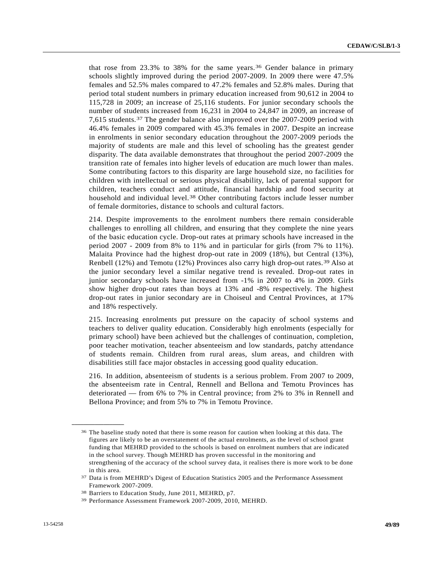that rose from 23.3% to 38% for the same years.[3](#page-48-0)6 Gender balance in primary schools slightly improved during the period 2007-2009. In 2009 there were 47.5% females and 52.5% males compared to 47.2% females and 52.8% males. During that period total student numbers in primary education increased from 90,612 in 2004 to 115,728 in 2009; an increase of 25,116 students. For junior secondary schools the number of students increased from 16,231 in 2004 to 24,847 in 2009, an increase of 7,615 students.[3](#page-48-1)7 The gender balance also improved over the 2007-2009 period with 46.4% females in 2009 compared with 45.3% females in 2007. Despite an increase in enrolments in senior secondary education throughout the 2007-2009 periods the majority of students are male and this level of schooling has the greatest gender disparity. The data available demonstrates that throughout the period 2007-2009 the transition rate of females into higher levels of education are much lower than males. Some contributing factors to this disparity are large household size, no facilities for children with intellectual or serious physical disability, lack of parental support for children, teachers conduct and attitude, financial hardship and food security at household and individual level.[3](#page-48-2)8 Other contributing factors include lesser number of female dormitories, distance to schools and cultural factors.

214. Despite improvements to the enrolment numbers there remain considerable challenges to enrolling all children, and ensuring that they complete the nine years of the basic education cycle. Drop-out rates at primary schools have increased in the period 2007 - 2009 from 8% to 11% and in particular for girls (from 7% to 11%). Malaita Province had the highest drop-out rate in 2009 (18%), but Central (13%), Renbell (12%) and Temotu (12%) Provinces also carry high drop-out rates.[39](#page-48-3) Also at the junior secondary level a similar negative trend is revealed. Drop-out rates in junior secondary schools have increased from -1% in 2007 to 4% in 2009. Girls show higher drop-out rates than boys at 13% and -8% respectively. The highest drop-out rates in junior secondary are in Choiseul and Central Provinces, at 17% and 18% respectively.

215. Increasing enrolments put pressure on the capacity of school systems and teachers to deliver quality education. Considerably high enrolments (especially for primary school) have been achieved but the challenges of continuation, completion, poor teacher motivation, teacher absenteeism and low standards, patchy attendance of students remain. Children from rural areas, slum areas, and children with disabilities still face major obstacles in accessing good quality education.

216. In addition, absenteeism of students is a serious problem. From 2007 to 2009, the absenteeism rate in Central, Rennell and Bellona and Temotu Provinces has deteriorated — from 6% to 7% in Central province; from 2% to 3% in Rennell and Bellona Province; and from 5% to 7% in Temotu Province.

<span id="page-48-0"></span><sup>&</sup>lt;sup>36</sup> The baseline study noted that there is some reason for caution when looking at this data. The figures are likely to be an overstatement of the actual enrolments, as the level of school grant funding that MEHRD provided to the schools is based on enrolment numbers that are indicated in the school survey. Though MEHRD has proven successful in the monitoring and strengthening of the accuracy of the school survey data, it realises there is more work to be done in this area.

<span id="page-48-1"></span><sup>37</sup> Data is from MEHRD's Digest of Education Statistics 2005 and the Performance Assessment Framework 2007-2009.

<span id="page-48-2"></span><sup>38</sup> Barriers to Education Study, June 2011, MEHRD, p7.

<span id="page-48-3"></span><sup>39</sup> Performance Assessment Framework 2007-2009, 2010, MEHRD.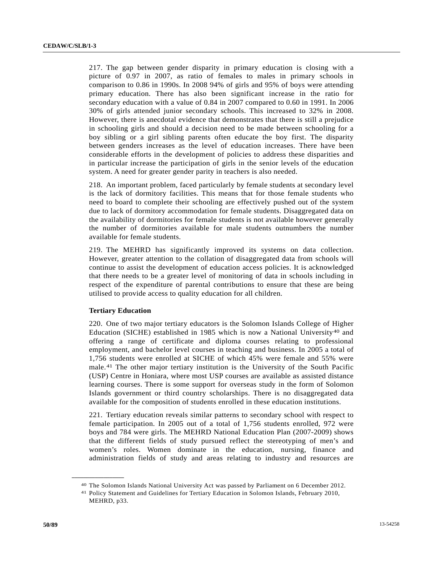217. The gap between gender disparity in primary education is closing with a picture of 0.97 in 2007, as ratio of females to males in primary schools in comparison to 0.86 in 1990s. In 2008 94% of girls and 95% of boys were attending primary education. There has also been significant increase in the ratio for secondary education with a value of 0.84 in 2007 compared to 0.60 in 1991. In 2006 30% of girls attended junior secondary schools. This increased to 32% in 2008. However, there is anecdotal evidence that demonstrates that there is still a prejudice in schooling girls and should a decision need to be made between schooling for a boy sibling or a girl sibling parents often educate the boy first. The disparity between genders increases as the level of education increases. There have been considerable efforts in the development of policies to address these disparities and in particular increase the participation of girls in the senior levels of the education system. A need for greater gender parity in teachers is also needed.

218. An important problem, faced particularly by female students at secondary level is the lack of dormitory facilities. This means that for those female students who need to board to complete their schooling are effectively pushed out of the system due to lack of dormitory accommodation for female students. Disaggregated data on the availability of dormitories for female students is not available however generally the number of dormitories available for male students outnumbers the number available for female students.

219. The MEHRD has significantly improved its systems on data collection. However, greater attention to the collation of disaggregated data from schools will continue to assist the development of education access policies. It is acknowledged that there needs to be a greater level of monitoring of data in schools including in respect of the expenditure of parental contributions to ensure that these are being utilised to provide access to quality education for all children.

# **Tertiary Education**

<span id="page-49-1"></span><span id="page-49-0"></span>**\_\_\_\_\_\_\_\_\_\_\_\_\_\_\_\_\_\_** 

220. One of two major tertiary educators is the Solomon Islands College of Higher Education (SICHE) established in 1985 which is now a National University<sup>[4](#page-49-0)0</sup> and offering a range of certificate and diploma courses relating to professional employment, and bachelor level courses in teaching and business. In 2005 a total of 1,756 students were enrolled at SICHE of which 45% were female and 55% were male.[4](#page-49-1)1 The other major tertiary institution is the University of the South Pacific (USP) Centre in Honiara, where most USP courses are available as assisted distance learning courses. There is some support for overseas study in the form of Solomon Islands government or third country scholarships. There is no disaggregated data available for the composition of students enrolled in these education institutions.

221. Tertiary education reveals similar patterns to secondary school with respect to female participation. In 2005 out of a total of 1,756 students enrolled, 972 were boys and 784 were girls. The MEHRD National Education Plan (2007-2009) shows that the different fields of study pursued reflect the stereotyping of men's and women's roles. Women dominate in the education, nursing, finance and administration fields of study and areas relating to industry and resources are

<sup>40</sup> The Solomon Islands National University Act was passed by Parliament on 6 December 2012. 41 Policy Statement and Guidelines for Tertiary Education in Solomon Islands, February 2010,

MEHRD, p33.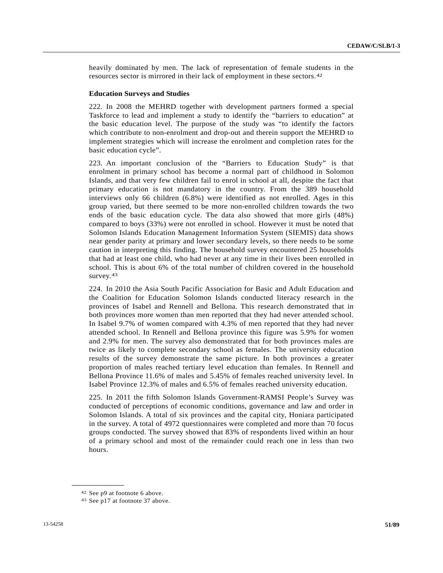heavily dominated by men. The lack of representation of female students in the resources sector is mirrored in their lack of employment in these sectors.[42](#page-50-0)

#### **Education Surveys and Studies**

222. In 2008 the MEHRD together with development partners formed a special Taskforce to lead and implement a study to identify the "barriers to education" at the basic education level. The purpose of the study was "to identify the factors which contribute to non-enrolment and drop-out and therein support the MEHRD to implement strategies which will increase the enrolment and completion rates for the basic education cycle".

223. An important conclusion of the "Barriers to Education Study" is that enrolment in primary school has become a normal part of childhood in Solomon Islands, and that very few children fail to enrol in school at all, despite the fact that primary education is not mandatory in the country. From the 389 household interviews only 66 children (6.8%) were identified as not enrolled. Ages in this group varied, but there seemed to be more non-enrolled children towards the two ends of the basic education cycle. The data also showed that more girls (48%) compared to boys (33%) were not enrolled in school. However it must be noted that Solomon Islands Education Management Information System (SIEMIS) data shows near gender parity at primary and lower secondary levels, so there needs to be some caution in interpreting this finding. The household survey encountered 25 households that had at least one child, who had never at any time in their lives been enrolled in school. This is about 6% of the total number of children covered in the household survey.  $43$ 

224. In 2010 the Asia South Pacific Association for Basic and Adult Education and the Coalition for Education Solomon Islands conducted literacy research in the provinces of Isabel and Rennell and Bellona. This research demonstrated that in both provinces more women than men reported that they had never attended school. In Isabel 9.7% of women compared with 4.3% of men reported that they had never attended school. In Rennell and Bellona province this figure was 5.9% for women and 2.9% for men. The survey also demonstrated that for both provinces males are twice as likely to complete secondary school as females. The university education results of the survey demonstrate the same picture. In both provinces a greater proportion of males reached tertiary level education than females. In Rennell and Bellona Province 11.6% of males and 5.45% of females reached university level. In Isabel Province 12.3% of males and 6.5% of females reached university education.

225. In 2011 the fifth Solomon Islands Government-RAMSI People's Survey was conducted of perceptions of economic conditions, governance and law and order in Solomon Islands. A total of six provinces and the capital city, Honiara participated in the survey. A total of 4972 questionnaires were completed and more than 70 focus groups conducted. The survey showed that 83% of respondents lived within an hour of a primary school and most of the remainder could reach one in less than two hours.

<span id="page-50-0"></span><sup>42</sup> See p9 at footnote 6 above.

<span id="page-50-1"></span><sup>43</sup> See p17 at footnote 37 above.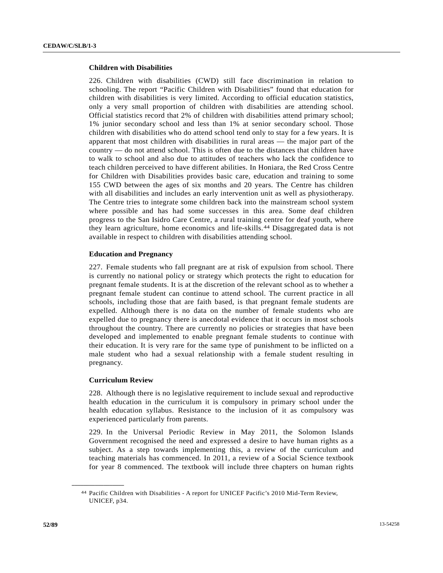# **Children with Disabilities**

226. Children with disabilities (CWD) still face discrimination in relation to schooling. The report "Pacific Children with Disabilities" found that education for children with disabilities is very limited. According to official education statistics, only a very small proportion of children with disabilities are attending school. Official statistics record that 2% of children with disabilities attend primary school; 1% junior secondary school and less than 1% at senior secondary school. Those children with disabilities who do attend school tend only to stay for a few years. It is apparent that most children with disabilities in rural areas — the major part of the country — do not attend school. This is often due to the distances that children have to walk to school and also due to attitudes of teachers who lack the confidence to teach children perceived to have different abilities. In Honiara, the Red Cross Centre for Children with Disabilities provides basic care, education and training to some 155 CWD between the ages of six months and 20 years. The Centre has children with all disabilities and includes an early intervention unit as well as physiotherapy. The Centre tries to integrate some children back into the mainstream school system where possible and has had some successes in this area. Some deaf children progress to the San Isidro Care Centre, a rural training centre for deaf youth, where they learn agriculture, home economics and life-skills.[44](#page-51-0) Disaggregated data is not available in respect to children with disabilities attending school.

# **Education and Pregnancy**

227. Female students who fall pregnant are at risk of expulsion from school. There is currently no national policy or strategy which protects the right to education for pregnant female students. It is at the discretion of the relevant school as to whether a pregnant female student can continue to attend school. The current practice in all schools, including those that are faith based, is that pregnant female students are expelled. Although there is no data on the number of female students who are expelled due to pregnancy there is anecdotal evidence that it occurs in most schools throughout the country. There are currently no policies or strategies that have been developed and implemented to enable pregnant female students to continue with their education. It is very rare for the same type of punishment to be inflicted on a male student who had a sexual relationship with a female student resulting in pregnancy.

# **Curriculum Review**

<span id="page-51-0"></span>**\_\_\_\_\_\_\_\_\_\_\_\_\_\_\_\_\_\_** 

228. Although there is no legislative requirement to include sexual and reproductive health education in the curriculum it is compulsory in primary school under the health education syllabus. Resistance to the inclusion of it as compulsory was experienced particularly from parents.

229. In the Universal Periodic Review in May 2011, the Solomon Islands Government recognised the need and expressed a desire to have human rights as a subject. As a step towards implementing this, a review of the curriculum and teaching materials has commenced. In 2011, a review of a Social Science textbook for year 8 commenced. The textbook will include three chapters on human rights

<sup>44</sup> Pacific Children with Disabilities - A report for UNICEF Pacific's 2010 Mid-Term Review, UNICEF, p34.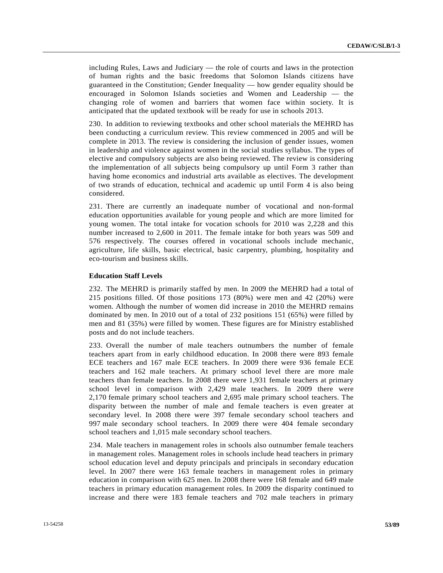including Rules, Laws and Judiciary — the role of courts and laws in the protection of human rights and the basic freedoms that Solomon Islands citizens have guaranteed in the Constitution; Gender Inequality — how gender equality should be encouraged in Solomon Islands societies and Women and Leadership — the changing role of women and barriers that women face within society. It is anticipated that the updated textbook will be ready for use in schools 2013.

230. In addition to reviewing textbooks and other school materials the MEHRD has been conducting a curriculum review. This review commenced in 2005 and will be complete in 2013. The review is considering the inclusion of gender issues, women in leadership and violence against women in the social studies syllabus. The types of elective and compulsory subjects are also being reviewed. The review is considering the implementation of all subjects being compulsory up until Form 3 rather than having home economics and industrial arts available as electives. The development of two strands of education, technical and academic up until Form 4 is also being considered.

231. There are currently an inadequate number of vocational and non-formal education opportunities available for young people and which are more limited for young women. The total intake for vocation schools for 2010 was 2,228 and this number increased to 2,600 in 2011. The female intake for both years was 509 and 576 respectively. The courses offered in vocational schools include mechanic, agriculture, life skills, basic electrical, basic carpentry, plumbing, hospitality and eco-tourism and business skills.

## **Education Staff Levels**

232. The MEHRD is primarily staffed by men. In 2009 the MEHRD had a total of 215 positions filled. Of those positions 173 (80%) were men and 42 (20%) were women. Although the number of women did increase in 2010 the MEHRD remains dominated by men. In 2010 out of a total of 232 positions 151 (65%) were filled by men and 81 (35%) were filled by women. These figures are for Ministry established posts and do not include teachers.

233. Overall the number of male teachers outnumbers the number of female teachers apart from in early childhood education. In 2008 there were 893 female ECE teachers and 167 male ECE teachers. In 2009 there were 936 female ECE teachers and 162 male teachers. At primary school level there are more male teachers than female teachers. In 2008 there were 1,931 female teachers at primary school level in comparison with 2,429 male teachers. In 2009 there were 2,170 female primary school teachers and 2,695 male primary school teachers. The disparity between the number of male and female teachers is even greater at secondary level. In 2008 there were 397 female secondary school teachers and 997 male secondary school teachers. In 2009 there were 404 female secondary school teachers and 1,015 male secondary school teachers.

234. Male teachers in management roles in schools also outnumber female teachers in management roles. Management roles in schools include head teachers in primary school education level and deputy principals and principals in secondary education level. In 2007 there were 163 female teachers in management roles in primary education in comparison with 625 men. In 2008 there were 168 female and 649 male teachers in primary education management roles. In 2009 the disparity continued to increase and there were 183 female teachers and 702 male teachers in primary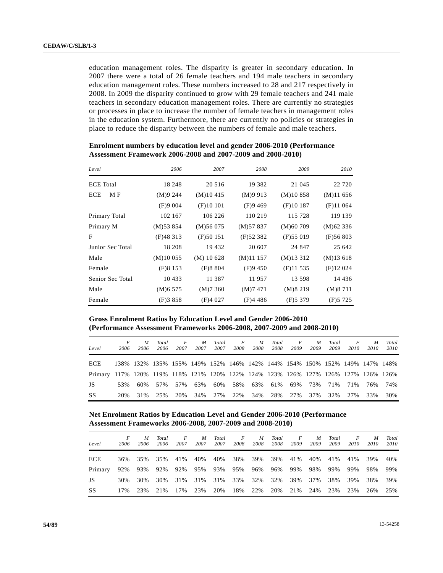education management roles. The disparity is greater in secondary education. In 2007 there were a total of 26 female teachers and 194 male teachers in secondary education management roles. These numbers increased to 28 and 217 respectively in 2008. In 2009 the disparity continued to grow with 29 female teachers and 241 male teachers in secondary education management roles. There are currently no strategies or processes in place to increase the number of female teachers in management roles in the education system. Furthermore, there are currently no policies or strategies in place to reduce the disparity between the numbers of female and male teachers.

| Level            | 2006         | 2007         | 2008     | 2009         | 2010     |
|------------------|--------------|--------------|----------|--------------|----------|
| <b>ECE</b> Total | 18 248       | 20 516       | 19 3 8 2 | 21 045       | 22 7 20  |
| ECE<br>M F       | (M)9244      | (M)10415     | (M)9913  | (M)10858     | (M)11656 |
|                  | (F)9004      | (F)10101     | (F)9469  | (F)10187     | (F)11064 |
| Primary Total    | 102 167      | 106 226      | 110 219  | 115 728      | 119 139  |
| Primary M        | $(M)$ 53 854 | (M)56075     | (M)57837 | (M)60709     | (M)62336 |
| F                | (F)48313     | (F)50151     | (F)52382 | $(F)$ 55 019 | (F)56803 |
| Junior Sec Total | 18 208       | 19 432       | 20 607   | 24 847       | 25 642   |
| Male             | (M)10055     | $(M)$ 10 628 | (M)11157 | $(M)$ 13 312 | (M)13618 |
| Female           | (F)8153      | (F)8804      | (F)9450  | (F)11535     | (F)12024 |
| Senior Sec Total | 10 433       | 11 387       | 11957    | 13 598       | 14 4 36  |
| Male             | (M)6575      | (M)7360      | (M)7471  | (M)8219      | (M)8711  |
| Female           | (F)3858      | (F)4027      | (F)4486  | (F)5379      | (F)5725  |

 **Enrolment numbers by education level and gender 2006-2010 (Performance Assessment Framework 2006-2008 and 2007-2009 and 2008-2010)** 

 **Gross Enrolment Ratios by Education Level and Gender 2006-2010 (Performance Assessment Frameworks 2006-2008, 2007-2009 and 2008-2010)** 

| Level                                                                              | 2006 | M<br>2006 | Total<br>2006 | $\overline{F}$<br>2007 | M<br>2007 | Total<br>2007 | F<br>2008 | $M_{\odot}$<br>2008 | Total<br>2008 | $\overline{F}$<br>2009 | $\boldsymbol{M}$<br>2009 | Total<br>2009 | $\overline{F}$<br>2010 | M<br>2010 | Total<br>2010                                                              |
|------------------------------------------------------------------------------------|------|-----------|---------------|------------------------|-----------|---------------|-----------|---------------------|---------------|------------------------|--------------------------|---------------|------------------------|-----------|----------------------------------------------------------------------------|
| ECE.                                                                               |      |           |               |                        |           |               |           |                     |               |                        |                          |               |                        |           | 138% 132% 135% 155% 149% 152% 146% 142% 144% 154% 150% 152% 149% 147% 148% |
| Primary 117% 120% 119% 118% 121% 120% 122% 124% 123% 126% 127% 126% 127% 126% 126% |      |           |               |                        |           |               |           |                     |               |                        |                          |               |                        |           |                                                                            |
| JS.                                                                                | 53%  | 60%       |               | 57% 57%                | 63%       | 60%           |           | 58% 63% 61%         |               | 69%                    | 73%                      | 71%           | 71%                    | 76%       | 74%                                                                        |
| SS                                                                                 | 20%  | 31%       | 25%           | 20%                    | 34%       | 27%           |           | 22\% 34\%           | 28%           | 27%                    | 37%                      | 32%           | 27%                    | 33%       | 30%                                                                        |

 **Net Enrolment Ratios by Education Level and Gender 2006-2010 (Performance Assessment Frameworks 2006-2008, 2007-2009 and 2008-2010)** 

| Level      | 2006 | M<br>2006 | Total<br>2006 | F<br>2007 | M<br>2007 | Total<br>2007 | F<br>2008 | M<br>2008 | Total<br>2008 | F<br>2009 | M<br>2009 | Total<br>2009 | F<br>2010 | M<br>2010 | Total<br>2010 |
|------------|------|-----------|---------------|-----------|-----------|---------------|-----------|-----------|---------------|-----------|-----------|---------------|-----------|-----------|---------------|
| <b>ECE</b> | 36%  | 35%       | 35%           | 41%       | 40%       | 40%           | 38%       | 39%       | 39%           | 41%       | 40%       | 41%           | 41%       | 39%       | 40%           |
| Primary    | 92%  | 93%       | 92%           | 92%       | 95%       | 93%           | 95%       | 96%       | 96%           | 99%       | 98%       | 99%           | 99%       | 98%       | 99%           |
| JS         | 30%  | 30%       | 30%           | 31%       | 31%       | 31%           | 33%       | 32%       | 32%           | 39%       | 37%       | 38%           | 39%       | 38%       | 39%           |
| SS         | 17%  | 23%       | 21%           | 17%       | 23%       | 20%           | 18%       | 22%       | 20%           | 21%       | 24%       | 23%           | 23%       | 26%       | 25%           |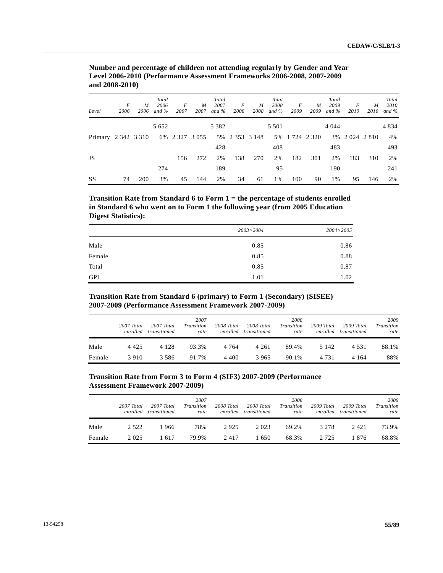| Level               | F<br>2006 | M<br>2006 | Total<br>2006<br>and $\%$ | F<br>2007        | M<br>2007 | Total<br>2007<br>and $\%$ | F<br>2008        | $\boldsymbol{M}$<br>2008 | Total<br>2008<br>and $\%$ | F<br>2009      | $\boldsymbol{M}$<br>2009 | Total<br>2009<br>and $\%$ | F<br>2010    | M<br>2010 | Total<br>2010<br>and $\%$ |
|---------------------|-----------|-----------|---------------------------|------------------|-----------|---------------------------|------------------|--------------------------|---------------------------|----------------|--------------------------|---------------------------|--------------|-----------|---------------------------|
|                     |           |           | 5 6 5 2                   |                  |           | 5 3 8 2                   |                  |                          | 5 5 0 1                   |                |                          | 4 0 4 4                   |              |           | 4 8 3 4                   |
| Primary 2 342 3 310 |           |           |                           | 6% 2 3 27 3 0 55 |           |                           | 5% 2 3 5 3 1 4 8 |                          |                           | 5% 1 724 2 320 |                          |                           | 3% 2024 2810 |           | 4%                        |
|                     |           |           |                           |                  |           | 428                       |                  |                          | 408                       |                |                          | 483                       |              |           | 493                       |
| JS                  |           |           |                           | 156              | 272       | 2%                        | 138              | 270                      | 2%                        | 182            | 301                      | 2%                        | 183          | 310       | 2%                        |
|                     |           |           | 274                       |                  |           | 189                       |                  |                          | 95                        |                |                          | 190                       |              |           | 241                       |
| SS                  | 74        | 200       | 3%                        | 45               | 144       | 2%                        | 34               | 61                       | 1%                        | 100            | 90                       | 1%                        | 95           | 146       | 2%                        |

 **Number and percentage of children not attending regularly by Gender and Year Level 2006-2010 (Performance Assessment Frameworks 2006-2008, 2007-2009 and 2008-2010)** 

 **Transition Rate from Standard 6 to Form 1 = the percentage of students enrolled in Standard 6 who went on to Form 1 the following year (from 2005 Education Digest Statistics):** 

|            | 2003 > 2004 | 2004>2005 |
|------------|-------------|-----------|
| Male       | 0.85        | 0.86      |
| Female     | 0.85        | 0.88      |
| Total      | 0.85        | 0.87      |
| <b>GPI</b> | 1.01        | 1.02      |

# **Transition Rate from Standard 6 (primary) to Form 1 (Secondary) (SISEE) 2007-2009 (Performance Assessment Framework 2007-2009)**

|        | 2007 Total | 2007 Total<br>enrolled transitioned | 2007<br><b>Transition</b><br>rate | 2008 Total | 2008 Total<br>enrolled transitioned | 2008<br><b>Transition</b><br>rate | 2009 Total | 2009 Total<br>enrolled transitioned | 2009<br>Transition<br>rate |
|--------|------------|-------------------------------------|-----------------------------------|------------|-------------------------------------|-----------------------------------|------------|-------------------------------------|----------------------------|
| Male   | 4 4 2 5    | 4 1 2 8                             | 93.3%                             | 4 7 6 4    | 4 2 6 1                             | 89.4%                             | 5 1 4 2    | 4 5 3 1                             | 88.1%                      |
| Female | 3910       | 3 5 8 6                             | 91.7%                             | 4 400      | 3 9 6 5                             | 90.1%                             | 4 7 3 1    | 4 1 6 4                             | 88%                        |

# **Transition Rate from Form 3 to Form 4 (SIF3) 2007-2009 (Performance Assessment Framework 2007-2009)**

|        | $2007$ Total<br>enrolled | 2007 Total<br>transitioned | 2007<br>Transition<br>rate | 2008 Total | 2008 Total<br>enrolled transitioned | 2008<br>Transition<br>rate | 2009 Total<br>enrolled | 2009 Total<br>transitioned | 2009<br>Transition<br>rate |
|--------|--------------------------|----------------------------|----------------------------|------------|-------------------------------------|----------------------------|------------------------|----------------------------|----------------------------|
| Male   | 2 5 2 2                  | -966                       | 78%                        | 2925       | 2 0 2 3                             | 69.2%                      | 3 2 7 8                | 2421                       | 73.9%                      |
| Female | 2 0 2 5                  | 1617                       | 79.9%                      | 2417       | l 650                               | 68.3%                      | 2 7 2 5                | 1876                       | 68.8%                      |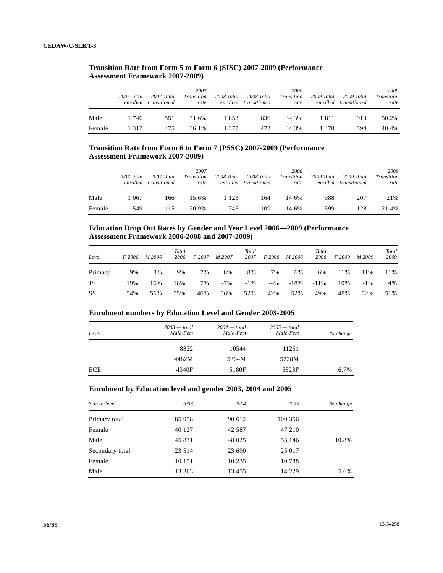|        | $2007$ Total<br>enrolled | 2007 Total<br>transitioned | 2007<br><b>Transition</b><br>rate | 2008 Total | 2008 Total<br>enrolled transitioned | 2008<br>Transition<br>rate | 2009 Total | 2009 Total<br>enrolled transitioned | 2009<br>Transition<br>rate |
|--------|--------------------------|----------------------------|-----------------------------------|------------|-------------------------------------|----------------------------|------------|-------------------------------------|----------------------------|
| Male   | 1 746                    | 551                        | 31.6%                             | 1853       | 636                                 | 34.3%                      | 1811       | 910                                 | 50.2%                      |
| Female | 1 3 1 7                  | 475                        | 36.1%                             | 1 377      | 472                                 | 34.3%                      | 1470       | 594                                 | 40.4%                      |

# **Transition Rate from Form 5 to Form 6 (SISC) 2007-2009 (Performance Assessment Framework 2007-2009)**

# **Transition Rate from Form 6 to Form 7 (PSSC) 2007-2009 (Performance Assessment Framework 2007-2009)**

|        | 2007 Total | 2007 Total<br>enrolled transitioned | 2007<br><b>Transition</b><br>rate | 2008 Total | 2008 Total<br>enrolled transitioned | 2008<br><b>Transition</b><br>rate | 2009 Total | 2009 Total<br>enrolled transitioned | 2009<br>Transition<br>rate |
|--------|------------|-------------------------------------|-----------------------------------|------------|-------------------------------------|-----------------------------------|------------|-------------------------------------|----------------------------|
| Male   | 1 067      | 166                                 | 15.6%                             | 1 1 2 3    | 164                                 | 14.6%                             | 988        | 207                                 | 21%                        |
| Female | 549        | 115                                 | 20.9%                             | 745        | 109                                 | 14.6%                             | 599        | 128                                 | 21.4%                      |

# **Education Drop Out Rates by Gender and Year Level 2006—2009 (Performance Assessment Framework 2006-2008 and 2007-2009)**

| Level   | F 2006 | M 2006 | Total<br>2006 | F 2007 | M 2007 | Total<br>2007 | F 2008 | M 2008 | Total<br>2008 | F 2009 | M 2009 | Total<br>2009 |
|---------|--------|--------|---------------|--------|--------|---------------|--------|--------|---------------|--------|--------|---------------|
| Primary | 9%     | 8%     | 9%            | 7%     | 8%     | 8%            | 7%     | 6%     | 6%            | 11%    | 11%    | 11%           |
| JS      | 19%    | 16%    | 18%           | 7%     | $-7%$  | $-1\%$        | $-4\%$ | $-18%$ | $-11\%$       | 10%    | $-1\%$ | 4%            |
| SS      | 54%    | 56%    | 55%           | 46%    | 56%    | 52%           | 42%    | 52%    | 49%           | 48%    | 52%    | 51%           |

# **Enrolment numbers by Education Level and Gender 2003-2005**

| Level      | $2003 - total$<br>Male-Fem | $2004 - total$<br>Male-Fem | $2005 - total$<br>Male-Fem | % change |
|------------|----------------------------|----------------------------|----------------------------|----------|
|            | 8822                       | 10544                      | 11251                      |          |
|            | 4482M                      | 5364M                      | 5728M                      |          |
| <b>ECE</b> | 4340F                      | 5180F                      | 5523F                      | 6.7%     |

# **Enrolment by Education level and gender 2003, 2004 and 2005**

| School level    | 2003    | 2004     | 2005     | % change |
|-----------------|---------|----------|----------|----------|
| Primary total   | 85 958  | 90 612   | 100 356  |          |
| Female          | 40 127  | 42 5 8 7 | 47 210   |          |
| Male            | 45 831  | 48 025   | 53 146   | 10.8%    |
| Secondary total | 23 5 14 | 23 690   | 25 017   |          |
| Female          | 10 15 1 | 10 235   | 10788    |          |
| Male            | 13 363  | 13 455   | 14 2 2 9 | 5.6%     |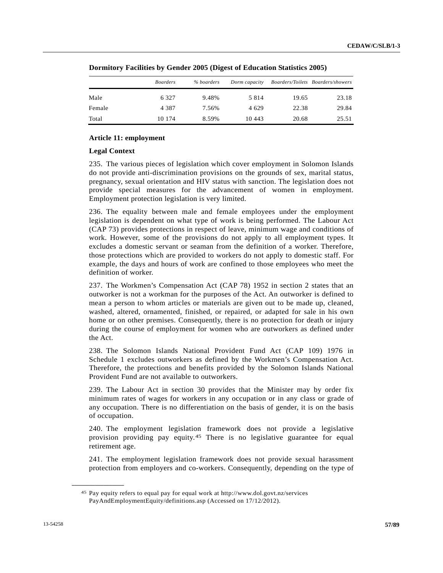|        | <i>Boarders</i> | % boarders | Dorm capacity |       | Boarders/Toilets Boarders/showers |
|--------|-----------------|------------|---------------|-------|-----------------------------------|
| Male   | 6 3 2 7         | 9.48%      | 5814          | 19.65 | 23.18                             |
| Female | 4 3 8 7         | 7.56%      | 4 629         | 22.38 | 29.84                             |
| Total  | 10 174          | 8.59%      | 10 443        | 20.68 | 25.51                             |

|  |  | Dormitory Facilities by Gender 2005 (Digest of Education Statistics 2005) |
|--|--|---------------------------------------------------------------------------|
|  |  |                                                                           |

## **Article 11: employment**

### **Legal Context**

235. The various pieces of legislation which cover employment in Solomon Islands do not provide anti-discrimination provisions on the grounds of sex, marital status, pregnancy, sexual orientation and HIV status with sanction. The legislation does not provide special measures for the advancement of women in employment. Employment protection legislation is very limited.

236. The equality between male and female employees under the employment legislation is dependent on what type of work is being performed. The Labour Act (CAP 73) provides protections in respect of leave, minimum wage and conditions of work. However, some of the provisions do not apply to all employment types. It excludes a domestic servant or seaman from the definition of a worker. Therefore, those protections which are provided to workers do not apply to domestic staff. For example, the days and hours of work are confined to those employees who meet the definition of worker.

237. The Workmen's Compensation Act (CAP 78) 1952 in section 2 states that an outworker is not a workman for the purposes of the Act. An outworker is defined to mean a person to whom articles or materials are given out to be made up, cleaned, washed, altered, ornamented, finished, or repaired, or adapted for sale in his own home or on other premises. Consequently, there is no protection for death or injury during the course of employment for women who are outworkers as defined under the Act.

238. The Solomon Islands National Provident Fund Act (CAP 109) 1976 in Schedule 1 excludes outworkers as defined by the Workmen's Compensation Act. Therefore, the protections and benefits provided by the Solomon Islands National Provident Fund are not available to outworkers.

239. The Labour Act in section 30 provides that the Minister may by order fix minimum rates of wages for workers in any occupation or in any class or grade of any occupation. There is no differentiation on the basis of gender, it is on the basis of occupation.

240. The employment legislation framework does not provide a legislative provision providing pay equity.[4](#page-56-0)5 There is no legislative guarantee for equal retirement age.

241. The employment legislation framework does not provide sexual harassment protection from employers and co-workers. Consequently, depending on the type of

<span id="page-56-0"></span><sup>45</sup> Pay equity refers to equal pay for equal work at http://www.dol.govt.nz/services PayAndEmploymentEquity/definitions.asp (Accessed on 17/12/2012).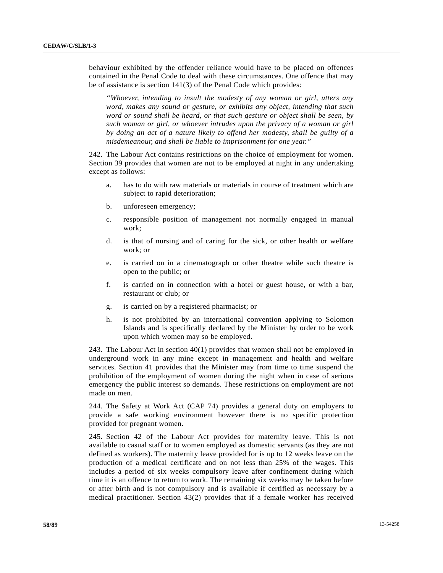behaviour exhibited by the offender reliance would have to be placed on offences contained in the Penal Code to deal with these circumstances. One offence that may be of assistance is section 141(3) of the Penal Code which provides:

 *"Whoever, intending to insult the modesty of any woman or girl, utters any word, makes any sound or gesture, or exhibits any object, intending that such word or sound shall be heard, or that such gesture or object shall be seen, by such woman or girl, or whoever intrudes upon the privacy of a woman or girl by doing an act of a nature likely to offend her modesty, shall be guilty of a misdemeanour, and shall be liable to imprisonment for one year."* 

242. The Labour Act contains restrictions on the choice of employment for women. Section 39 provides that women are not to be employed at night in any undertaking except as follows:

- a. has to do with raw materials or materials in course of treatment which are subject to rapid deterioration;
- b. unforeseen emergency;
- c. responsible position of management not normally engaged in manual work;
- d. is that of nursing and of caring for the sick, or other health or welfare work; or
- e. is carried on in a cinematograph or other theatre while such theatre is open to the public; or
- f. is carried on in connection with a hotel or guest house, or with a bar, restaurant or club; or
- g. is carried on by a registered pharmacist; or
- h. is not prohibited by an international convention applying to Solomon Islands and is specifically declared by the Minister by order to be work upon which women may so be employed.

243. The Labour Act in section 40(1) provides that women shall not be employed in underground work in any mine except in management and health and welfare services. Section 41 provides that the Minister may from time to time suspend the prohibition of the employment of women during the night when in case of serious emergency the public interest so demands. These restrictions on employment are not made on men.

244. The Safety at Work Act (CAP 74) provides a general duty on employers to provide a safe working environment however there is no specific protection provided for pregnant women.

245. Section 42 of the Labour Act provides for maternity leave. This is not available to casual staff or to women employed as domestic servants (as they are not defined as workers). The maternity leave provided for is up to 12 weeks leave on the production of a medical certificate and on not less than 25% of the wages. This includes a period of six weeks compulsory leave after confinement during which time it is an offence to return to work. The remaining six weeks may be taken before or after birth and is not compulsory and is available if certified as necessary by a medical practitioner. Section 43(2) provides that if a female worker has received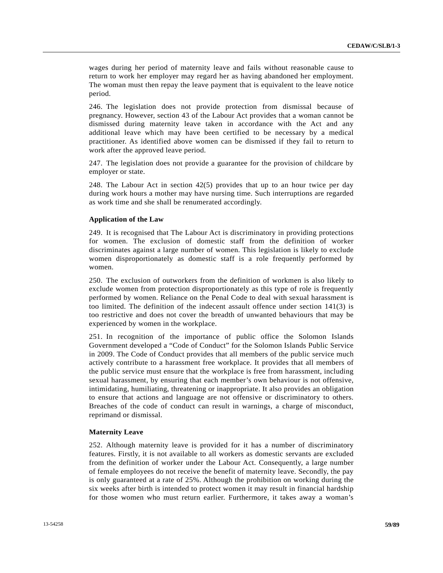wages during her period of maternity leave and fails without reasonable cause to return to work her employer may regard her as having abandoned her employment. The woman must then repay the leave payment that is equivalent to the leave notice period.

246. The legislation does not provide protection from dismissal because of pregnancy. However, section 43 of the Labour Act provides that a woman cannot be dismissed during maternity leave taken in accordance with the Act and any additional leave which may have been certified to be necessary by a medical practitioner. As identified above women can be dismissed if they fail to return to work after the approved leave period.

247. The legislation does not provide a guarantee for the provision of childcare by employer or state.

248. The Labour Act in section 42(5) provides that up to an hour twice per day during work hours a mother may have nursing time. Such interruptions are regarded as work time and she shall be renumerated accordingly.

### **Application of the Law**

249. It is recognised that The Labour Act is discriminatory in providing protections for women. The exclusion of domestic staff from the definition of worker discriminates against a large number of women. This legislation is likely to exclude women disproportionately as domestic staff is a role frequently performed by women.

250. The exclusion of outworkers from the definition of workmen is also likely to exclude women from protection disproportionately as this type of role is frequently performed by women. Reliance on the Penal Code to deal with sexual harassment is too limited. The definition of the indecent assault offence under section 141(3) is too restrictive and does not cover the breadth of unwanted behaviours that may be experienced by women in the workplace.

251. In recognition of the importance of public office the Solomon Islands Government developed a "Code of Conduct" for the Solomon Islands Public Service in 2009. The Code of Conduct provides that all members of the public service much actively contribute to a harassment free workplace. It provides that all members of the public service must ensure that the workplace is free from harassment, including sexual harassment, by ensuring that each member's own behaviour is not offensive, intimidating, humiliating, threatening or inappropriate. It also provides an obligation to ensure that actions and language are not offensive or discriminatory to others. Breaches of the code of conduct can result in warnings, a charge of misconduct, reprimand or dismissal.

#### **Maternity Leave**

252. Although maternity leave is provided for it has a number of discriminatory features. Firstly, it is not available to all workers as domestic servants are excluded from the definition of worker under the Labour Act. Consequently, a large number of female employees do not receive the benefit of maternity leave. Secondly, the pay is only guaranteed at a rate of 25%. Although the prohibition on working during the six weeks after birth is intended to protect women it may result in financial hardship for those women who must return earlier. Furthermore, it takes away a woman's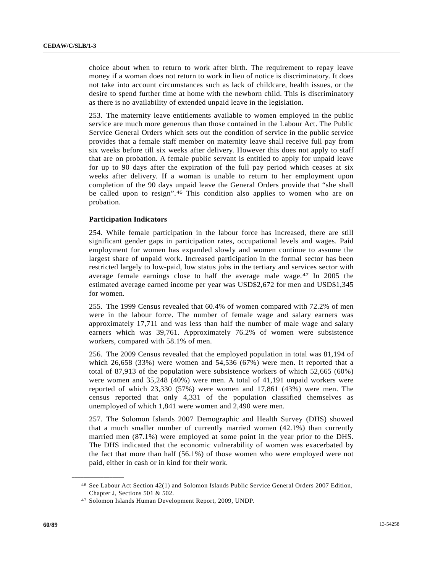choice about when to return to work after birth. The requirement to repay leave money if a woman does not return to work in lieu of notice is discriminatory. It does not take into account circumstances such as lack of childcare, health issues, or the desire to spend further time at home with the newborn child. This is discriminatory as there is no availability of extended unpaid leave in the legislation.

253. The maternity leave entitlements available to women employed in the public service are much more generous than those contained in the Labour Act. The Public Service General Orders which sets out the condition of service in the public service provides that a female staff member on maternity leave shall receive full pay from six weeks before till six weeks after delivery. However this does not apply to staff that are on probation. A female public servant is entitled to apply for unpaid leave for up to 90 days after the expiration of the full pay period which ceases at six weeks after delivery. If a woman is unable to return to her employment upon completion of the 90 days unpaid leave the General Orders provide that "she shall be called upon to resign".[4](#page-59-0)6 This condition also applies to women who are on probation.

# **Participation Indicators**

254. While female participation in the labour force has increased, there are still significant gender gaps in participation rates, occupational levels and wages. Paid employment for women has expanded slowly and women continue to assume the largest share of unpaid work. Increased participation in the formal sector has been restricted largely to low-paid, low status jobs in the tertiary and services sector with average female earnings close to half the average male wage.[4](#page-59-1)7 In 2005 the estimated average earned income per year was USD\$2,672 for men and USD\$1,345 for women.

255. The 1999 Census revealed that 60.4% of women compared with 72.2% of men were in the labour force. The number of female wage and salary earners was approximately 17,711 and was less than half the number of male wage and salary earners which was 39,761. Approximately 76.2% of women were subsistence workers, compared with 58.1% of men.

256. The 2009 Census revealed that the employed population in total was 81,194 of which 26,658 (33%) were women and 54,536 (67%) were men. It reported that a total of 87,913 of the population were subsistence workers of which 52,665 (60%) were women and 35,248 (40%) were men. A total of 41,191 unpaid workers were reported of which 23,330 (57%) were women and 17,861 (43%) were men. The census reported that only 4,331 of the population classified themselves as unemployed of which 1,841 were women and 2,490 were men.

257. The Solomon Islands 2007 Demographic and Health Survey (DHS) showed that a much smaller number of currently married women (42.1%) than currently married men (87.1%) were employed at some point in the year prior to the DHS. The DHS indicated that the economic vulnerability of women was exacerbated by the fact that more than half (56.1%) of those women who were employed were not paid, either in cash or in kind for their work.

<span id="page-59-0"></span><sup>46</sup> See Labour Act Section 42(1) and Solomon Islands Public Service General Orders 2007 Edition, Chapter J, Sections 501 & 502.

<span id="page-59-1"></span><sup>47</sup> Solomon Islands Human Development Report, 2009, UNDP.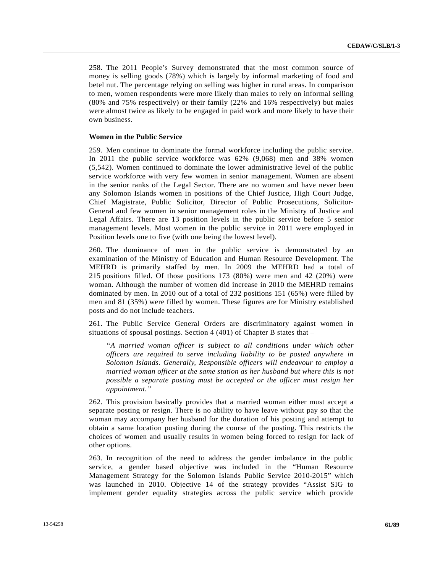258. The 2011 People's Survey demonstrated that the most common source of money is selling goods (78%) which is largely by informal marketing of food and betel nut. The percentage relying on selling was higher in rural areas. In comparison to men, women respondents were more likely than males to rely on informal selling (80% and 75% respectively) or their family (22% and 16% respectively) but males were almost twice as likely to be engaged in paid work and more likely to have their own business.

### **Women in the Public Service**

259. Men continue to dominate the formal workforce including the public service. In 2011 the public service workforce was 62% (9,068) men and 38% women (5,542). Women continued to dominate the lower administrative level of the public service workforce with very few women in senior management. Women are absent in the senior ranks of the Legal Sector. There are no women and have never been any Solomon Islands women in positions of the Chief Justice, High Court Judge, Chief Magistrate, Public Solicitor, Director of Public Prosecutions, Solicitor-General and few women in senior management roles in the Ministry of Justice and Legal Affairs. There are 13 position levels in the public service before 5 senior management levels. Most women in the public service in 2011 were employed in Position levels one to five (with one being the lowest level).

260. The dominance of men in the public service is demonstrated by an examination of the Ministry of Education and Human Resource Development. The MEHRD is primarily staffed by men. In 2009 the MEHRD had a total of 215 positions filled. Of those positions 173 (80%) were men and 42 (20%) were woman. Although the number of women did increase in 2010 the MEHRD remains dominated by men. In 2010 out of a total of 232 positions 151 (65%) were filled by men and 81 (35%) were filled by women. These figures are for Ministry established posts and do not include teachers.

261. The Public Service General Orders are discriminatory against women in situations of spousal postings. Section 4 (401) of Chapter B states that –

*"A married woman officer is subject to all conditions under which other officers are required to serve including liability to be posted anywhere in Solomon Islands. Generally, Responsible officers will endeavour to employ a married woman officer at the same station as her husband but where this is not possible a separate posting must be accepted or the officer must resign her appointment."* 

262. This provision basically provides that a married woman either must accept a separate posting or resign. There is no ability to have leave without pay so that the woman may accompany her husband for the duration of his posting and attempt to obtain a same location posting during the course of the posting. This restricts the choices of women and usually results in women being forced to resign for lack of other options.

263. In recognition of the need to address the gender imbalance in the public service, a gender based objective was included in the "Human Resource Management Strategy for the Solomon Islands Public Service 2010-2015" which was launched in 2010. Objective 14 of the strategy provides "Assist SIG to implement gender equality strategies across the public service which provide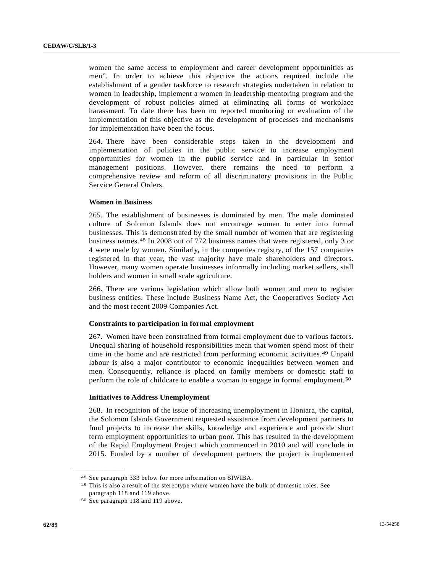women the same access to employment and career development opportunities as men". In order to achieve this objective the actions required include the establishment of a gender taskforce to research strategies undertaken in relation to women in leadership, implement a women in leadership mentoring program and the development of robust policies aimed at eliminating all forms of workplace harassment. To date there has been no reported monitoring or evaluation of the implementation of this objective as the development of processes and mechanisms for implementation have been the focus.

264. There have been considerable steps taken in the development and implementation of policies in the public service to increase employment opportunities for women in the public service and in particular in senior management positions. However, there remains the need to perform a comprehensive review and reform of all discriminatory provisions in the Public Service General Orders.

## **Women in Business**

265. The establishment of businesses is dominated by men. The male dominated culture of Solomon Islands does not encourage women to enter into formal businesses. This is demonstrated by the small number of women that are registering business names.[4](#page-61-0)8 In 2008 out of 772 business names that were registered, only 3 or 4 were made by women. Similarly, in the companies registry, of the 157 companies registered in that year, the vast majority have male shareholders and directors. However, many women operate businesses informally including market sellers, stall holders and women in small scale agriculture.

266. There are various legislation which allow both women and men to register business entities. These include Business Name Act, the Cooperatives Society Act and the most recent 2009 Companies Act.

# **Constraints to participation in formal employment**

267. Women have been constrained from formal employment due to various factors. Unequal sharing of household responsibilities mean that women spend most of their time in the home and are restricted from performing economic activities.[49](#page-61-1) Unpaid labour is also a major contributor to economic inequalities between women and men. Consequently, reliance is placed on family members or domestic staff to perform the role of childcare to enable a woman to engage in formal employment.[5](#page-61-2)0

# **Initiatives to Address Unemployment**

268. In recognition of the issue of increasing unemployment in Honiara, the capital, the Solomon Islands Government requested assistance from development partners to fund projects to increase the skills, knowledge and experience and provide short term employment opportunities to urban poor. This has resulted in the development of the Rapid Employment Project which commenced in 2010 and will conclude in 2015. Funded by a number of development partners the project is implemented

<span id="page-61-1"></span><span id="page-61-0"></span><sup>48</sup> See paragraph 333 below for more information on SIWIBA.<br>49 This is also a result of the stereotype where women have the bulk of domestic roles. See paragraph 118 and 119 above.

<span id="page-61-2"></span><sup>50</sup> See paragraph 118 and 119 above.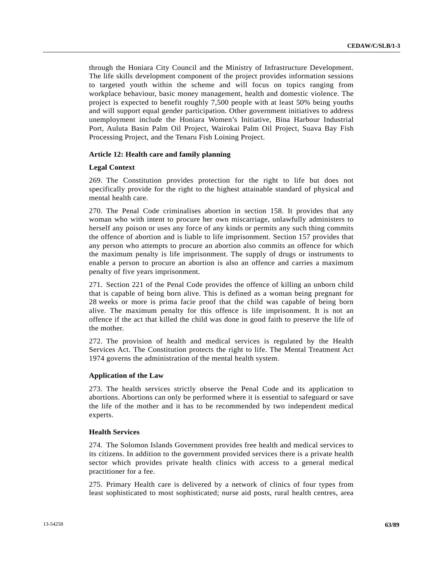through the Honiara City Council and the Ministry of Infrastructure Development. The life skills development component of the project provides information sessions to targeted youth within the scheme and will focus on topics ranging from workplace behaviour, basic money management, health and domestic violence. The project is expected to benefit roughly 7,500 people with at least 50% being youths and will support equal gender participation. Other government initiatives to address unemployment include the Honiara Women's Initiative, Bina Harbour Industrial Port, Auluta Basin Palm Oil Project, Wairokai Palm Oil Project, Suava Bay Fish Processing Project, and the Tenaru Fish Loining Project.

## **Article 12: Health care and family planning**

### **Legal Context**

269. The Constitution provides protection for the right to life but does not specifically provide for the right to the highest attainable standard of physical and mental health care.

270. The Penal Code criminalises abortion in section 158. It provides that any woman who with intent to procure her own miscarriage, unlawfully administers to herself any poison or uses any force of any kinds or permits any such thing commits the offence of abortion and is liable to life imprisonment. Section 157 provides that any person who attempts to procure an abortion also commits an offence for which the maximum penalty is life imprisonment. The supply of drugs or instruments to enable a person to procure an abortion is also an offence and carries a maximum penalty of five years imprisonment.

271. Section 221 of the Penal Code provides the offence of killing an unborn child that is capable of being born alive. This is defined as a woman being pregnant for 28 weeks or more is prima facie proof that the child was capable of being born alive. The maximum penalty for this offence is life imprisonment. It is not an offence if the act that killed the child was done in good faith to preserve the life of the mother.

272. The provision of health and medical services is regulated by the Health Services Act. The Constitution protects the right to life. The Mental Treatment Act 1974 governs the administration of the mental health system.

### **Application of the Law**

273. The health services strictly observe the Penal Code and its application to abortions. Abortions can only be performed where it is essential to safeguard or save the life of the mother and it has to be recommended by two independent medical experts.

### **Health Services**

274. The Solomon Islands Government provides free health and medical services to its citizens. In addition to the government provided services there is a private health sector which provides private health clinics with access to a general medical practitioner for a fee.

275. Primary Health care is delivered by a network of clinics of four types from least sophisticated to most sophisticated; nurse aid posts, rural health centres, area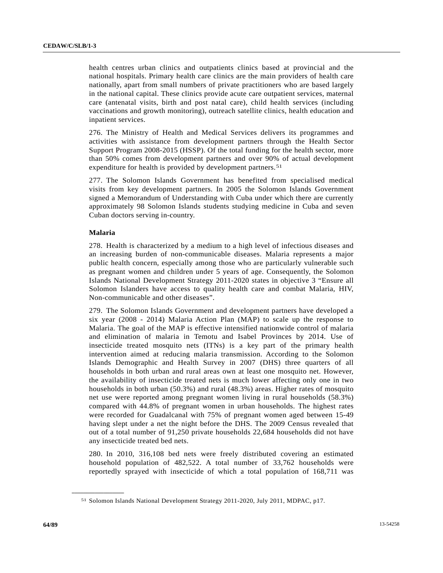health centres urban clinics and outpatients clinics based at provincial and the national hospitals. Primary health care clinics are the main providers of health care nationally, apart from small numbers of private practitioners who are based largely in the national capital. These clinics provide acute care outpatient services, maternal care (antenatal visits, birth and post natal care), child health services (including vaccinations and growth monitoring), outreach satellite clinics, health education and inpatient services.

276. The Ministry of Health and Medical Services delivers its programmes and activities with assistance from development partners through the Health Sector Support Program 2008-2015 (HSSP). Of the total funding for the health sector, more than 50% comes from development partners and over 90% of actual development expenditure for health is provided by development partners.<sup>[51](#page-63-0)</sup>

277. The Solomon Islands Government has benefited from specialised medical visits from key development partners. In 2005 the Solomon Islands Government signed a Memorandum of Understanding with Cuba under which there are currently approximately 98 Solomon Islands students studying medicine in Cuba and seven Cuban doctors serving in-country.

# **Malaria**

<span id="page-63-0"></span>**\_\_\_\_\_\_\_\_\_\_\_\_\_\_\_\_\_\_** 

278. Health is characterized by a medium to a high level of infectious diseases and an increasing burden of non-communicable diseases. Malaria represents a major public health concern, especially among those who are particularly vulnerable such as pregnant women and children under 5 years of age. Consequently, the Solomon Islands National Development Strategy 2011-2020 states in objective 3 "Ensure all Solomon Islanders have access to quality health care and combat Malaria, HIV, Non-communicable and other diseases".

279. The Solomon Islands Government and development partners have developed a six year (2008 - 2014) Malaria Action Plan (MAP) to scale up the response to Malaria. The goal of the MAP is effective intensified nationwide control of malaria and elimination of malaria in Temotu and Isabel Provinces by 2014. Use of insecticide treated mosquito nets (ITNs) is a key part of the primary health intervention aimed at reducing malaria transmission. According to the Solomon Islands Demographic and Health Survey in 2007 (DHS) three quarters of all households in both urban and rural areas own at least one mosquito net. However, the availability of insecticide treated nets is much lower affecting only one in two households in both urban (50.3%) and rural (48.3%) areas. Higher rates of mosquito net use were reported among pregnant women living in rural households (58.3%) compared with 44.8% of pregnant women in urban households. The highest rates were recorded for Guadalcanal with 75% of pregnant women aged between 15-49 having slept under a net the night before the DHS. The 2009 Census revealed that out of a total number of 91,250 private households 22,684 households did not have any insecticide treated bed nets.

280. In 2010, 316,108 bed nets were freely distributed covering an estimated household population of 482,522. A total number of 33,762 households were reportedly sprayed with insecticide of which a total population of 168,711 was

<sup>51</sup> Solomon Islands National Development Strategy 2011-2020, July 2011, MDPAC, p17.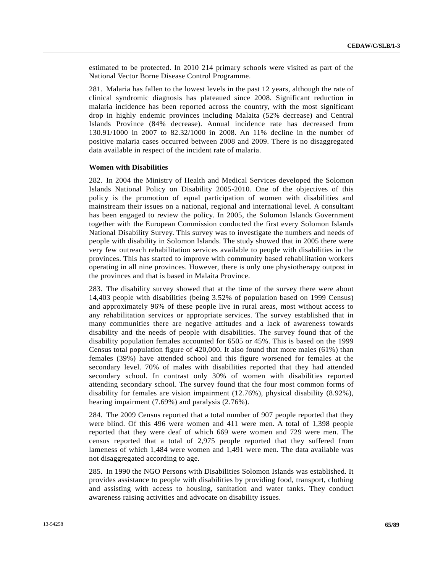estimated to be protected. In 2010 214 primary schools were visited as part of the National Vector Borne Disease Control Programme.

281. Malaria has fallen to the lowest levels in the past 12 years, although the rate of clinical syndromic diagnosis has plateaued since 2008. Significant reduction in malaria incidence has been reported across the country, with the most significant drop in highly endemic provinces including Malaita (52% decrease) and Central Islands Province (84% decrease). Annual incidence rate has decreased from 130.91/1000 in 2007 to 82.32/1000 in 2008. An 11% decline in the number of positive malaria cases occurred between 2008 and 2009. There is no disaggregated data available in respect of the incident rate of malaria.

### **Women with Disabilities**

282. In 2004 the Ministry of Health and Medical Services developed the Solomon Islands National Policy on Disability 2005-2010. One of the objectives of this policy is the promotion of equal participation of women with disabilities and mainstream their issues on a national, regional and international level. A consultant has been engaged to review the policy. In 2005, the Solomon Islands Government together with the European Commission conducted the first every Solomon Islands National Disability Survey. This survey was to investigate the numbers and needs of people with disability in Solomon Islands. The study showed that in 2005 there were very few outreach rehabilitation services available to people with disabilities in the provinces. This has started to improve with community based rehabilitation workers operating in all nine provinces. However, there is only one physiotherapy outpost in the provinces and that is based in Malaita Province.

283. The disability survey showed that at the time of the survey there were about 14,403 people with disabilities (being 3.52% of population based on 1999 Census) and approximately 96% of these people live in rural areas, most without access to any rehabilitation services or appropriate services. The survey established that in many communities there are negative attitudes and a lack of awareness towards disability and the needs of people with disabilities. The survey found that of the disability population females accounted for 6505 or 45%. This is based on the 1999 Census total population figure of 420,000. It also found that more males (61%) than females (39%) have attended school and this figure worsened for females at the secondary level. 70% of males with disabilities reported that they had attended secondary school. In contrast only 30% of women with disabilities reported attending secondary school. The survey found that the four most common forms of disability for females are vision impairment (12.76%), physical disability (8.92%), hearing impairment (7.69%) and paralysis (2.76%).

284. The 2009 Census reported that a total number of 907 people reported that they were blind. Of this 496 were women and 411 were men. A total of 1,398 people reported that they were deaf of which 669 were women and 729 were men. The census reported that a total of 2,975 people reported that they suffered from lameness of which 1,484 were women and 1,491 were men. The data available was not disaggregated according to age.

285. In 1990 the NGO Persons with Disabilities Solomon Islands was established. It provides assistance to people with disabilities by providing food, transport, clothing and assisting with access to housing, sanitation and water tanks. They conduct awareness raising activities and advocate on disability issues.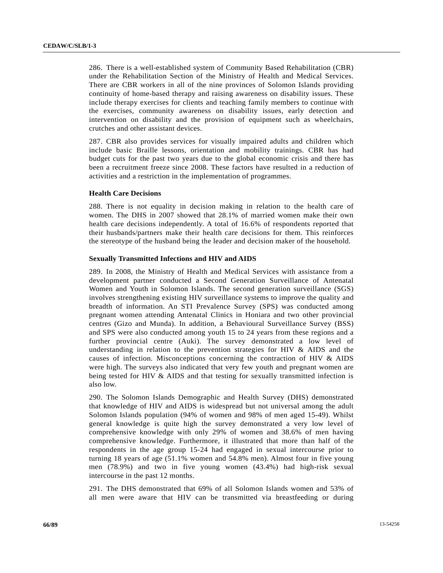286. There is a well-established system of Community Based Rehabilitation (CBR) under the Rehabilitation Section of the Ministry of Health and Medical Services. There are CBR workers in all of the nine provinces of Solomon Islands providing continuity of home-based therapy and raising awareness on disability issues. These include therapy exercises for clients and teaching family members to continue with the exercises, community awareness on disability issues, early detection and intervention on disability and the provision of equipment such as wheelchairs, crutches and other assistant devices.

287. CBR also provides services for visually impaired adults and children which include basic Braille lessons, orientation and mobility trainings. CBR has had budget cuts for the past two years due to the global economic crisis and there has been a recruitment freeze since 2008. These factors have resulted in a reduction of activities and a restriction in the implementation of programmes.

## **Health Care Decisions**

288. There is not equality in decision making in relation to the health care of women. The DHS in 2007 showed that 28.1% of married women make their own health care decisions independently. A total of 16.6% of respondents reported that their husbands/partners make their health care decisions for them. This reinforces the stereotype of the husband being the leader and decision maker of the household.

### **Sexually Transmitted Infections and HIV and AIDS**

289. In 2008, the Ministry of Health and Medical Services with assistance from a development partner conducted a Second Generation Surveillance of Antenatal Women and Youth in Solomon Islands. The second generation surveillance (SGS) involves strengthening existing HIV surveillance systems to improve the quality and breadth of information. An STI Prevalence Survey (SPS) was conducted among pregnant women attending Antenatal Clinics in Honiara and two other provincial centres (Gizo and Munda). In addition, a Behavioural Surveillance Survey (BSS) and SPS were also conducted among youth 15 to 24 years from these regions and a further provincial centre (Auki). The survey demonstrated a low level of understanding in relation to the prevention strategies for HIV & AIDS and the causes of infection. Misconceptions concerning the contraction of HIV & AIDS were high. The surveys also indicated that very few youth and pregnant women are being tested for HIV & AIDS and that testing for sexually transmitted infection is also low.

290. The Solomon Islands Demographic and Health Survey (DHS) demonstrated that knowledge of HIV and AIDS is widespread but not universal among the adult Solomon Islands population (94% of women and 98% of men aged 15-49). Whilst general knowledge is quite high the survey demonstrated a very low level of comprehensive knowledge with only 29% of women and 38.6% of men having comprehensive knowledge. Furthermore, it illustrated that more than half of the respondents in the age group 15-24 had engaged in sexual intercourse prior to turning 18 years of age (51.1% women and 54.8% men). Almost four in five young men (78.9%) and two in five young women (43.4%) had high-risk sexual intercourse in the past 12 months.

291. The DHS demonstrated that 69% of all Solomon Islands women and 53% of all men were aware that HIV can be transmitted via breastfeeding or during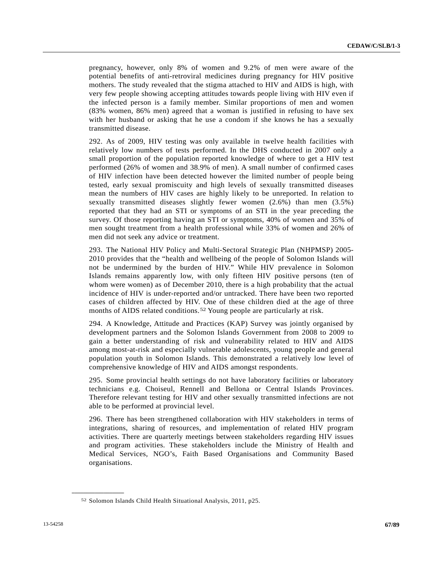pregnancy, however, only 8% of women and 9.2% of men were aware of the potential benefits of anti-retroviral medicines during pregnancy for HIV positive mothers. The study revealed that the stigma attached to HIV and AIDS is high, with very few people showing accepting attitudes towards people living with HIV even if the infected person is a family member. Similar proportions of men and women (83% women, 86% men) agreed that a woman is justified in refusing to have sex with her husband or asking that he use a condom if she knows he has a sexually transmitted disease.

292. As of 2009, HIV testing was only available in twelve health facilities with relatively low numbers of tests performed. In the DHS conducted in 2007 only a small proportion of the population reported knowledge of where to get a HIV test performed (26% of women and 38.9% of men). A small number of confirmed cases of HIV infection have been detected however the limited number of people being tested, early sexual promiscuity and high levels of sexually transmitted diseases mean the numbers of HIV cases are highly likely to be unreported. In relation to sexually transmitted diseases slightly fewer women (2.6%) than men (3.5%) reported that they had an STI or symptoms of an STI in the year preceding the survey. Of those reporting having an STI or symptoms, 40% of women and 35% of men sought treatment from a health professional while 33% of women and 26% of men did not seek any advice or treatment.

293. The National HIV Policy and Multi-Sectoral Strategic Plan (NHPMSP) 2005- 2010 provides that the "health and wellbeing of the people of Solomon Islands will not be undermined by the burden of HIV." While HIV prevalence in Solomon Islands remains apparently low, with only fifteen HIV positive persons (ten of whom were women) as of December 2010, there is a high probability that the actual incidence of HIV is under-reported and/or untracked. There have been two reported cases of children affected by HIV. One of these children died at the age of three months of AIDS related conditions.<sup>[52](#page-66-0)</sup> Young people are particularly at risk.

294. A Knowledge, Attitude and Practices (KAP) Survey was jointly organised by development partners and the Solomon Islands Government from 2008 to 2009 to gain a better understanding of risk and vulnerability related to HIV and AIDS among most-at-risk and especially vulnerable adolescents, young people and general population youth in Solomon Islands. This demonstrated a relatively low level of comprehensive knowledge of HIV and AIDS amongst respondents.

295. Some provincial health settings do not have laboratory facilities or laboratory technicians e.g. Choiseul, Rennell and Bellona or Central Islands Provinces. Therefore relevant testing for HIV and other sexually transmitted infections are not able to be performed at provincial level.

296. There has been strengthened collaboration with HIV stakeholders in terms of integrations, sharing of resources, and implementation of related HIV program activities. There are quarterly meetings between stakeholders regarding HIV issues and program activities. These stakeholders include the Ministry of Health and Medical Services, NGO's, Faith Based Organisations and Community Based organisations.

<span id="page-66-0"></span><sup>52</sup> Solomon Islands Child Health Situational Analysis, 2011, p25.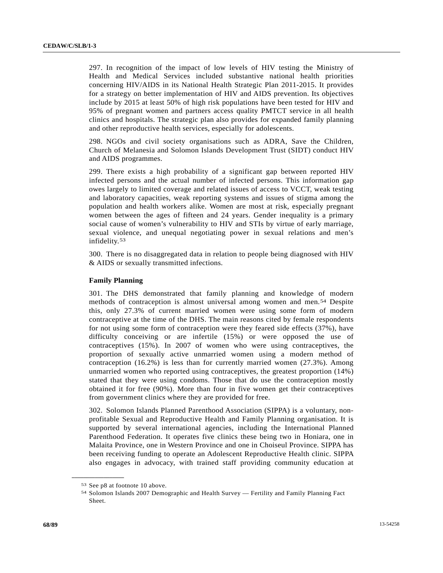297. In recognition of the impact of low levels of HIV testing the Ministry of Health and Medical Services included substantive national health priorities concerning HIV/AIDS in its National Health Strategic Plan 2011-2015. It provides for a strategy on better implementation of HIV and AIDS prevention. Its objectives include by 2015 at least 50% of high risk populations have been tested for HIV and 95% of pregnant women and partners access quality PMTCT service in all health clinics and hospitals. The strategic plan also provides for expanded family planning and other reproductive health services, especially for adolescents.

298. NGOs and civil society organisations such as ADRA, Save the Children, Church of Melanesia and Solomon Islands Development Trust (SIDT) conduct HIV and AIDS programmes.

299. There exists a high probability of a significant gap between reported HIV infected persons and the actual number of infected persons. This information gap owes largely to limited coverage and related issues of access to VCCT, weak testing and laboratory capacities, weak reporting systems and issues of stigma among the population and health workers alike. Women are most at risk, especially pregnant women between the ages of fifteen and 24 years. Gender inequality is a primary social cause of women's vulnerability to HIV and STIs by virtue of early marriage, sexual violence, and unequal negotiating power in sexual relations and men's infidelity.[53](#page-67-0)

300. There is no disaggregated data in relation to people being diagnosed with HIV & AIDS or sexually transmitted infections.

# **Family Planning**

301. The DHS demonstrated that family planning and knowledge of modern methods of contraception is almost universal among women and men.[54](#page-67-1) Despite this, only 27.3% of current married women were using some form of modern contraceptive at the time of the DHS. The main reasons cited by female respondents for not using some form of contraception were they feared side effects (37%), have difficulty conceiving or are infertile (15%) or were opposed the use of contraceptives (15%). In 2007 of women who were using contraceptives, the proportion of sexually active unmarried women using a modern method of contraception  $(16.2\%)$  is less than for currently married women  $(27.3\%)$ . Among unmarried women who reported using contraceptives, the greatest proportion (14%) stated that they were using condoms. Those that do use the contraception mostly obtained it for free (90%). More than four in five women get their contraceptives from government clinics where they are provided for free.

302. Solomon Islands Planned Parenthood Association (SIPPA) is a voluntary, nonprofitable Sexual and Reproductive Health and Family Planning organisation. It is supported by several international agencies, including the International Planned Parenthood Federation. It operates five clinics these being two in Honiara, one in Malaita Province, one in Western Province and one in Choiseul Province. SIPPA has been receiving funding to operate an Adolescent Reproductive Health clinic. SIPPA also engages in advocacy, with trained staff providing community education at

<span id="page-67-1"></span><span id="page-67-0"></span><sup>53</sup> See p8 at footnote 10 above.

<sup>54</sup> Solomon Islands 2007 Demographic and Health Survey — Fertility and Family Planning Fact Sheet.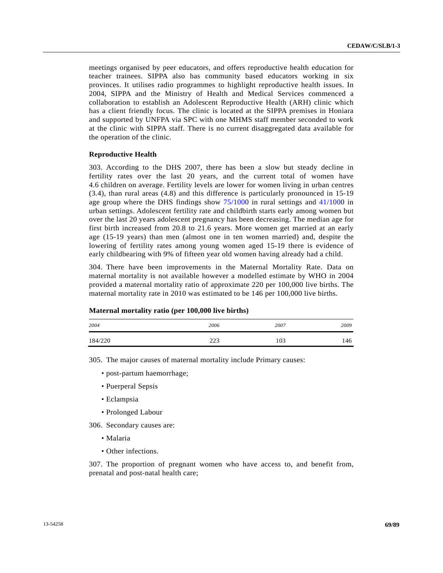meetings organised by peer educators, and offers reproductive health education for teacher trainees. SIPPA also has community based educators working in six provinces. It utilises radio programmes to highlight reproductive health issues. In 2004, SIPPA and the Ministry of Health and Medical Services commenced a collaboration to establish an Adolescent Reproductive Health (ARH) clinic which has a client friendly focus. The clinic is located at the SIPPA premises in Honiara and supported by UNFPA via SPC with one MHMS staff member seconded to work at the clinic with SIPPA staff. There is no current disaggregated data available for the operation of the clinic.

### **Reproductive Health**

303. According to the DHS 2007, there has been a slow but steady decline in fertility rates over the last 20 years, and the current total of women have 4.6 children on average. Fertility levels are lower for women living in urban centres (3.4), than rural areas (4.8) and this difference is particularly pronounced in 15-19 age group where the DHS findings show [75/1000](http://undocs.org/A/RES/75/100) in rural settings and [41/100](http://undocs.org/A/RES/41/100)0 in urban settings. Adolescent fertility rate and childbirth starts early among women but over the last 20 years adolescent pregnancy has been decreasing. The median age for first birth increased from 20.8 to 21.6 years. More women get married at an early age (15-19 years) than men (almost one in ten women married) and, despite the lowering of fertility rates among young women aged 15-19 there is evidence of early childbearing with 9% of fifteen year old women having already had a child.

304. There have been improvements in the Maternal Mortality Rate. Data on maternal mortality is not available however a modelled estimate by WHO in 2004 provided a maternal mortality ratio of approximate 220 per 100,000 live births. The maternal mortality rate in 2010 was estimated to be 146 per 100,000 live births.

| 2004    | 2006         | 2007 | 2009 |
|---------|--------------|------|------|
| 184/220 | 222<br>ر ے ک | 103  | 146  |

 **Maternal mortality ratio (per 100,000 live births)** 

305. The major causes of maternal mortality include Primary causes:

- post-partum haemorrhage;
- Puerperal Sepsis
- Eclampsia
- Prolonged Labour

306. Secondary causes are:

- Malaria
- Other infections.

307. The proportion of pregnant women who have access to, and benefit from, prenatal and post-natal health care;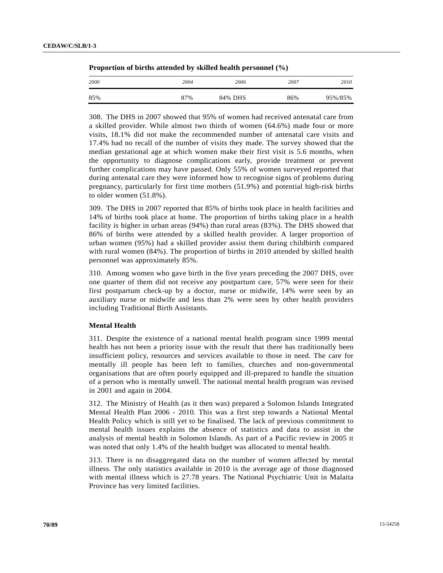| 2000 | 2004 | 2006    | 2007 | 2010    |
|------|------|---------|------|---------|
| 85%  | 87%  | 84% DHS | 86%  | 95%/85% |

| Proportion of births attended by skilled health personnel $(\%)$ |  |  |  |
|------------------------------------------------------------------|--|--|--|
|------------------------------------------------------------------|--|--|--|

308. The DHS in 2007 showed that 95% of women had received antenatal care from a skilled provider. While almost two thirds of women (64.6%) made four or more visits, 18.1% did not make the recommended number of antenatal care visits and 17.4% had no recall of the number of visits they made. The survey showed that the median gestational age at which women make their first visit is 5.6 months, when the opportunity to diagnose complications early, provide treatment or prevent further complications may have passed. Only 55% of women surveyed reported that during antenatal care they were informed how to recognise signs of problems during pregnancy, particularly for first time mothers (51.9%) and potential high-risk births to older women (51.8%).

309. The DHS in 2007 reported that 85% of births took place in health facilities and 14% of births took place at home. The proportion of births taking place in a health facility is higher in urban areas (94%) than rural areas (83%). The DHS showed that 86% of births were attended by a skilled health provider. A larger proportion of urban women (95%) had a skilled provider assist them during childbirth compared with rural women (84%). The proportion of births in 2010 attended by skilled health personnel was approximately 85%.

310. Among women who gave birth in the five years preceding the 2007 DHS, over one quarter of them did not receive any postpartum care, 57% were seen for their first postpartum check-up by a doctor, nurse or midwife, 14% were seen by an auxiliary nurse or midwife and less than 2% were seen by other health providers including Traditional Birth Assistants.

# **Mental Health**

311. Despite the existence of a national mental health program since 1999 mental health has not been a priority issue with the result that there has traditionally been insufficient policy, resources and services available to those in need. The care for mentally ill people has been left to families, churches and non-governmental organisations that are often poorly equipped and ill-prepared to handle the situation of a person who is mentally unwell. The national mental health program was revised in 2001 and again in 2004.

312. The Ministry of Health (as it then was) prepared a Solomon Islands Integrated Mental Health Plan 2006 - 2010. This was a first step towards a National Mental Health Policy which is still yet to be finalised. The lack of previous commitment to mental health issues explains the absence of statistics and data to assist in the analysis of mental health in Solomon Islands. As part of a Pacific review in 2005 it was noted that only 1.4% of the health budget was allocated to mental health.

313. There is no disaggregated data on the number of women affected by mental illness. The only statistics available in 2010 is the average age of those diagnosed with mental illness which is 27.78 years. The National Psychiatric Unit in Malaita Province has very limited facilities.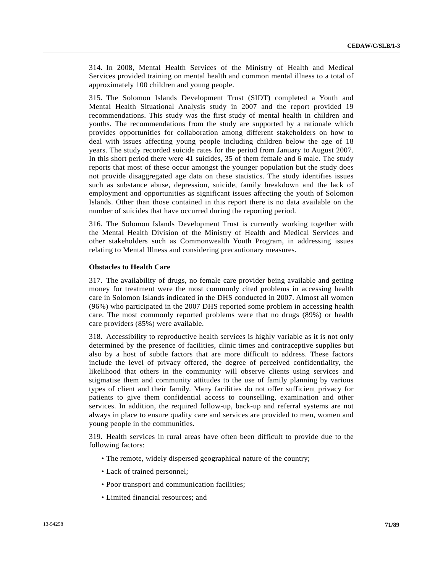314. In 2008, Mental Health Services of the Ministry of Health and Medical Services provided training on mental health and common mental illness to a total of approximately 100 children and young people.

315. The Solomon Islands Development Trust (SIDT) completed a Youth and Mental Health Situational Analysis study in 2007 and the report provided 19 recommendations. This study was the first study of mental health in children and youths. The recommendations from the study are supported by a rationale which provides opportunities for collaboration among different stakeholders on how to deal with issues affecting young people including children below the age of 18 years. The study recorded suicide rates for the period from January to August 2007. In this short period there were 41 suicides, 35 of them female and 6 male. The study reports that most of these occur amongst the younger population but the study does not provide disaggregated age data on these statistics. The study identifies issues such as substance abuse, depression, suicide, family breakdown and the lack of employment and opportunities as significant issues affecting the youth of Solomon Islands. Other than those contained in this report there is no data available on the number of suicides that have occurred during the reporting period.

316. The Solomon Islands Development Trust is currently working together with the Mental Health Division of the Ministry of Health and Medical Services and other stakeholders such as Commonwealth Youth Program, in addressing issues relating to Mental Illness and considering precautionary measures.

## **Obstacles to Health Care**

317. The availability of drugs, no female care provider being available and getting money for treatment were the most commonly cited problems in accessing health care in Solomon Islands indicated in the DHS conducted in 2007. Almost all women (96%) who participated in the 2007 DHS reported some problem in accessing health care. The most commonly reported problems were that no drugs (89%) or health care providers (85%) were available.

318. Accessibility to reproductive health services is highly variable as it is not only determined by the presence of facilities, clinic times and contraceptive supplies but also by a host of subtle factors that are more difficult to address. These factors include the level of privacy offered, the degree of perceived confidentiality, the likelihood that others in the community will observe clients using services and stigmatise them and community attitudes to the use of family planning by various types of client and their family. Many facilities do not offer sufficient privacy for patients to give them confidential access to counselling, examination and other services. In addition, the required follow-up, back-up and referral systems are not always in place to ensure quality care and services are provided to men, women and young people in the communities.

319. Health services in rural areas have often been difficult to provide due to the following factors:

- The remote, widely dispersed geographical nature of the country;
- Lack of trained personnel;
- Poor transport and communication facilities;
- Limited financial resources; and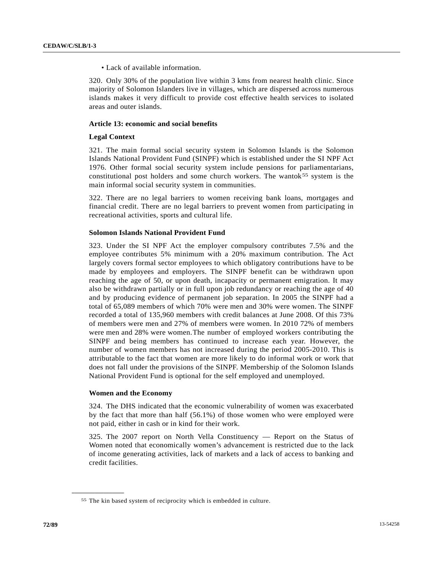• Lack of available information.

320. Only 30% of the population live within 3 kms from nearest health clinic. Since majority of Solomon Islanders live in villages, which are dispersed across numerous islands makes it very difficult to provide cost effective health services to isolated areas and outer islands.

### **Article 13: economic and social benefits**

#### **Legal Context**

321. The main formal social security system in Solomon Islands is the Solomon Islands National Provident Fund (SINPF) which is established under the SI NPF Act 1976. Other formal social security system include pensions for parliamentarians, constitutional post holders and some church workers. The wantok $55$  system is the main informal social security system in communities.

322. There are no legal barriers to women receiving bank loans, mortgages and financial credit. There are no legal barriers to prevent women from participating in recreational activities, sports and cultural life.

#### **Solomon Islands National Provident Fund**

323. Under the SI NPF Act the employer compulsory contributes 7.5% and the employee contributes 5% minimum with a 20% maximum contribution. The Act largely covers formal sector employees to which obligatory contributions have to be made by employees and employers. The SINPF benefit can be withdrawn upon reaching the age of 50, or upon death, incapacity or permanent emigration. It may also be withdrawn partially or in full upon job redundancy or reaching the age of 40 and by producing evidence of permanent job separation. In 2005 the SINPF had a total of 65,089 members of which 70% were men and 30% were women. The SINPF recorded a total of 135,960 members with credit balances at June 2008. Of this 73% of members were men and 27% of members were women. In 2010 72% of members were men and 28% were women. The number of employed workers contributing the SINPF and being members has continued to increase each year. However, the number of women members has not increased during the period 2005-2010. This is attributable to the fact that women are more likely to do informal work or work that does not fall under the provisions of the SINPF. Membership of the Solomon Islands National Provident Fund is optional for the self employed and unemployed.

### **Women and the Economy**

<span id="page-71-0"></span>**\_\_\_\_\_\_\_\_\_\_\_\_\_\_\_\_\_\_** 

324. The DHS indicated that the economic vulnerability of women was exacerbated by the fact that more than half (56.1%) of those women who were employed were not paid, either in cash or in kind for their work.

325. The 2007 report on North Vella Constituency — Report on the Status of Women noted that economically women's advancement is restricted due to the lack of income generating activities, lack of markets and a lack of access to banking and credit facilities.

<sup>55</sup> The kin based system of reciprocity which is embedded in culture.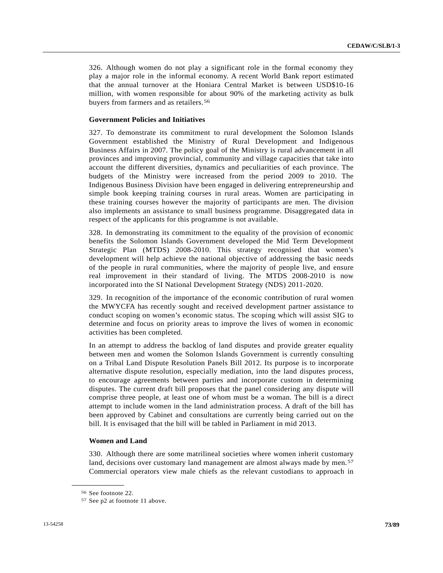326. Although women do not play a significant role in the formal economy they play a major role in the informal economy. A recent World Bank report estimated that the annual turnover at the Honiara Central Market is between USD\$10-16 million, with women responsible for about 90% of the marketing activity as bulk buyers from farmers and as retailers.<sup>[5](#page-72-0)6</sup>

### **Government Policies and Initiatives**

327. To demonstrate its commitment to rural development the Solomon Islands Government established the Ministry of Rural Development and Indigenous Business Affairs in 2007. The policy goal of the Ministry is rural advancement in all provinces and improving provincial, community and village capacities that take into account the different diversities, dynamics and peculiarities of each province. The budgets of the Ministry were increased from the period 2009 to 2010. The Indigenous Business Division have been engaged in delivering entrepreneurship and simple book keeping training courses in rural areas. Women are participating in these training courses however the majority of participants are men. The division also implements an assistance to small business programme. Disaggregated data in respect of the applicants for this programme is not available.

328. In demonstrating its commitment to the equality of the provision of economic benefits the Solomon Islands Government developed the Mid Term Development Strategic Plan (MTDS) 2008-2010. This strategy recognised that women's development will help achieve the national objective of addressing the basic needs of the people in rural communities, where the majority of people live, and ensure real improvement in their standard of living. The MTDS 2008-2010 is now incorporated into the SI National Development Strategy (NDS) 2011-2020.

329. In recognition of the importance of the economic contribution of rural women the MWYCFA has recently sought and received development partner assistance to conduct scoping on women's economic status. The scoping which will assist SIG to determine and focus on priority areas to improve the lives of women in economic activities has been completed.

In an attempt to address the backlog of land disputes and provide greater equality between men and women the Solomon Islands Government is currently consulting on a Tribal Land Dispute Resolution Panels Bill 2012. Its purpose is to incorporate alternative dispute resolution, especially mediation, into the land disputes process, to encourage agreements between parties and incorporate custom in determining disputes. The current draft bill proposes that the panel considering any dispute will comprise three people, at least one of whom must be a woman. The bill is a direct attempt to include women in the land administration process. A draft of the bill has been approved by Cabinet and consultations are currently being carried out on the bill. It is envisaged that the bill will be tabled in Parliament in mid 2013.

#### **Women and Land**

330. Although there are some matrilineal societies where women inherit customary land, decisions over customary land management are almost always made by men.<sup>[57](#page-72-1)</sup> Commercial operators view male chiefs as the relevant custodians to approach in

<span id="page-72-0"></span><sup>56</sup> See footnote 22.

<span id="page-72-1"></span><sup>57</sup> See p2 at footnote 11 above.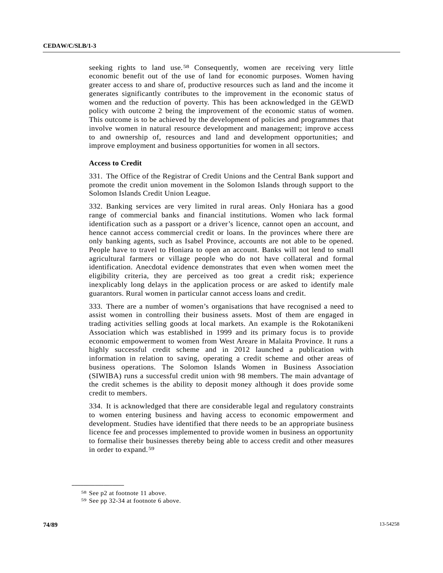seeking rights to land use.<sup>[58](#page-73-0)</sup> Consequently, women are receiving very little economic benefit out of the use of land for economic purposes. Women having greater access to and share of, productive resources such as land and the income it generates significantly contributes to the improvement in the economic status of women and the reduction of poverty. This has been acknowledged in the GEWD policy with outcome 2 being the improvement of the economic status of women. This outcome is to be achieved by the development of policies and programmes that involve women in natural resource development and management; improve access to and ownership of, resources and land and development opportunities; and improve employment and business opportunities for women in all sectors.

# **Access to Credit**

331. The Office of the Registrar of Credit Unions and the Central Bank support and promote the credit union movement in the Solomon Islands through support to the Solomon Islands Credit Union League.

332. Banking services are very limited in rural areas. Only Honiara has a good range of commercial banks and financial institutions. Women who lack formal identification such as a passport or a driver's licence, cannot open an account, and hence cannot access commercial credit or loans. In the provinces where there are only banking agents, such as Isabel Province, accounts are not able to be opened. People have to travel to Honiara to open an account. Banks will not lend to small agricultural farmers or village people who do not have collateral and formal identification. Anecdotal evidence demonstrates that even when women meet the eligibility criteria, they are perceived as too great a credit risk; experience inexplicably long delays in the application process or are asked to identify male guarantors. Rural women in particular cannot access loans and credit.

333. There are a number of women's organisations that have recognised a need to assist women in controlling their business assets. Most of them are engaged in trading activities selling goods at local markets. An example is the Rokotanikeni Association which was established in 1999 and its primary focus is to provide economic empowerment to women from West Areare in Malaita Province. It runs a highly successful credit scheme and in 2012 launched a publication with information in relation to saving, operating a credit scheme and other areas of business operations. The Solomon Islands Women in Business Association (SIWIBA) runs a successful credit union with 98 members. The main advantage of the credit schemes is the ability to deposit money although it does provide some credit to members.

334. It is acknowledged that there are considerable legal and regulatory constraints to women entering business and having access to economic empowerment and development. Studies have identified that there needs to be an appropriate business licence fee and processes implemented to provide women in business an opportunity to formalise their businesses thereby being able to access credit and other measures in order to expand.[5](#page-73-1)9

<span id="page-73-0"></span><sup>58</sup> See p2 at footnote 11 above.

<span id="page-73-1"></span><sup>59</sup> See pp 32-34 at footnote 6 above.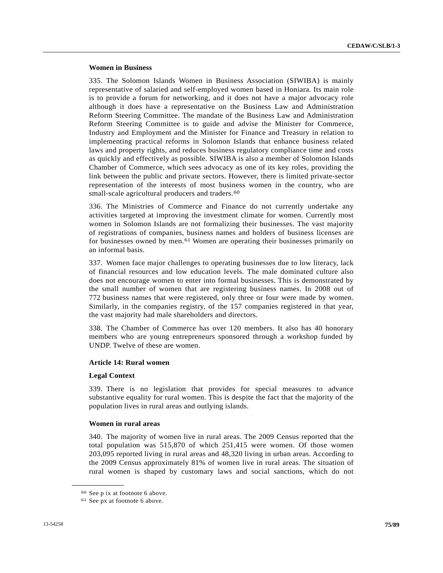# **Women in Business**

335. The Solomon Islands Women in Business Association (SIWIBA) is mainly representative of salaried and self-employed women based in Honiara. Its main role is to provide a forum for networking, and it does not have a major advocacy role although it does have a representative on the Business Law and Administration Reform Steering Committee. The mandate of the Business Law and Administration Reform Steering Committee is to guide and advise the Minister for Commerce, Industry and Employment and the Minister for Finance and Treasury in relation to implementing practical reforms in Solomon Islands that enhance business related laws and property rights, and reduces business regulatory compliance time and costs as quickly and effectively as possible. SIWIBA is also a member of Solomon Islands Chamber of Commerce, which sees advocacy as one of its key roles, providing the link between the public and private sectors. However, there is limited private-sector representation of the interests of most business women in the country, who are small-scale agricultural producers and traders.<sup>[6](#page-74-0)0</sup>

336. The Ministries of Commerce and Finance do not currently undertake any activities targeted at improving the investment climate for women. Currently most women in Solomon Islands are not formalizing their businesses. The vast majority of registrations of companies, business names and holders of business licenses are for businesses owned by men.[6](#page-74-1)1 Women are operating their businesses primarily on an informal basis.

337. Women face major challenges to operating businesses due to low literacy, lack of financial resources and low education levels. The male dominated culture also does not encourage women to enter into formal businesses. This is demonstrated by the small number of women that are registering business names. In 2008 out of 772 business names that were registered, only three or four were made by women. Similarly, in the companies registry, of the 157 companies registered in that year, the vast majority had male shareholders and directors.

338. The Chamber of Commerce has over 120 members. It also has 40 honorary members who are young entrepreneurs sponsored through a workshop funded by UNDP. Twelve of these are women.

### **Article 14: Rural women**

#### **Legal Context**

339. There is no legislation that provides for special measures to advance substantive equality for rural women. This is despite the fact that the majority of the population lives in rural areas and outlying islands.

#### **Women in rural areas**

340. The majority of women live in rural areas. The 2009 Census reported that the total population was 515,870 of which 251,415 were women. Of those women 203,095 reported living in rural areas and 48,320 living in urban areas. According to the 2009 Census approximately 81% of women live in rural areas. The situation of rural women is shaped by customary laws and social sanctions, which do not

<span id="page-74-0"></span><sup>60</sup> See p ix at footnote 6 above.

<span id="page-74-1"></span><sup>61</sup> See px at footnote 6 above.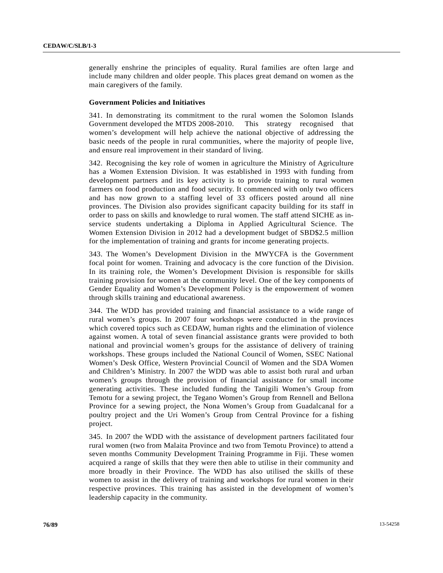generally enshrine the principles of equality. Rural families are often large and include many children and older people. This places great demand on women as the main caregivers of the family.

#### **Government Policies and Initiatives**

341. In demonstrating its commitment to the rural women the Solomon Islands Government developed the MTDS 2008-2010. This strategy recognised that women's development will help achieve the national objective of addressing the basic needs of the people in rural communities, where the majority of people live, and ensure real improvement in their standard of living.

342. Recognising the key role of women in agriculture the Ministry of Agriculture has a Women Extension Division. It was established in 1993 with funding from development partners and its key activity is to provide training to rural women farmers on food production and food security. It commenced with only two officers and has now grown to a staffing level of 33 officers posted around all nine provinces. The Division also provides significant capacity building for its staff in order to pass on skills and knowledge to rural women. The staff attend SICHE as inservice students undertaking a Diploma in Applied Agricultural Science. The Women Extension Division in 2012 had a development budget of SBD\$2.5 million for the implementation of training and grants for income generating projects.

343. The Women's Development Division in the MWYCFA is the Government focal point for women. Training and advocacy is the core function of the Division. In its training role, the Women's Development Division is responsible for skills training provision for women at the community level. One of the key components of Gender Equality and Women's Development Policy is the empowerment of women through skills training and educational awareness.

344. The WDD has provided training and financial assistance to a wide range of rural women's groups. In 2007 four workshops were conducted in the provinces which covered topics such as CEDAW, human rights and the elimination of violence against women. A total of seven financial assistance grants were provided to both national and provincial women's groups for the assistance of delivery of training workshops. These groups included the National Council of Women, SSEC National Women's Desk Office, Western Provincial Council of Women and the SDA Women and Children's Ministry. In 2007 the WDD was able to assist both rural and urban women's groups through the provision of financial assistance for small income generating activities. These included funding the Tanigili Women's Group from Temotu for a sewing project, the Tegano Women's Group from Rennell and Bellona Province for a sewing project, the Nona Women's Group from Guadalcanal for a poultry project and the Uri Women's Group from Central Province for a fishing project.

345. In 2007 the WDD with the assistance of development partners facilitated four rural women (two from Malaita Province and two from Temotu Province) to attend a seven months Community Development Training Programme in Fiji. These women acquired a range of skills that they were then able to utilise in their community and more broadly in their Province. The WDD has also utilised the skills of these women to assist in the delivery of training and workshops for rural women in their respective provinces. This training has assisted in the development of women's leadership capacity in the community.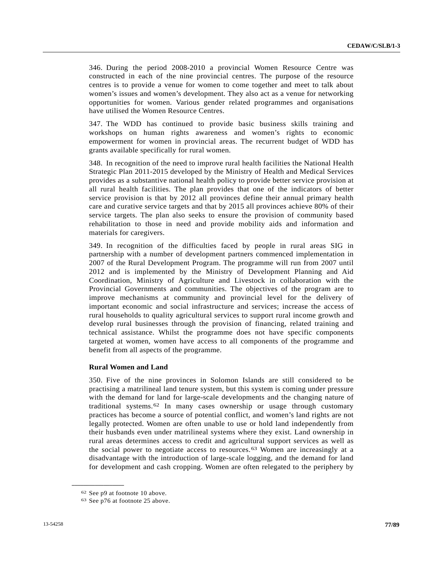346. During the period 2008-2010 a provincial Women Resource Centre was constructed in each of the nine provincial centres. The purpose of the resource centres is to provide a venue for women to come together and meet to talk about women's issues and women's development. They also act as a venue for networking opportunities for women. Various gender related programmes and organisations have utilised the Women Resource Centres.

347. The WDD has continued to provide basic business skills training and workshops on human rights awareness and women's rights to economic empowerment for women in provincial areas. The recurrent budget of WDD has grants available specifically for rural women.

348. In recognition of the need to improve rural health facilities the National Health Strategic Plan 2011-2015 developed by the Ministry of Health and Medical Services provides as a substantive national health policy to provide better service provision at all rural health facilities. The plan provides that one of the indicators of better service provision is that by 2012 all provinces define their annual primary health care and curative service targets and that by 2015 all provinces achieve 80% of their service targets. The plan also seeks to ensure the provision of community based rehabilitation to those in need and provide mobility aids and information and materials for caregivers.

349. In recognition of the difficulties faced by people in rural areas SIG in partnership with a number of development partners commenced implementation in 2007 of the Rural Development Program. The programme will run from 2007 until 2012 and is implemented by the Ministry of Development Planning and Aid Coordination, Ministry of Agriculture and Livestock in collaboration with the Provincial Governments and communities. The objectives of the program are to improve mechanisms at community and provincial level for the delivery of important economic and social infrastructure and services; increase the access of rural households to quality agricultural services to support rural income growth and develop rural businesses through the provision of financing, related training and technical assistance. Whilst the programme does not have specific components targeted at women, women have access to all components of the programme and benefit from all aspects of the programme.

#### **Rural Women and Land**

350. Five of the nine provinces in Solomon Islands are still considered to be practising a matrilineal land tenure system, but this system is coming under pressure with the demand for land for large-scale developments and the changing nature of traditional systems.[6](#page-76-0)2 In many cases ownership or usage through customary practices has become a source of potential conflict, and women's land rights are not legally protected. Women are often unable to use or hold land independently from their husbands even under matrilineal systems where they exist. Land ownership in rural areas determines access to credit and agricultural support services as well as the social power to negotiate access to resources.<sup>[6](#page-76-1)3</sup> Women are increasingly at a disadvantage with the introduction of large-scale logging, and the demand for land for development and cash cropping. Women are often relegated to the periphery by

<span id="page-76-0"></span><sup>62</sup> See p9 at footnote 10 above.

<span id="page-76-1"></span><sup>63</sup> See p76 at footnote 25 above.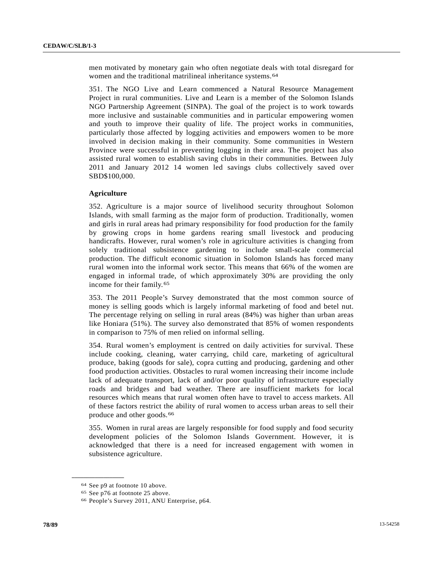men motivated by monetary gain who often negotiate deals with total disregard for women and the traditional matrilineal inheritance systems.<sup>[6](#page-77-0)4</sup>

351. The NGO Live and Learn commenced a Natural Resource Management Project in rural communities. Live and Learn is a member of the Solomon Islands NGO Partnership Agreement (SINPA). The goal of the project is to work towards more inclusive and sustainable communities and in particular empowering women and youth to improve their quality of life. The project works in communities, particularly those affected by logging activities and empowers women to be more involved in decision making in their community. Some communities in Western Province were successful in preventing logging in their area. The project has also assisted rural women to establish saving clubs in their communities. Between July 2011 and January 2012 14 women led savings clubs collectively saved over SBD\$100,000.

### **Agriculture**

352. Agriculture is a major source of livelihood security throughout Solomon Islands, with small farming as the major form of production. Traditionally, women and girls in rural areas had primary responsibility for food production for the family by growing crops in home gardens rearing small livestock and producing handicrafts. However, rural women's role in agriculture activities is changing from solely traditional subsistence gardening to include small-scale commercial production. The difficult economic situation in Solomon Islands has forced many rural women into the informal work sector. This means that 66% of the women are engaged in informal trade, of which approximately 30% are providing the only income for their family.[6](#page-77-1)5

353. The 2011 People's Survey demonstrated that the most common source of money is selling goods which is largely informal marketing of food and betel nut. The percentage relying on selling in rural areas (84%) was higher than urban areas like Honiara (51%). The survey also demonstrated that 85% of women respondents in comparison to 75% of men relied on informal selling.

354. Rural women's employment is centred on daily activities for survival. These include cooking, cleaning, water carrying, child care, marketing of agricultural produce, baking (goods for sale), copra cutting and producing, gardening and other food production activities. Obstacles to rural women increasing their income include lack of adequate transport, lack of and/or poor quality of infrastructure especially roads and bridges and bad weather. There are insufficient markets for local resources which means that rural women often have to travel to access markets. All of these factors restrict the ability of rural women to access urban areas to sell their produce and other goods.[66](#page-77-2)

355. Women in rural areas are largely responsible for food supply and food security development policies of the Solomon Islands Government. However, it is acknowledged that there is a need for increased engagement with women in subsistence agriculture.

<span id="page-77-0"></span><sup>64</sup> See p9 at footnote 10 above.

<span id="page-77-1"></span><sup>65</sup> See p76 at footnote 25 above.

<span id="page-77-2"></span><sup>66</sup> People's Survey 2011, ANU Enterprise, p64.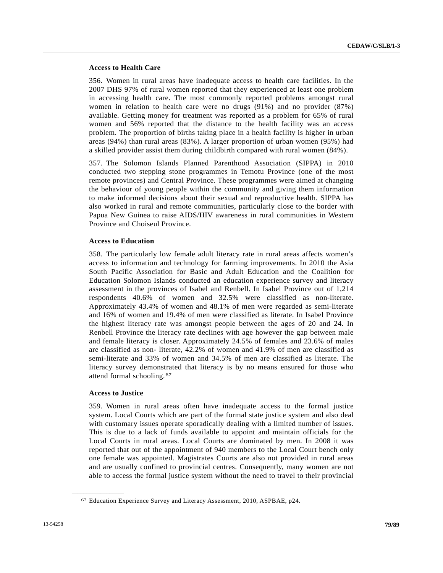# **Access to Health Care**

356. Women in rural areas have inadequate access to health care facilities. In the 2007 DHS 97% of rural women reported that they experienced at least one problem in accessing health care. The most commonly reported problems amongst rural women in relation to health care were no drugs (91%) and no provider (87%) available. Getting money for treatment was reported as a problem for 65% of rural women and 56% reported that the distance to the health facility was an access problem. The proportion of births taking place in a health facility is higher in urban areas (94%) than rural areas (83%). A larger proportion of urban women (95%) had a skilled provider assist them during childbirth compared with rural women (84%).

357. The Solomon Islands Planned Parenthood Association (SIPPA) in 2010 conducted two stepping stone programmes in Temotu Province (one of the most remote provinces) and Central Province. These programmes were aimed at changing the behaviour of young people within the community and giving them information to make informed decisions about their sexual and reproductive health. SIPPA has also worked in rural and remote communities, particularly close to the border with Papua New Guinea to raise AIDS/HIV awareness in rural communities in Western Province and Choiseul Province.

### **Access to Education**

358. The particularly low female adult literacy rate in rural areas affects women's access to information and technology for farming improvements. In 2010 the Asia South Pacific Association for Basic and Adult Education and the Coalition for Education Solomon Islands conducted an education experience survey and literacy assessment in the provinces of Isabel and Renbell. In Isabel Province out of 1,214 respondents 40.6% of women and 32.5% were classified as non-literate. Approximately 43.4% of women and 48.1% of men were regarded as semi-literate and 16% of women and 19.4% of men were classified as literate. In Isabel Province the highest literacy rate was amongst people between the ages of 20 and 24. In Renbell Province the literacy rate declines with age however the gap between male and female literacy is closer. Approximately 24.5% of females and 23.6% of males are classified as non- literate, 42.2% of women and 41.9% of men are classified as semi-literate and 33% of women and 34.5% of men are classified as literate. The literacy survey demonstrated that literacy is by no means ensured for those who attend formal schooling.[67](#page-78-0)

# **Access to Justice**

<span id="page-78-0"></span>**\_\_\_\_\_\_\_\_\_\_\_\_\_\_\_\_\_\_** 

359. Women in rural areas often have inadequate access to the formal justice system. Local Courts which are part of the formal state justice system and also deal with customary issues operate sporadically dealing with a limited number of issues. This is due to a lack of funds available to appoint and maintain officials for the Local Courts in rural areas. Local Courts are dominated by men. In 2008 it was reported that out of the appointment of 940 members to the Local Court bench only one female was appointed. Magistrates Courts are also not provided in rural areas and are usually confined to provincial centres. Consequently, many women are not able to access the formal justice system without the need to travel to their provincial

<sup>67</sup> Education Experience Survey and Literacy Assessment, 2010, ASPBAE, p24.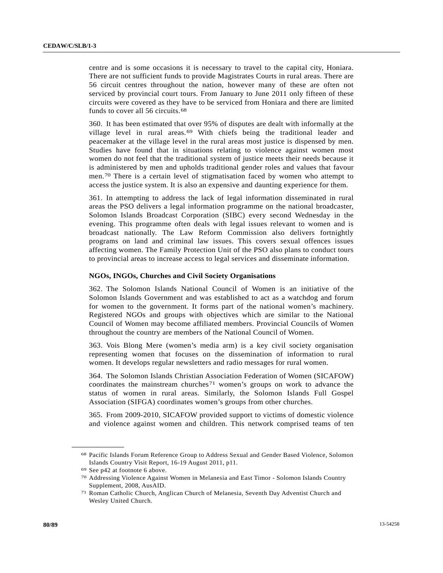centre and is some occasions it is necessary to travel to the capital city, Honiara. There are not sufficient funds to provide Magistrates Courts in rural areas. There are 56 circuit centres throughout the nation, however many of these are often not serviced by provincial court tours. From January to June 2011 only fifteen of these circuits were covered as they have to be serviced from Honiara and there are limited funds to cover all 56 circuits.[6](#page-79-0)8

360. It has been estimated that over 95% of disputes are dealt with informally at the village level in rural areas.[6](#page-79-1)9 With chiefs being the traditional leader and peacemaker at the village level in the rural areas most justice is dispensed by men. Studies have found that in situations relating to violence against women most women do not feel that the traditional system of justice meets their needs because it is administered by men and upholds traditional gender roles and values that favour men.[70](#page-79-2) There is a certain level of stigmatisation faced by women who attempt to access the justice system. It is also an expensive and daunting experience for them.

361. In attempting to address the lack of legal information disseminated in rural areas the PSO delivers a legal information programme on the national broadcaster, Solomon Islands Broadcast Corporation (SIBC) every second Wednesday in the evening. This programme often deals with legal issues relevant to women and is broadcast nationally. The Law Reform Commission also delivers fortnightly programs on land and criminal law issues. This covers sexual offences issues affecting women. The Family Protection Unit of the PSO also plans to conduct tours to provincial areas to increase access to legal services and disseminate information.

#### **NGOs, INGOs, Churches and Civil Society Organisations**

362. The Solomon Islands National Council of Women is an initiative of the Solomon Islands Government and was established to act as a watchdog and forum for women to the government. It forms part of the national women's machinery. Registered NGOs and groups with objectives which are similar to the National Council of Women may become affiliated members. Provincial Councils of Women throughout the country are members of the National Council of Women.

363. Vois Blong Mere (women's media arm) is a key civil society organisation representing women that focuses on the dissemination of information to rural women. It develops regular newsletters and radio messages for rural women.

364. The Solomon Islands Christian Association Federation of Women (SICAFOW) coordinates the mainstream churches<sup>[7](#page-79-3)1</sup> women's groups on work to advance the status of women in rural areas. Similarly, the Solomon Islands Full Gospel Association (SIFGA) coordinates women's groups from other churches.

365. From 2009-2010, SICAFOW provided support to victims of domestic violence and violence against women and children. This network comprised teams of ten

<span id="page-79-0"></span><sup>68</sup> Pacific Islands Forum Reference Group to Address Sexual and Gender Based Violence, Solomon Islands Country Visit Report, 16-19 August 2011, p11.

<span id="page-79-1"></span><sup>69</sup> See p42 at footnote 6 above.

<span id="page-79-2"></span><sup>70</sup> Addressing Violence Against Women in Melanesia and East Timor - Solomon Islands Country Supplement, 2008, AusAID.

<span id="page-79-3"></span><sup>71</sup> Roman Catholic Church, Anglican Church of Melanesia, Seventh Day Adventist Church and Wesley United Church.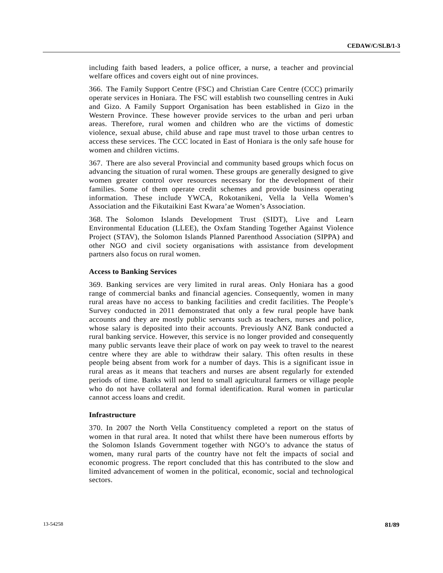including faith based leaders, a police officer, a nurse, a teacher and provincial welfare offices and covers eight out of nine provinces.

366. The Family Support Centre (FSC) and Christian Care Centre (CCC) primarily operate services in Honiara. The FSC will establish two counselling centres in Auki and Gizo. A Family Support Organisation has been established in Gizo in the Western Province. These however provide services to the urban and peri urban areas. Therefore, rural women and children who are the victims of domestic violence, sexual abuse, child abuse and rape must travel to those urban centres to access these services. The CCC located in East of Honiara is the only safe house for women and children victims.

367. There are also several Provincial and community based groups which focus on advancing the situation of rural women. These groups are generally designed to give women greater control over resources necessary for the development of their families. Some of them operate credit schemes and provide business operating information. These include YWCA, Rokotanikeni, Vella la Vella Women's Association and the Fikutaikini East Kwara'ae Women's Association.

368. The Solomon Islands Development Trust (SIDT), Live and Learn Environmental Education (LLEE), the Oxfam Standing Together Against Violence Project (STAV), the Solomon Islands Planned Parenthood Association (SIPPA) and other NGO and civil society organisations with assistance from development partners also focus on rural women.

#### **Access to Banking Services**

369. Banking services are very limited in rural areas. Only Honiara has a good range of commercial banks and financial agencies. Consequently, women in many rural areas have no access to banking facilities and credit facilities. The People's Survey conducted in 2011 demonstrated that only a few rural people have bank accounts and they are mostly public servants such as teachers, nurses and police, whose salary is deposited into their accounts. Previously ANZ Bank conducted a rural banking service. However, this service is no longer provided and consequently many public servants leave their place of work on pay week to travel to the nearest centre where they are able to withdraw their salary. This often results in these people being absent from work for a number of days. This is a significant issue in rural areas as it means that teachers and nurses are absent regularly for extended periods of time. Banks will not lend to small agricultural farmers or village people who do not have collateral and formal identification. Rural women in particular cannot access loans and credit.

#### **Infrastructure**

370. In 2007 the North Vella Constituency completed a report on the status of women in that rural area. It noted that whilst there have been numerous efforts by the Solomon Islands Government together with NGO's to advance the status of women, many rural parts of the country have not felt the impacts of social and economic progress. The report concluded that this has contributed to the slow and limited advancement of women in the political, economic, social and technological sectors.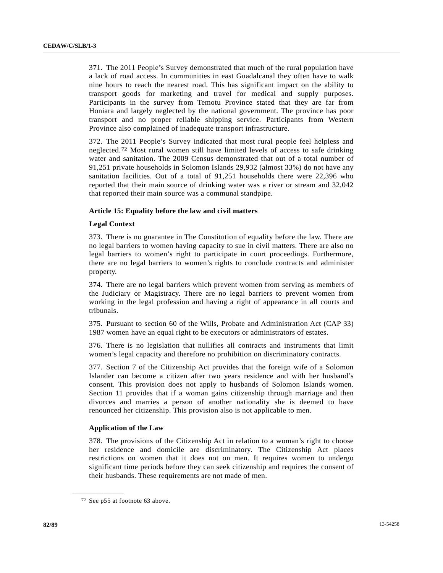371. The 2011 People's Survey demonstrated that much of the rural population have a lack of road access. In communities in east Guadalcanal they often have to walk nine hours to reach the nearest road. This has significant impact on the ability to transport goods for marketing and travel for medical and supply purposes. Participants in the survey from Temotu Province stated that they are far from Honiara and largely neglected by the national government. The province has poor transport and no proper reliable shipping service. Participants from Western Province also complained of inadequate transport infrastructure.

372. The 2011 People's Survey indicated that most rural people feel helpless and neglected.[72](#page-81-0) Most rural women still have limited levels of access to safe drinking water and sanitation. The 2009 Census demonstrated that out of a total number of 91,251 private households in Solomon Islands 29,932 (almost 33%) do not have any sanitation facilities. Out of a total of 91,251 households there were 22,396 who reported that their main source of drinking water was a river or stream and 32,042 that reported their main source was a communal standpipe.

# **Article 15: Equality before the law and civil matters**

### **Legal Context**

373. There is no guarantee in The Constitution of equality before the law. There are no legal barriers to women having capacity to sue in civil matters. There are also no legal barriers to women's right to participate in court proceedings. Furthermore, there are no legal barriers to women's rights to conclude contracts and administer property.

374. There are no legal barriers which prevent women from serving as members of the Judiciary or Magistracy. There are no legal barriers to prevent women from working in the legal profession and having a right of appearance in all courts and tribunals.

375. Pursuant to section 60 of the Wills, Probate and Administration Act (CAP 33) 1987 women have an equal right to be executors or administrators of estates.

376. There is no legislation that nullifies all contracts and instruments that limit women's legal capacity and therefore no prohibition on discriminatory contracts.

377. Section 7 of the Citizenship Act provides that the foreign wife of a Solomon Islander can become a citizen after two years residence and with her husband's consent. This provision does not apply to husbands of Solomon Islands women. Section 11 provides that if a woman gains citizenship through marriage and then divorces and marries a person of another nationality she is deemed to have renounced her citizenship. This provision also is not applicable to men.

# **Application of the Law**

378. The provisions of the Citizenship Act in relation to a woman's right to choose her residence and domicile are discriminatory. The Citizenship Act places restrictions on women that it does not on men. It requires women to undergo significant time periods before they can seek citizenship and requires the consent of their husbands. These requirements are not made of men.

<span id="page-81-0"></span><sup>72</sup> See p55 at footnote 63 above.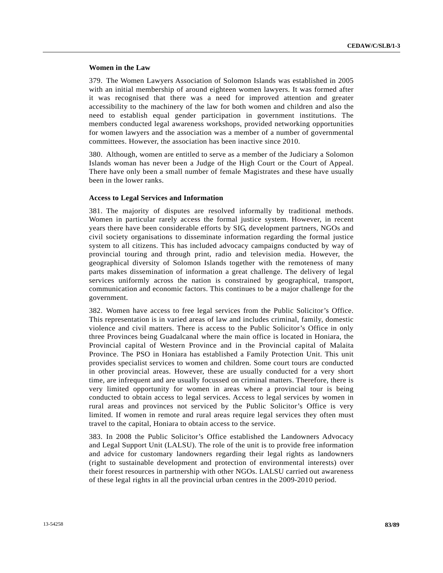# **Women in the Law**

379. The Women Lawyers Association of Solomon Islands was established in 2005 with an initial membership of around eighteen women lawyers. It was formed after it was recognised that there was a need for improved attention and greater accessibility to the machinery of the law for both women and children and also the need to establish equal gender participation in government institutions. The members conducted legal awareness workshops, provided networking opportunities for women lawyers and the association was a member of a number of governmental committees. However, the association has been inactive since 2010.

380. Although, women are entitled to serve as a member of the Judiciary a Solomon Islands woman has never been a Judge of the High Court or the Court of Appeal. There have only been a small number of female Magistrates and these have usually been in the lower ranks.

#### **Access to Legal Services and Information**

381. The majority of disputes are resolved informally by traditional methods. Women in particular rarely access the formal justice system. However, in recent years there have been considerable efforts by SIG, development partners, NGOs and civil society organisations to disseminate information regarding the formal justice system to all citizens. This has included advocacy campaigns conducted by way of provincial touring and through print, radio and television media. However, the geographical diversity of Solomon Islands together with the remoteness of many parts makes dissemination of information a great challenge. The delivery of legal services uniformly across the nation is constrained by geographical, transport, communication and economic factors. This continues to be a major challenge for the government.

382. Women have access to free legal services from the Public Solicitor's Office. This representation is in varied areas of law and includes criminal, family, domestic violence and civil matters. There is access to the Public Solicitor's Office in only three Provinces being Guadalcanal where the main office is located in Honiara, the Provincial capital of Western Province and in the Provincial capital of Malaita Province. The PSO in Honiara has established a Family Protection Unit. This unit provides specialist services to women and children. Some court tours are conducted in other provincial areas. However, these are usually conducted for a very short time, are infrequent and are usually focussed on criminal matters. Therefore, there is very limited opportunity for women in areas where a provincial tour is being conducted to obtain access to legal services. Access to legal services by women in rural areas and provinces not serviced by the Public Solicitor's Office is very limited. If women in remote and rural areas require legal services they often must travel to the capital, Honiara to obtain access to the service.

383. In 2008 the Public Solicitor's Office established the Landowners Advocacy and Legal Support Unit (LALSU). The role of the unit is to provide free information and advice for customary landowners regarding their legal rights as landowners (right to sustainable development and protection of environmental interests) over their forest resources in partnership with other NGOs. LALSU carried out awareness of these legal rights in all the provincial urban centres in the 2009-2010 period.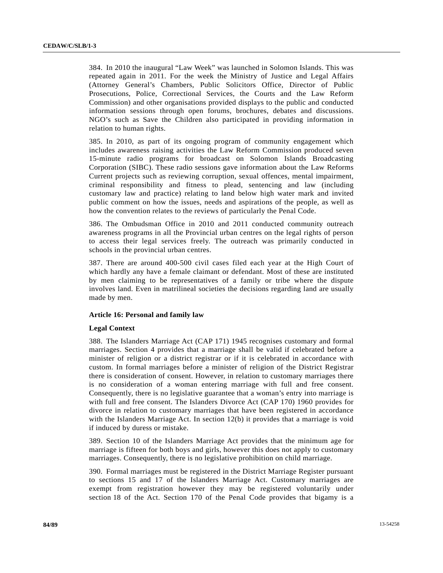384. In 2010 the inaugural "Law Week" was launched in Solomon Islands. This was repeated again in 2011. For the week the Ministry of Justice and Legal Affairs (Attorney General's Chambers, Public Solicitors Office, Director of Public Prosecutions, Police, Correctional Services, the Courts and the Law Reform Commission) and other organisations provided displays to the public and conducted information sessions through open forums, brochures, debates and discussions. NGO's such as Save the Children also participated in providing information in relation to human rights.

385. In 2010, as part of its ongoing program of community engagement which includes awareness raising activities the Law Reform Commission produced seven 15-minute radio programs for broadcast on Solomon Islands Broadcasting Corporation (SIBC). These radio sessions gave information about the Law Reforms Current projects such as reviewing corruption, sexual offences, mental impairment, criminal responsibility and fitness to plead, sentencing and law (including customary law and practice) relating to land below high water mark and invited public comment on how the issues, needs and aspirations of the people, as well as how the convention relates to the reviews of particularly the Penal Code.

386. The Ombudsman Office in 2010 and 2011 conducted community outreach awareness programs in all the Provincial urban centres on the legal rights of person to access their legal services freely. The outreach was primarily conducted in schools in the provincial urban centres.

387. There are around 400-500 civil cases filed each year at the High Court of which hardly any have a female claimant or defendant. Most of these are instituted by men claiming to be representatives of a family or tribe where the dispute involves land. Even in matrilineal societies the decisions regarding land are usually made by men.

# **Article 16: Personal and family law**

#### **Legal Context**

388. The Islanders Marriage Act (CAP 171) 1945 recognises customary and formal marriages. Section 4 provides that a marriage shall be valid if celebrated before a minister of religion or a district registrar or if it is celebrated in accordance with custom. In formal marriages before a minister of religion of the District Registrar there is consideration of consent. However, in relation to customary marriages there is no consideration of a woman entering marriage with full and free consent. Consequently, there is no legislative guarantee that a woman's entry into marriage is with full and free consent. The Islanders Divorce Act (CAP 170) 1960 provides for divorce in relation to customary marriages that have been registered in accordance with the Islanders Marriage Act. In section 12(b) it provides that a marriage is void if induced by duress or mistake.

389. Section 10 of the Islanders Marriage Act provides that the minimum age for marriage is fifteen for both boys and girls, however this does not apply to customary marriages. Consequently, there is no legislative prohibition on child marriage.

390. Formal marriages must be registered in the District Marriage Register pursuant to sections 15 and 17 of the Islanders Marriage Act. Customary marriages are exempt from registration however they may be registered voluntarily under section 18 of the Act. Section 170 of the Penal Code provides that bigamy is a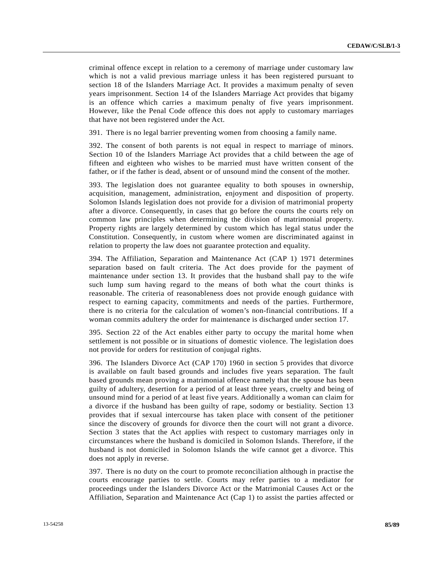criminal offence except in relation to a ceremony of marriage under customary law which is not a valid previous marriage unless it has been registered pursuant to section 18 of the Islanders Marriage Act. It provides a maximum penalty of seven years imprisonment. Section 14 of the Islanders Marriage Act provides that bigamy is an offence which carries a maximum penalty of five years imprisonment. However, like the Penal Code offence this does not apply to customary marriages that have not been registered under the Act.

391. There is no legal barrier preventing women from choosing a family name.

392. The consent of both parents is not equal in respect to marriage of minors. Section 10 of the Islanders Marriage Act provides that a child between the age of fifteen and eighteen who wishes to be married must have written consent of the father, or if the father is dead, absent or of unsound mind the consent of the mother.

393. The legislation does not guarantee equality to both spouses in ownership, acquisition, management, administration, enjoyment and disposition of property. Solomon Islands legislation does not provide for a division of matrimonial property after a divorce. Consequently, in cases that go before the courts the courts rely on common law principles when determining the division of matrimonial property. Property rights are largely determined by custom which has legal status under the Constitution. Consequently, in custom where women are discriminated against in relation to property the law does not guarantee protection and equality.

394. The Affiliation, Separation and Maintenance Act (CAP 1) 1971 determines separation based on fault criteria. The Act does provide for the payment of maintenance under section 13. It provides that the husband shall pay to the wife such lump sum having regard to the means of both what the court thinks is reasonable. The criteria of reasonableness does not provide enough guidance with respect to earning capacity, commitments and needs of the parties. Furthermore, there is no criteria for the calculation of women's non-financial contributions. If a woman commits adultery the order for maintenance is discharged under section 17.

395. Section 22 of the Act enables either party to occupy the marital home when settlement is not possible or in situations of domestic violence. The legislation does not provide for orders for restitution of conjugal rights.

396. The Islanders Divorce Act (CAP 170) 1960 in section 5 provides that divorce is available on fault based grounds and includes five years separation. The fault based grounds mean proving a matrimonial offence namely that the spouse has been guilty of adultery, desertion for a period of at least three years, cruelty and being of unsound mind for a period of at least five years. Additionally a woman can claim for a divorce if the husband has been guilty of rape, sodomy or bestiality. Section 13 provides that if sexual intercourse has taken place with consent of the petitioner since the discovery of grounds for divorce then the court will not grant a divorce. Section 3 states that the Act applies with respect to customary marriages only in circumstances where the husband is domiciled in Solomon Islands. Therefore, if the husband is not domiciled in Solomon Islands the wife cannot get a divorce. This does not apply in reverse.

397. There is no duty on the court to promote reconciliation although in practise the courts encourage parties to settle. Courts may refer parties to a mediator for proceedings under the Islanders Divorce Act or the Matrimonial Causes Act or the Affiliation, Separation and Maintenance Act (Cap 1) to assist the parties affected or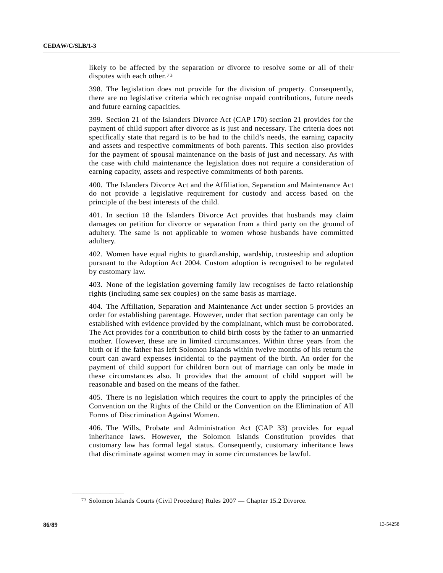likely to be affected by the separation or divorce to resolve some or all of their disputes with each other.[73](#page-85-0)

398. The legislation does not provide for the division of property. Consequently, there are no legislative criteria which recognise unpaid contributions, future needs and future earning capacities.

399. Section 21 of the Islanders Divorce Act (CAP 170) section 21 provides for the payment of child support after divorce as is just and necessary. The criteria does not specifically state that regard is to be had to the child's needs, the earning capacity and assets and respective commitments of both parents. This section also provides for the payment of spousal maintenance on the basis of just and necessary. As with the case with child maintenance the legislation does not require a consideration of earning capacity, assets and respective commitments of both parents.

400. The Islanders Divorce Act and the Affiliation, Separation and Maintenance Act do not provide a legislative requirement for custody and access based on the principle of the best interests of the child.

401. In section 18 the Islanders Divorce Act provides that husbands may claim damages on petition for divorce or separation from a third party on the ground of adultery. The same is not applicable to women whose husbands have committed adultery.

402. Women have equal rights to guardianship, wardship, trusteeship and adoption pursuant to the Adoption Act 2004. Custom adoption is recognised to be regulated by customary law.

403. None of the legislation governing family law recognises de facto relationship rights (including same sex couples) on the same basis as marriage.

404. The Affiliation, Separation and Maintenance Act under section 5 provides an order for establishing parentage. However, under that section parentage can only be established with evidence provided by the complainant, which must be corroborated. The Act provides for a contribution to child birth costs by the father to an unmarried mother. However, these are in limited circumstances. Within three years from the birth or if the father has left Solomon Islands within twelve months of his return the court can award expenses incidental to the payment of the birth. An order for the payment of child support for children born out of marriage can only be made in these circumstances also. It provides that the amount of child support will be reasonable and based on the means of the father.

405. There is no legislation which requires the court to apply the principles of the Convention on the Rights of the Child or the Convention on the Elimination of All Forms of Discrimination Against Women.

406. The Wills, Probate and Administration Act (CAP 33) provides for equal inheritance laws. However, the Solomon Islands Constitution provides that customary law has formal legal status. Consequently, customary inheritance laws that discriminate against women may in some circumstances be lawful.

<span id="page-85-0"></span><sup>73</sup> Solomon Islands Courts (Civil Procedure) Rules 2007 — Chapter 15.2 Divorce.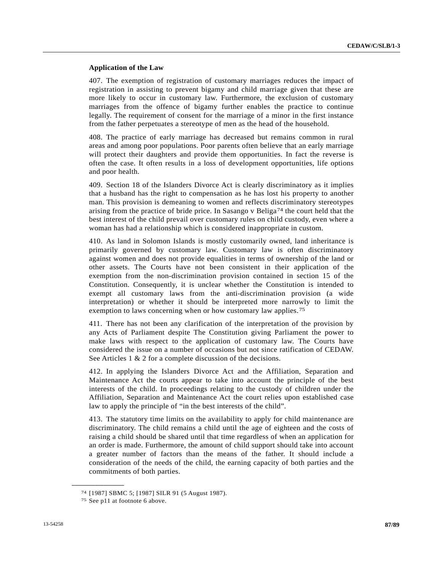### **Application of the Law**

407. The exemption of registration of customary marriages reduces the impact of registration in assisting to prevent bigamy and child marriage given that these are more likely to occur in customary law. Furthermore, the exclusion of customary marriages from the offence of bigamy further enables the practice to continue legally. The requirement of consent for the marriage of a minor in the first instance from the father perpetuates a stereotype of men as the head of the household.

408. The practice of early marriage has decreased but remains common in rural areas and among poor populations. Poor parents often believe that an early marriage will protect their daughters and provide them opportunities. In fact the reverse is often the case. It often results in a loss of development opportunities, life options and poor health.

409. Section 18 of the Islanders Divorce Act is clearly discriminatory as it implies that a husband has the right to compensation as he has lost his property to another man. This provision is demeaning to women and reflects discriminatory stereotypes arising from the practice of bride price. In Sasango v Beliga[7](#page-86-0)4 the court held that the best interest of the child prevail over customary rules on child custody, even where a woman has had a relationship which is considered inappropriate in custom.

410. As land in Solomon Islands is mostly customarily owned, land inheritance is primarily governed by customary law. Customary law is often discriminatory against women and does not provide equalities in terms of ownership of the land or other assets. The Courts have not been consistent in their application of the exemption from the non-discrimination provision contained in section 15 of the Constitution. Consequently, it is unclear whether the Constitution is intended to exempt all customary laws from the anti-discrimination provision (a wide interpretation) or whether it should be interpreted more narrowly to limit the exemption to laws concerning when or how customary law applies.[75](#page-86-1)

411. There has not been any clarification of the interpretation of the provision by any Acts of Parliament despite The Constitution giving Parliament the power to make laws with respect to the application of customary law. The Courts have considered the issue on a number of occasions but not since ratification of CEDAW. See Articles 1 & 2 for a complete discussion of the decisions.

412. In applying the Islanders Divorce Act and the Affiliation, Separation and Maintenance Act the courts appear to take into account the principle of the best interests of the child. In proceedings relating to the custody of children under the Affiliation, Separation and Maintenance Act the court relies upon established case law to apply the principle of "in the best interests of the child".

413. The statutory time limits on the availability to apply for child maintenance are discriminatory. The child remains a child until the age of eighteen and the costs of raising a child should be shared until that time regardless of when an application for an order is made. Furthermore, the amount of child support should take into account a greater number of factors than the means of the father. It should include a consideration of the needs of the child, the earning capacity of both parties and the commitments of both parties.

<span id="page-86-1"></span><span id="page-86-0"></span><sup>74 [1987]</sup> SBMC 5; [1987] SILR 91 (5 August 1987). 75 See p11 at footnote 6 above.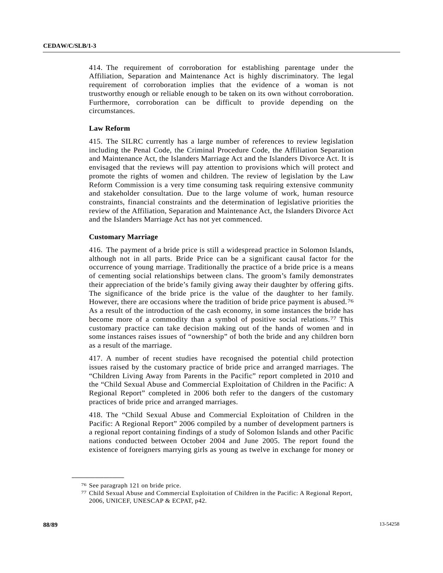414. The requirement of corroboration for establishing parentage under the Affiliation, Separation and Maintenance Act is highly discriminatory. The legal requirement of corroboration implies that the evidence of a woman is not trustworthy enough or reliable enough to be taken on its own without corroboration. Furthermore, corroboration can be difficult to provide depending on the circumstances.

### **Law Reform**

415. The SILRC currently has a large number of references to review legislation including the Penal Code, the Criminal Procedure Code, the Affiliation Separation and Maintenance Act, the Islanders Marriage Act and the Islanders Divorce Act. It is envisaged that the reviews will pay attention to provisions which will protect and promote the rights of women and children. The review of legislation by the Law Reform Commission is a very time consuming task requiring extensive community and stakeholder consultation. Due to the large volume of work, human resource constraints, financial constraints and the determination of legislative priorities the review of the Affiliation, Separation and Maintenance Act, the Islanders Divorce Act and the Islanders Marriage Act has not yet commenced.

# **Customary Marriage**

416. The payment of a bride price is still a widespread practice in Solomon Islands, although not in all parts. Bride Price can be a significant causal factor for the occurrence of young marriage. Traditionally the practice of a bride price is a means of cementing social relationships between clans. The groom's family demonstrates their appreciation of the bride's family giving away their daughter by offering gifts. The significance of the bride price is the value of the daughter to her family. However, there are occasions where the tradition of bride price payment is abused.[76](#page-87-0) As a result of the introduction of the cash economy, in some instances the bride has become more of a commodity than a symbol of positive social relations.[77](#page-87-1) This customary practice can take decision making out of the hands of women and in some instances raises issues of "ownership" of both the bride and any children born as a result of the marriage.

417. A number of recent studies have recognised the potential child protection issues raised by the customary practice of bride price and arranged marriages. The "Children Living Away from Parents in the Pacific" report completed in 2010 and the "Child Sexual Abuse and Commercial Exploitation of Children in the Pacific: A Regional Report" completed in 2006 both refer to the dangers of the customary practices of bride price and arranged marriages.

418. The "Child Sexual Abuse and Commercial Exploitation of Children in the Pacific: A Regional Report" 2006 compiled by a number of development partners is a regional report containing findings of a study of Solomon Islands and other Pacific nations conducted between October 2004 and June 2005. The report found the existence of foreigners marrying girls as young as twelve in exchange for money or

<span id="page-87-0"></span><sup>76</sup> See paragraph 121 on bride price.

<span id="page-87-1"></span><sup>77</sup> Child Sexual Abuse and Commercial Exploitation of Children in the Pacific: A Regional Report, 2006, UNICEF, UNESCAP & ECPAT, p42.